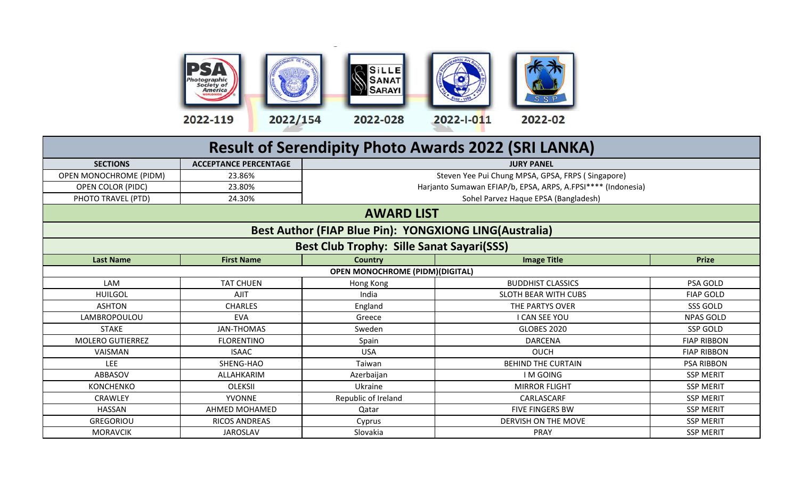

|                               |                              |                                                        | <b>Result of Serendipity Photo Awards 2022 (SRI LANKA)</b>   |                    |
|-------------------------------|------------------------------|--------------------------------------------------------|--------------------------------------------------------------|--------------------|
| <b>SECTIONS</b>               | <b>ACCEPTANCE PERCENTAGE</b> |                                                        | <b>JURY PANEL</b>                                            |                    |
| <b>OPEN MONOCHROME (PIDM)</b> | 23.86%                       |                                                        | Steven Yee Pui Chung MPSA, GPSA, FRPS (Singapore)            |                    |
| OPEN COLOR (PIDC)             | 23.80%                       |                                                        | Harjanto Sumawan EFIAP/b, EPSA, ARPS, A.FPSI**** (Indonesia) |                    |
| PHOTO TRAVEL (PTD)            | 24.30%                       |                                                        | Sohel Parvez Haque EPSA (Bangladesh)                         |                    |
|                               |                              | <b>AWARD LIST</b>                                      |                                                              |                    |
|                               |                              | Best Author (FIAP Blue Pin): YONGXIONG LING(Australia) |                                                              |                    |
|                               |                              | <b>Best Club Trophy: Sille Sanat Sayari(SSS)</b>       |                                                              |                    |
| <b>Last Name</b>              | <b>First Name</b>            | <b>Country</b>                                         | <b>Image Title</b>                                           | <b>Prize</b>       |
|                               |                              | <b>OPEN MONOCHROME (PIDM)(DIGITAL)</b>                 |                                                              |                    |
| LAM                           | <b>TAT CHUEN</b>             | Hong Kong                                              | <b>BUDDHIST CLASSICS</b>                                     | PSA GOLD           |
| <b>HUILGOL</b>                | <b>AJIT</b>                  | India                                                  | <b>SLOTH BEAR WITH CUBS</b>                                  | <b>FIAP GOLD</b>   |
| <b>ASHTON</b>                 | <b>CHARLES</b>               | England                                                | THE PARTYS OVER                                              | SSS GOLD           |
| LAMBROPOULOU                  | <b>EVA</b>                   | Greece                                                 | <b>I CAN SEE YOU</b>                                         | NPAS GOLD          |
| <b>STAKE</b>                  | <b>JAN-THOMAS</b>            | Sweden                                                 | <b>GLOBES 2020</b>                                           | <b>SSP GOLD</b>    |
| <b>MOLERO GUTIERREZ</b>       | <b>FLORENTINO</b>            | Spain                                                  | <b>DARCENA</b>                                               | <b>FIAP RIBBON</b> |
| VAISMAN                       | <b>ISAAC</b>                 | <b>USA</b>                                             | <b>OUCH</b>                                                  | <b>FIAP RIBBON</b> |
| <b>LEE</b>                    | SHENG-HAO                    | Taiwan                                                 | <b>BEHIND THE CURTAIN</b>                                    | <b>PSA RIBBON</b>  |
| ABBASOV                       | ALLAHKARIM                   | Azerbaijan                                             | <b>IM GOING</b>                                              | <b>SSP MERIT</b>   |
| <b>KONCHENKO</b>              | <b>OLEKSII</b>               | Ukraine                                                | <b>MIRROR FLIGHT</b>                                         | <b>SSP MERIT</b>   |
| <b>CRAWLEY</b>                | <b>YVONNE</b>                | Republic of Ireland                                    | CARLASCARF                                                   | <b>SSP MERIT</b>   |
| <b>HASSAN</b>                 | AHMED MOHAMED                | Qatar                                                  | <b>FIVE FINGERS BW</b>                                       | <b>SSP MERIT</b>   |
| <b>GREGORIOU</b>              | <b>RICOS ANDREAS</b>         | Cyprus                                                 | DERVISH ON THE MOVE                                          | <b>SSP MERIT</b>   |
| <b>MORAVCIK</b>               | <b>JAROSLAV</b>              | Slovakia                                               | <b>PRAY</b>                                                  | <b>SSP MERIT</b>   |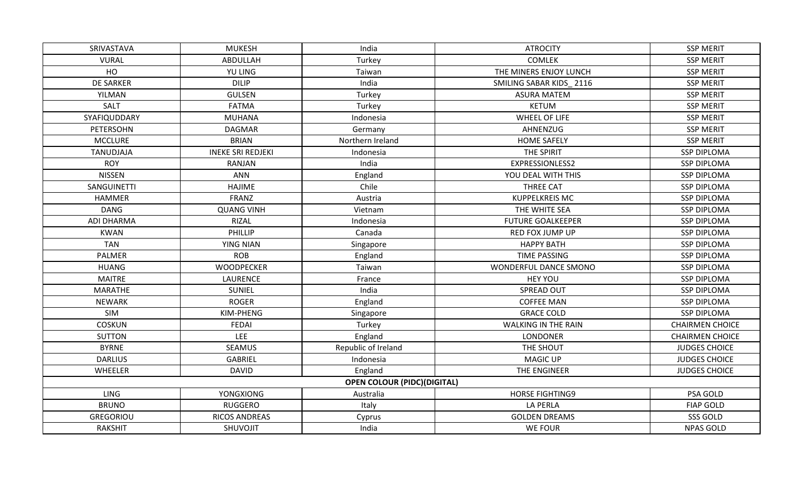| SRIVASTAVA        | <b>MUKESH</b>            | India                              | <b>ATROCITY</b>            | <b>SSP MERIT</b>       |
|-------------------|--------------------------|------------------------------------|----------------------------|------------------------|
| <b>VURAL</b>      | ABDULLAH                 | Turkey                             | <b>COMLEK</b>              | <b>SSP MERIT</b>       |
| HO                | YU LING                  | Taiwan                             | THE MINERS ENJOY LUNCH     | <b>SSP MERIT</b>       |
| <b>DE SARKER</b>  | <b>DILIP</b>             | India                              | SMILING SABAR KIDS 2116    | <b>SSP MERIT</b>       |
| YILMAN            | <b>GULSEN</b>            | Turkey                             | <b>ASURA MATEM</b>         | <b>SSP MERIT</b>       |
| SALT              | <b>FATMA</b>             | Turkey                             | <b>KETUM</b>               | <b>SSP MERIT</b>       |
| SYAFIQUDDARY      | <b>MUHANA</b>            | Indonesia                          | WHEEL OF LIFE              | <b>SSP MERIT</b>       |
| PETERSOHN         | <b>DAGMAR</b>            | Germany                            | AHNENZUG                   | <b>SSP MERIT</b>       |
| <b>MCCLURE</b>    | <b>BRIAN</b>             | Northern Ireland                   | <b>HOME SAFELY</b>         | <b>SSP MERIT</b>       |
| TANUDJAJA         | <b>INEKE SRI REDJEKI</b> | Indonesia                          | THE SPIRIT                 | <b>SSP DIPLOMA</b>     |
| <b>ROY</b>        | RANJAN                   | India                              | EXPRESSIONLESS2            | <b>SSP DIPLOMA</b>     |
| <b>NISSEN</b>     | <b>ANN</b>               | England                            | YOU DEAL WITH THIS         | <b>SSP DIPLOMA</b>     |
| SANGUINETTI       | <b>HAJIME</b>            | Chile                              | THREE CAT                  | <b>SSP DIPLOMA</b>     |
| <b>HAMMER</b>     | FRANZ                    | Austria                            | <b>KUPPELKREIS MC</b>      | <b>SSP DIPLOMA</b>     |
| <b>DANG</b>       | <b>QUANG VINH</b>        | Vietnam                            | THE WHITE SEA              | <b>SSP DIPLOMA</b>     |
| <b>ADI DHARMA</b> | <b>RIZAL</b>             | Indonesia                          | <b>FUTURE GOALKEEPER</b>   | <b>SSP DIPLOMA</b>     |
| <b>KWAN</b>       | <b>PHILLIP</b>           | Canada                             | RED FOX JUMP UP            | <b>SSP DIPLOMA</b>     |
| <b>TAN</b>        | <b>YING NIAN</b>         | Singapore                          | <b>HAPPY BATH</b>          | <b>SSP DIPLOMA</b>     |
| PALMER            | <b>ROB</b>               | England                            | <b>TIME PASSING</b>        | <b>SSP DIPLOMA</b>     |
| <b>HUANG</b>      | <b>WOODPECKER</b>        | Taiwan                             | WONDERFUL DANCE SMONO      | <b>SSP DIPLOMA</b>     |
| <b>MAITRE</b>     | LAURENCE                 | France                             | <b>HEY YOU</b>             | <b>SSP DIPLOMA</b>     |
| <b>MARATHE</b>    | SUNIEL                   | India                              | SPREAD OUT                 | <b>SSP DIPLOMA</b>     |
| <b>NEWARK</b>     | <b>ROGER</b>             | England                            | <b>COFFEE MAN</b>          | <b>SSP DIPLOMA</b>     |
| SIM               | KIM-PHENG                | Singapore                          | <b>GRACE COLD</b>          | <b>SSP DIPLOMA</b>     |
| <b>COSKUN</b>     | FEDAI                    | Turkey                             | <b>WALKING IN THE RAIN</b> | <b>CHAIRMEN CHOICE</b> |
| <b>SUTTON</b>     | LEE                      | England                            | <b>LONDONER</b>            | <b>CHAIRMEN CHOICE</b> |
| <b>BYRNE</b>      | <b>SEAMUS</b>            | Republic of Ireland                | THE SHOUT                  | <b>JUDGES CHOICE</b>   |
| <b>DARLIUS</b>    | <b>GABRIEL</b>           | Indonesia                          | <b>MAGIC UP</b>            | <b>JUDGES CHOICE</b>   |
| WHEELER           | <b>DAVID</b>             | England                            | THE ENGINEER               | <b>JUDGES CHOICE</b>   |
|                   |                          | <b>OPEN COLOUR (PIDC)(DIGITAL)</b> |                            |                        |
| <b>LING</b>       | <b>YONGXIONG</b>         | Australia                          | <b>HORSE FIGHTING9</b>     | PSA GOLD               |
| <b>BRUNO</b>      | <b>RUGGERO</b>           | Italy                              | <b>LA PERLA</b>            | <b>FIAP GOLD</b>       |
| <b>GREGORIOU</b>  | <b>RICOS ANDREAS</b>     | Cyprus                             | <b>GOLDEN DREAMS</b>       | SSS GOLD               |
| <b>RAKSHIT</b>    | SHUVOJIT                 | India                              | <b>WE FOUR</b>             | <b>NPAS GOLD</b>       |
|                   |                          |                                    |                            |                        |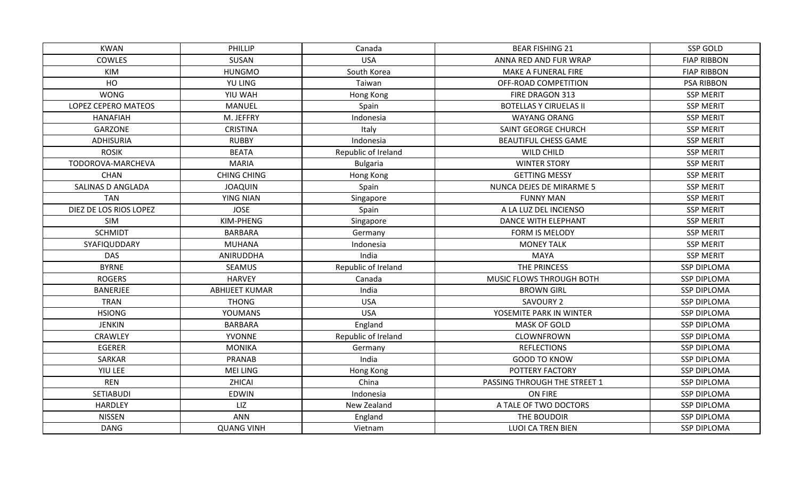| KWAN                     | <b>PHILLIP</b>        | Canada              | <b>BEAR FISHING 21</b>        | SSP GOLD           |
|--------------------------|-----------------------|---------------------|-------------------------------|--------------------|
| <b>COWLES</b>            | SUSAN                 | <b>USA</b>          | ANNA RED AND FUR WRAP         | <b>FIAP RIBBON</b> |
| KIM                      | <b>HUNGMO</b>         | South Korea         | MAKE A FUNERAL FIRE           | <b>FIAP RIBBON</b> |
| HO                       | YU LING               | Taiwan              | OFF-ROAD COMPETITION          | <b>PSA RIBBON</b>  |
| <b>WONG</b>              | YIU WAH               | Hong Kong           | FIRE DRAGON 313               | <b>SSP MERIT</b>   |
| LOPEZ CEPERO MATEOS      | <b>MANUEL</b>         | Spain               | <b>BOTELLAS Y CIRUELAS II</b> | <b>SSP MERIT</b>   |
| <b>HANAFIAH</b>          | M. JEFFRY             | Indonesia           | <b>WAYANG ORANG</b>           | <b>SSP MERIT</b>   |
| GARZONE                  | <b>CRISTINA</b>       | Italy               | <b>SAINT GEORGE CHURCH</b>    | <b>SSP MERIT</b>   |
| <b>ADHISURIA</b>         | <b>RUBBY</b>          | Indonesia           | <b>BEAUTIFUL CHESS GAME</b>   | <b>SSP MERIT</b>   |
| <b>ROSIK</b>             | <b>BEATA</b>          | Republic of Ireland | WILD CHILD                    | <b>SSP MERIT</b>   |
| TODOROVA-MARCHEVA        | <b>MARIA</b>          | <b>Bulgaria</b>     | <b>WINTER STORY</b>           | <b>SSP MERIT</b>   |
| <b>CHAN</b>              | <b>CHING CHING</b>    | Hong Kong           | <b>GETTING MESSY</b>          | <b>SSP MERIT</b>   |
| <b>SALINAS D ANGLADA</b> | <b>JOAQUIN</b>        | Spain               | NUNCA DEJES DE MIRARME 5      | <b>SSP MERIT</b>   |
| <b>TAN</b>               | <b>YING NIAN</b>      | Singapore           | <b>FUNNY MAN</b>              | <b>SSP MERIT</b>   |
| DIEZ DE LOS RIOS LOPEZ   | <b>JOSE</b>           | Spain               | A LA LUZ DEL INCIENSO         | <b>SSP MERIT</b>   |
| <b>SIM</b>               | KIM-PHENG             | Singapore           | DANCE WITH ELEPHANT           | <b>SSP MERIT</b>   |
| <b>SCHMIDT</b>           | <b>BARBARA</b>        | Germany             | FORM IS MELODY                | <b>SSP MERIT</b>   |
| SYAFIQUDDARY             | <b>MUHANA</b>         | Indonesia           | <b>MONEY TALK</b>             | <b>SSP MERIT</b>   |
| <b>DAS</b>               | ANIRUDDHA             | India               | <b>MAYA</b>                   | <b>SSP MERIT</b>   |
| <b>BYRNE</b>             | <b>SEAMUS</b>         | Republic of Ireland | THE PRINCESS                  | <b>SSP DIPLOMA</b> |
| <b>ROGERS</b>            | <b>HARVEY</b>         | Canada              | MUSIC FLOWS THROUGH BOTH      | <b>SSP DIPLOMA</b> |
| BANERJEE                 | <b>ABHIJEET KUMAR</b> | India               | <b>BROWN GIRL</b>             | <b>SSP DIPLOMA</b> |
| <b>TRAN</b>              | <b>THONG</b>          | <b>USA</b>          | <b>SAVOURY 2</b>              | <b>SSP DIPLOMA</b> |
| <b>HSIONG</b>            | <b>YOUMANS</b>        | <b>USA</b>          | YOSEMITE PARK IN WINTER       | <b>SSP DIPLOMA</b> |
| <b>JENKIN</b>            | <b>BARBARA</b>        | England             | <b>MASK OF GOLD</b>           | <b>SSP DIPLOMA</b> |
| <b>CRAWLEY</b>           | <b>YVONNE</b>         | Republic of Ireland | CLOWNFROWN                    | <b>SSP DIPLOMA</b> |
| <b>EGERER</b>            | <b>MONIKA</b>         | Germany             | <b>REFLECTIONS</b>            | <b>SSP DIPLOMA</b> |
| SARKAR                   | PRANAB                | India               | <b>GOOD TO KNOW</b>           | <b>SSP DIPLOMA</b> |
| YIU LEE                  | <b>MEI LING</b>       | Hong Kong           | POTTERY FACTORY               | <b>SSP DIPLOMA</b> |
| <b>REN</b>               | ZHICAI                | China               | PASSING THROUGH THE STREET 1  | <b>SSP DIPLOMA</b> |
| SETIABUDI                | <b>EDWIN</b>          | Indonesia           | ON FIRE                       | <b>SSP DIPLOMA</b> |
| <b>HARDLEY</b>           | LIZ                   | New Zealand         | A TALE OF TWO DOCTORS         | <b>SSP DIPLOMA</b> |
| <b>NISSEN</b>            | <b>ANN</b>            | England             | THE BOUDOIR                   | <b>SSP DIPLOMA</b> |
| <b>DANG</b>              | <b>QUANG VINH</b>     | Vietnam             | LUOI CA TREN BIEN             | <b>SSP DIPLOMA</b> |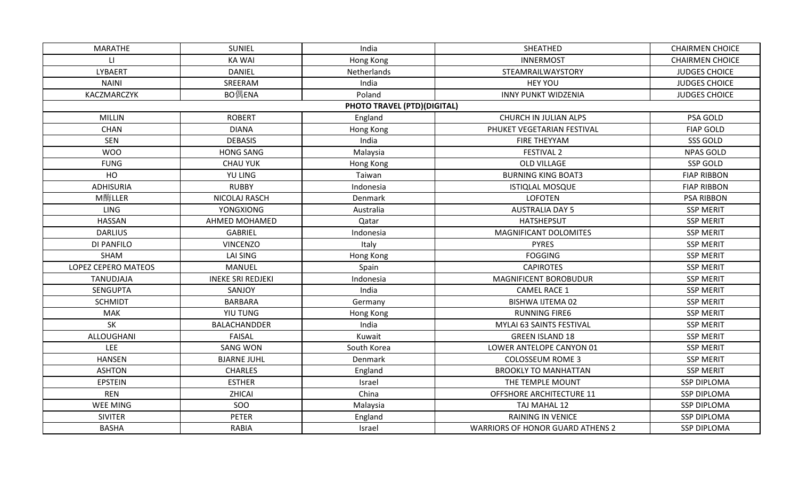| <b>MARATHE</b>      | <b>SUNIEL</b>            | India                              | SHEATHED                                | <b>CHAIRMEN CHOICE</b> |
|---------------------|--------------------------|------------------------------------|-----------------------------------------|------------------------|
| $\mathbf{H}$        | <b>KA WAI</b>            | Hong Kong                          | <b>INNERMOST</b>                        | <b>CHAIRMEN CHOICE</b> |
| <b>LYBAERT</b>      | <b>DANIEL</b>            | Netherlands                        | STEAMRAILWAYSTORY                       | <b>JUDGES CHOICE</b>   |
| <b>NAINI</b>        | SREERAM                  | India                              | <b>HEY YOU</b>                          | <b>JUDGES CHOICE</b>   |
| KACZMARCZYK         | BO偶ENA                   | Poland                             | <b>INNY PUNKT WIDZENIA</b>              | <b>JUDGES CHOICE</b>   |
|                     |                          | <b>PHOTO TRAVEL (PTD)(DIGITAL)</b> |                                         |                        |
| <b>MILLIN</b>       | <b>ROBERT</b>            | England                            | CHURCH IN JULIAN ALPS                   | PSA GOLD               |
| <b>CHAN</b>         | <b>DIANA</b>             | Hong Kong                          | PHUKET VEGETARIAN FESTIVAL              | <b>FIAP GOLD</b>       |
| SEN                 | <b>DEBASIS</b>           | India                              | FIRE THEYYAM                            | SSS GOLD               |
| <b>WOO</b>          | <b>HONG SANG</b>         | Malaysia                           | <b>FESTIVAL 2</b>                       | <b>NPAS GOLD</b>       |
| <b>FUNG</b>         | <b>CHAU YUK</b>          | Hong Kong                          | OLD VILLAGE                             | <b>SSP GOLD</b>        |
| HO                  | <b>YU LING</b>           | Taiwan                             | <b>BURNING KING BOAT3</b>               | <b>FIAP RIBBON</b>     |
| <b>ADHISURIA</b>    | <b>RUBBY</b>             | Indonesia                          | <b>ISTIQLAL MOSQUE</b>                  | <b>FIAP RIBBON</b>     |
| M酶LLER              | NICOLAJ RASCH            | Denmark                            | <b>LOFOTEN</b>                          | <b>PSA RIBBON</b>      |
| <b>LING</b>         | YONGXIONG                | Australia                          | <b>AUSTRALIA DAY 5</b>                  | <b>SSP MERIT</b>       |
| <b>HASSAN</b>       | AHMED MOHAMED            | Qatar                              | <b>HATSHEPSUT</b>                       | <b>SSP MERIT</b>       |
| <b>DARLIUS</b>      | <b>GABRIEL</b>           | Indonesia                          | <b>MAGNIFICANT DOLOMITES</b>            | <b>SSP MERIT</b>       |
| DI PANFILO          | <b>VINCENZO</b>          | Italy                              | <b>PYRES</b>                            | <b>SSP MERIT</b>       |
| <b>SHAM</b>         | <b>LAI SING</b>          | Hong Kong                          | <b>FOGGING</b>                          | <b>SSP MERIT</b>       |
| LOPEZ CEPERO MATEOS | MANUEL                   | Spain                              | <b>CAPIROTES</b>                        | <b>SSP MERIT</b>       |
| TANUDJAJA           | <b>INEKE SRI REDJEKI</b> | Indonesia                          | MAGNIFICENT BOROBUDUR                   | <b>SSP MERIT</b>       |
| SENGUPTA            | SANJOY                   | India                              | <b>CAMEL RACE 1</b>                     | <b>SSP MERIT</b>       |
| <b>SCHMIDT</b>      | <b>BARBARA</b>           | Germany                            | <b>BISHWA IJTEMA 02</b>                 | <b>SSP MERIT</b>       |
| <b>MAK</b>          | YIU TUNG                 | Hong Kong                          | <b>RUNNING FIRE6</b>                    | <b>SSP MERIT</b>       |
| SK                  | BALACHANDDER             | India                              | MYLAI 63 SAINTS FESTIVAL                | <b>SSP MERIT</b>       |
| ALLOUGHANI          | <b>FAISAL</b>            | Kuwait                             | <b>GREEN ISLAND 18</b>                  | <b>SSP MERIT</b>       |
| LEE                 | <b>SANG WON</b>          | South Korea                        | LOWER ANTELOPE CANYON 01                | <b>SSP MERIT</b>       |
| <b>HANSEN</b>       | <b>BJARNE JUHL</b>       | Denmark                            | <b>COLOSSEUM ROME 3</b>                 | <b>SSP MERIT</b>       |
| <b>ASHTON</b>       | <b>CHARLES</b>           | England                            | <b>BROOKLY TO MANHATTAN</b>             | <b>SSP MERIT</b>       |
| <b>EPSTEIN</b>      | <b>ESTHER</b>            | Israel                             | THE TEMPLE MOUNT                        | <b>SSP DIPLOMA</b>     |
| <b>REN</b>          | ZHICAI                   | China                              | <b>OFFSHORE ARCHITECTURE 11</b>         | <b>SSP DIPLOMA</b>     |
| <b>WEE MING</b>     | SOO                      | Malaysia                           | TAJ MAHAL 12                            | <b>SSP DIPLOMA</b>     |
| <b>SIVITER</b>      | <b>PETER</b>             | England                            | <b>RAINING IN VENICE</b>                | <b>SSP DIPLOMA</b>     |
| <b>BASHA</b>        | RABIA                    | Israel                             | <b>WARRIORS OF HONOR GUARD ATHENS 2</b> | <b>SSP DIPLOMA</b>     |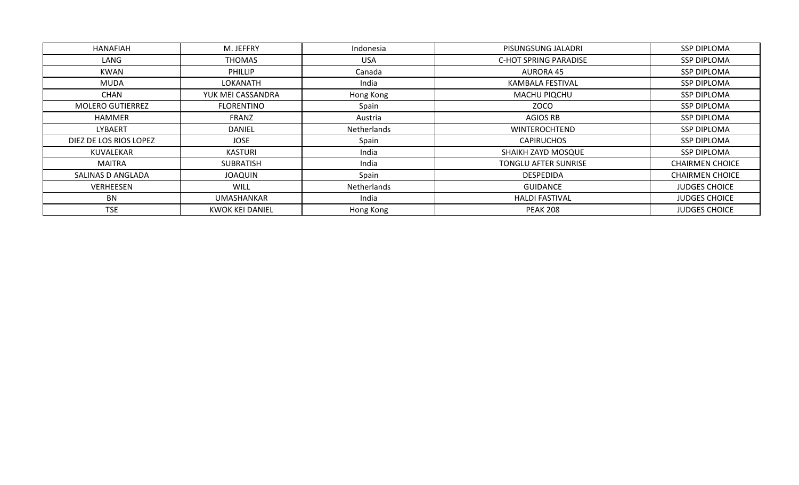| HANAFIAH                | M. JEFFRY              | Indonesia   | PISUNGSUNG JALADRI           | <b>SSP DIPLOMA</b>     |
|-------------------------|------------------------|-------------|------------------------------|------------------------|
| LANG                    | <b>THOMAS</b>          | <b>USA</b>  | <b>C-HOT SPRING PARADISE</b> | <b>SSP DIPLOMA</b>     |
| KWAN                    | PHILLIP                | Canada      | <b>AURORA 45</b>             | <b>SSP DIPLOMA</b>     |
| MUDA                    | LOKANATH               | India       | KAMBALA FESTIVAL             | <b>SSP DIPLOMA</b>     |
| CHAN                    | YUK MEI CASSANDRA      | Hong Kong   | MACHU PIQCHU                 | <b>SSP DIPLOMA</b>     |
| <b>MOLERO GUTIERREZ</b> | FLORENTINO             | Spain       | <b>ZOCO</b>                  | <b>SSP DIPLOMA</b>     |
| <b>HAMMER</b>           | FRANZ                  | Austria     | <b>AGIOS RB</b>              | SSP DIPLOMA            |
| LYBAERT                 | <b>DANIEL</b>          | Netherlands | <b>WINTEROCHTEND</b>         | SSP DIPLOMA            |
| DIEZ DE LOS RIOS LOPEZ  | <b>JOSE</b>            | Spain       | <b>CAPIRUCHOS</b>            | <b>SSP DIPLOMA</b>     |
| KUVALEKAR               | KASTURI                | India       | SHAIKH ZAYD MOSQUE           | <b>SSP DIPLOMA</b>     |
| MAITRA                  | SUBRATISH              | India       | TONGLU AFTER SUNRISE         | <b>CHAIRMEN CHOICE</b> |
| SALINAS D ANGLADA       | <b>JOAQUIN</b>         | Spain       | DESPEDIDA                    | <b>CHAIRMEN CHOICE</b> |
| VERHEESEN               | WILL                   | Netherlands | GUIDANCE                     | <b>JUDGES CHOICE</b>   |
| BN                      | UMASHANKAR             | India       | <b>HALDI FASTIVAL</b>        | <b>JUDGES CHOICE</b>   |
| <b>TSE</b>              | <b>KWOK KEI DANIEL</b> | Hong Kong   | <b>PEAK 208</b>              | <b>JUDGES CHOICE</b>   |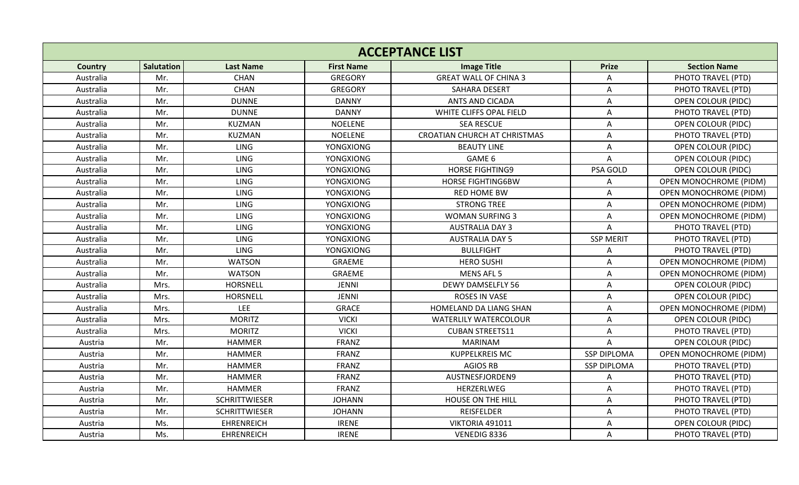| <b>Salutation</b><br><b>Last Name</b><br><b>First Name</b><br><b>Image Title</b><br><b>Prize</b><br><b>Section Name</b><br><b>Country</b><br><b>CHAN</b><br>Australia<br><b>GREGORY</b><br><b>GREAT WALL OF CHINA 3</b><br>PHOTO TRAVEL (PTD)<br>Mr.<br>Α<br><b>CHAN</b><br><b>GREGORY</b><br>Australia<br>Mr.<br><b>SAHARA DESERT</b><br>PHOTO TRAVEL (PTD)<br>A<br><b>DUNNE</b><br><b>DANNY</b><br><b>ANTS AND CICADA</b><br><b>OPEN COLOUR (PIDC)</b><br>Australia<br>Mr.<br>A<br><b>DANNY</b><br>Australia<br>Mr.<br><b>DUNNE</b><br>WHITE CLIFFS OPAL FIELD<br>PHOTO TRAVEL (PTD)<br>Α<br><b>KUZMAN</b><br><b>NOELENE</b><br><b>SEA RESCUE</b><br><b>OPEN COLOUR (PIDC)</b><br>Australia<br>Mr.<br>Α<br>Mr.<br>KUZMAN<br><b>NOELENE</b><br><b>CROATIAN CHURCH AT CHRISTMAS</b><br>PHOTO TRAVEL (PTD)<br>Australia<br>Α<br><b>LING</b><br>Australia<br>Mr.<br><b>YONGXIONG</b><br><b>BEAUTY LINE</b><br><b>OPEN COLOUR (PIDC)</b><br>Α<br>Mr.<br><b>LING</b><br>GAME 6<br>Australia<br><b>YONGXIONG</b><br>A<br><b>OPEN COLOUR (PIDC)</b><br><b>LING</b><br><b>HORSE FIGHTING9</b><br>Mr.<br><b>YONGXIONG</b><br>PSA GOLD<br>Australia<br><b>OPEN COLOUR (PIDC)</b><br>LING<br><b>YONGXIONG</b><br><b>HORSE FIGHTING6BW</b><br>OPEN MONOCHROME (PIDM)<br>Australia<br>Mr.<br>Α<br><b>LING</b><br><b>YONGXIONG</b><br>Australia<br>Mr.<br><b>RED HOME BW</b><br><b>OPEN MONOCHROME (PIDM)</b><br>А<br><b>LING</b><br>YONGXIONG<br><b>STRONG TREE</b><br>Australia<br>Mr.<br>A<br><b>OPEN MONOCHROME (PIDM)</b><br>Mr.<br><b>LING</b><br><b>YONGXIONG</b><br>Australia<br><b>WOMAN SURFING 3</b><br>Α<br><b>OPEN MONOCHROME (PIDM)</b><br><b>LING</b><br>Australia<br>Mr.<br><b>YONGXIONG</b><br><b>AUSTRALIA DAY 3</b><br>A<br>PHOTO TRAVEL (PTD)<br>Mr.<br>LING<br><b>SSP MERIT</b><br>Australia<br><b>YONGXIONG</b><br><b>AUSTRALIA DAY 5</b><br>PHOTO TRAVEL (PTD)<br><b>LING</b><br>Mr.<br><b>YONGXIONG</b><br><b>BULLFIGHT</b><br>Australia<br>PHOTO TRAVEL (PTD)<br>Α<br><b>WATSON</b><br>GRAEME<br><b>HERO SUSHI</b><br>Australia<br>Mr.<br>Α<br>OPEN MONOCHROME (PIDM)<br>MENS AFL 5<br>Australia<br>Mr.<br><b>WATSON</b><br><b>GRAEME</b><br><b>OPEN MONOCHROME (PIDM)</b><br>Α<br>Australia<br>Mrs.<br><b>HORSNELL</b><br><b>JENNI</b><br><b>DEWY DAMSELFLY 56</b><br><b>OPEN COLOUR (PIDC)</b><br>А<br><b>JENNI</b><br><b>ROSES IN VASE</b><br><b>OPEN COLOUR (PIDC)</b><br>Australia<br>Mrs.<br><b>HORSNELL</b><br>Α<br><b>LEE</b><br><b>GRACE</b><br>Australia<br>Mrs.<br><b>HOMELAND DA LIANG SHAN</b><br>OPEN MONOCHROME (PIDM)<br>Α<br><b>MORITZ</b><br>Australia<br>Mrs.<br><b>VICKI</b><br><b>WATERLILY WATERCOLOUR</b><br>Α<br><b>OPEN COLOUR (PIDC)</b><br>Mrs.<br><b>MORITZ</b><br><b>VICKI</b><br><b>CUBAN STREETS11</b><br>Australia<br>Α<br>PHOTO TRAVEL (PTD)<br>FRANZ<br>Austria<br>Mr.<br><b>HAMMER</b><br><b>MARINAM</b><br>A<br><b>OPEN COLOUR (PIDC)</b><br><b>FRANZ</b><br>Austria<br>Mr.<br><b>HAMMER</b><br><b>KUPPELKREIS MC</b><br><b>SSP DIPLOMA</b><br>OPEN MONOCHROME (PIDM)<br><b>FRANZ</b><br><b>AGIOS RB</b><br><b>HAMMER</b><br><b>SSP DIPLOMA</b><br>PHOTO TRAVEL (PTD)<br>Austria<br>Mr.<br><b>FRANZ</b><br>Austria<br>Mr.<br><b>HAMMER</b><br>AUSTNESFJORDEN9<br>PHOTO TRAVEL (PTD)<br>A<br><b>FRANZ</b><br>Mr.<br><b>HAMMER</b><br>HERZERLWEG<br>Austria<br>А<br>PHOTO TRAVEL (PTD)<br>Mr.<br><b>SCHRITTWIESER</b><br><b>JOHANN</b><br>HOUSE ON THE HILL<br>Austria<br>A<br>PHOTO TRAVEL (PTD)<br>Austria<br>Mr.<br><b>SCHRITTWIESER</b><br><b>JOHANN</b><br><b>REISFELDER</b><br>PHOTO TRAVEL (PTD)<br>A<br>Austria<br>Ms.<br><b>EHRENREICH</b><br><b>IRENE</b><br>VIKTORIA 491011<br><b>OPEN COLOUR (PIDC)</b><br>Α<br>Ms.<br><b>EHRENREICH</b><br><b>IRENE</b><br>VENEDIG 8336<br>Austria | <b>ACCEPTANCE LIST</b> |  |  |  |  |   |                    |  |  |
|-----------------------------------------------------------------------------------------------------------------------------------------------------------------------------------------------------------------------------------------------------------------------------------------------------------------------------------------------------------------------------------------------------------------------------------------------------------------------------------------------------------------------------------------------------------------------------------------------------------------------------------------------------------------------------------------------------------------------------------------------------------------------------------------------------------------------------------------------------------------------------------------------------------------------------------------------------------------------------------------------------------------------------------------------------------------------------------------------------------------------------------------------------------------------------------------------------------------------------------------------------------------------------------------------------------------------------------------------------------------------------------------------------------------------------------------------------------------------------------------------------------------------------------------------------------------------------------------------------------------------------------------------------------------------------------------------------------------------------------------------------------------------------------------------------------------------------------------------------------------------------------------------------------------------------------------------------------------------------------------------------------------------------------------------------------------------------------------------------------------------------------------------------------------------------------------------------------------------------------------------------------------------------------------------------------------------------------------------------------------------------------------------------------------------------------------------------------------------------------------------------------------------------------------------------------------------------------------------------------------------------------------------------------------------------------------------------------------------------------------------------------------------------------------------------------------------------------------------------------------------------------------------------------------------------------------------------------------------------------------------------------------------------------------------------------------------------------------------------------------------------------------------------------------------------------------------------------------------------------------------------------------------------------------------------------------------------------------------------------------------------------------------------------------------------------------------------------------------------------------------------------------------------------------------------------------------------------------------------------------------------------------------------------------------------------------------------------------------------------------------|------------------------|--|--|--|--|---|--------------------|--|--|
|                                                                                                                                                                                                                                                                                                                                                                                                                                                                                                                                                                                                                                                                                                                                                                                                                                                                                                                                                                                                                                                                                                                                                                                                                                                                                                                                                                                                                                                                                                                                                                                                                                                                                                                                                                                                                                                                                                                                                                                                                                                                                                                                                                                                                                                                                                                                                                                                                                                                                                                                                                                                                                                                                                                                                                                                                                                                                                                                                                                                                                                                                                                                                                                                                                                                                                                                                                                                                                                                                                                                                                                                                                                                                                                                               |                        |  |  |  |  |   |                    |  |  |
|                                                                                                                                                                                                                                                                                                                                                                                                                                                                                                                                                                                                                                                                                                                                                                                                                                                                                                                                                                                                                                                                                                                                                                                                                                                                                                                                                                                                                                                                                                                                                                                                                                                                                                                                                                                                                                                                                                                                                                                                                                                                                                                                                                                                                                                                                                                                                                                                                                                                                                                                                                                                                                                                                                                                                                                                                                                                                                                                                                                                                                                                                                                                                                                                                                                                                                                                                                                                                                                                                                                                                                                                                                                                                                                                               |                        |  |  |  |  |   |                    |  |  |
|                                                                                                                                                                                                                                                                                                                                                                                                                                                                                                                                                                                                                                                                                                                                                                                                                                                                                                                                                                                                                                                                                                                                                                                                                                                                                                                                                                                                                                                                                                                                                                                                                                                                                                                                                                                                                                                                                                                                                                                                                                                                                                                                                                                                                                                                                                                                                                                                                                                                                                                                                                                                                                                                                                                                                                                                                                                                                                                                                                                                                                                                                                                                                                                                                                                                                                                                                                                                                                                                                                                                                                                                                                                                                                                                               |                        |  |  |  |  |   |                    |  |  |
|                                                                                                                                                                                                                                                                                                                                                                                                                                                                                                                                                                                                                                                                                                                                                                                                                                                                                                                                                                                                                                                                                                                                                                                                                                                                                                                                                                                                                                                                                                                                                                                                                                                                                                                                                                                                                                                                                                                                                                                                                                                                                                                                                                                                                                                                                                                                                                                                                                                                                                                                                                                                                                                                                                                                                                                                                                                                                                                                                                                                                                                                                                                                                                                                                                                                                                                                                                                                                                                                                                                                                                                                                                                                                                                                               |                        |  |  |  |  |   |                    |  |  |
|                                                                                                                                                                                                                                                                                                                                                                                                                                                                                                                                                                                                                                                                                                                                                                                                                                                                                                                                                                                                                                                                                                                                                                                                                                                                                                                                                                                                                                                                                                                                                                                                                                                                                                                                                                                                                                                                                                                                                                                                                                                                                                                                                                                                                                                                                                                                                                                                                                                                                                                                                                                                                                                                                                                                                                                                                                                                                                                                                                                                                                                                                                                                                                                                                                                                                                                                                                                                                                                                                                                                                                                                                                                                                                                                               |                        |  |  |  |  |   |                    |  |  |
|                                                                                                                                                                                                                                                                                                                                                                                                                                                                                                                                                                                                                                                                                                                                                                                                                                                                                                                                                                                                                                                                                                                                                                                                                                                                                                                                                                                                                                                                                                                                                                                                                                                                                                                                                                                                                                                                                                                                                                                                                                                                                                                                                                                                                                                                                                                                                                                                                                                                                                                                                                                                                                                                                                                                                                                                                                                                                                                                                                                                                                                                                                                                                                                                                                                                                                                                                                                                                                                                                                                                                                                                                                                                                                                                               |                        |  |  |  |  |   |                    |  |  |
|                                                                                                                                                                                                                                                                                                                                                                                                                                                                                                                                                                                                                                                                                                                                                                                                                                                                                                                                                                                                                                                                                                                                                                                                                                                                                                                                                                                                                                                                                                                                                                                                                                                                                                                                                                                                                                                                                                                                                                                                                                                                                                                                                                                                                                                                                                                                                                                                                                                                                                                                                                                                                                                                                                                                                                                                                                                                                                                                                                                                                                                                                                                                                                                                                                                                                                                                                                                                                                                                                                                                                                                                                                                                                                                                               |                        |  |  |  |  |   |                    |  |  |
|                                                                                                                                                                                                                                                                                                                                                                                                                                                                                                                                                                                                                                                                                                                                                                                                                                                                                                                                                                                                                                                                                                                                                                                                                                                                                                                                                                                                                                                                                                                                                                                                                                                                                                                                                                                                                                                                                                                                                                                                                                                                                                                                                                                                                                                                                                                                                                                                                                                                                                                                                                                                                                                                                                                                                                                                                                                                                                                                                                                                                                                                                                                                                                                                                                                                                                                                                                                                                                                                                                                                                                                                                                                                                                                                               |                        |  |  |  |  |   |                    |  |  |
|                                                                                                                                                                                                                                                                                                                                                                                                                                                                                                                                                                                                                                                                                                                                                                                                                                                                                                                                                                                                                                                                                                                                                                                                                                                                                                                                                                                                                                                                                                                                                                                                                                                                                                                                                                                                                                                                                                                                                                                                                                                                                                                                                                                                                                                                                                                                                                                                                                                                                                                                                                                                                                                                                                                                                                                                                                                                                                                                                                                                                                                                                                                                                                                                                                                                                                                                                                                                                                                                                                                                                                                                                                                                                                                                               |                        |  |  |  |  |   |                    |  |  |
|                                                                                                                                                                                                                                                                                                                                                                                                                                                                                                                                                                                                                                                                                                                                                                                                                                                                                                                                                                                                                                                                                                                                                                                                                                                                                                                                                                                                                                                                                                                                                                                                                                                                                                                                                                                                                                                                                                                                                                                                                                                                                                                                                                                                                                                                                                                                                                                                                                                                                                                                                                                                                                                                                                                                                                                                                                                                                                                                                                                                                                                                                                                                                                                                                                                                                                                                                                                                                                                                                                                                                                                                                                                                                                                                               |                        |  |  |  |  |   |                    |  |  |
|                                                                                                                                                                                                                                                                                                                                                                                                                                                                                                                                                                                                                                                                                                                                                                                                                                                                                                                                                                                                                                                                                                                                                                                                                                                                                                                                                                                                                                                                                                                                                                                                                                                                                                                                                                                                                                                                                                                                                                                                                                                                                                                                                                                                                                                                                                                                                                                                                                                                                                                                                                                                                                                                                                                                                                                                                                                                                                                                                                                                                                                                                                                                                                                                                                                                                                                                                                                                                                                                                                                                                                                                                                                                                                                                               |                        |  |  |  |  |   |                    |  |  |
|                                                                                                                                                                                                                                                                                                                                                                                                                                                                                                                                                                                                                                                                                                                                                                                                                                                                                                                                                                                                                                                                                                                                                                                                                                                                                                                                                                                                                                                                                                                                                                                                                                                                                                                                                                                                                                                                                                                                                                                                                                                                                                                                                                                                                                                                                                                                                                                                                                                                                                                                                                                                                                                                                                                                                                                                                                                                                                                                                                                                                                                                                                                                                                                                                                                                                                                                                                                                                                                                                                                                                                                                                                                                                                                                               |                        |  |  |  |  |   |                    |  |  |
|                                                                                                                                                                                                                                                                                                                                                                                                                                                                                                                                                                                                                                                                                                                                                                                                                                                                                                                                                                                                                                                                                                                                                                                                                                                                                                                                                                                                                                                                                                                                                                                                                                                                                                                                                                                                                                                                                                                                                                                                                                                                                                                                                                                                                                                                                                                                                                                                                                                                                                                                                                                                                                                                                                                                                                                                                                                                                                                                                                                                                                                                                                                                                                                                                                                                                                                                                                                                                                                                                                                                                                                                                                                                                                                                               |                        |  |  |  |  |   |                    |  |  |
|                                                                                                                                                                                                                                                                                                                                                                                                                                                                                                                                                                                                                                                                                                                                                                                                                                                                                                                                                                                                                                                                                                                                                                                                                                                                                                                                                                                                                                                                                                                                                                                                                                                                                                                                                                                                                                                                                                                                                                                                                                                                                                                                                                                                                                                                                                                                                                                                                                                                                                                                                                                                                                                                                                                                                                                                                                                                                                                                                                                                                                                                                                                                                                                                                                                                                                                                                                                                                                                                                                                                                                                                                                                                                                                                               |                        |  |  |  |  |   |                    |  |  |
|                                                                                                                                                                                                                                                                                                                                                                                                                                                                                                                                                                                                                                                                                                                                                                                                                                                                                                                                                                                                                                                                                                                                                                                                                                                                                                                                                                                                                                                                                                                                                                                                                                                                                                                                                                                                                                                                                                                                                                                                                                                                                                                                                                                                                                                                                                                                                                                                                                                                                                                                                                                                                                                                                                                                                                                                                                                                                                                                                                                                                                                                                                                                                                                                                                                                                                                                                                                                                                                                                                                                                                                                                                                                                                                                               |                        |  |  |  |  |   |                    |  |  |
|                                                                                                                                                                                                                                                                                                                                                                                                                                                                                                                                                                                                                                                                                                                                                                                                                                                                                                                                                                                                                                                                                                                                                                                                                                                                                                                                                                                                                                                                                                                                                                                                                                                                                                                                                                                                                                                                                                                                                                                                                                                                                                                                                                                                                                                                                                                                                                                                                                                                                                                                                                                                                                                                                                                                                                                                                                                                                                                                                                                                                                                                                                                                                                                                                                                                                                                                                                                                                                                                                                                                                                                                                                                                                                                                               |                        |  |  |  |  |   |                    |  |  |
|                                                                                                                                                                                                                                                                                                                                                                                                                                                                                                                                                                                                                                                                                                                                                                                                                                                                                                                                                                                                                                                                                                                                                                                                                                                                                                                                                                                                                                                                                                                                                                                                                                                                                                                                                                                                                                                                                                                                                                                                                                                                                                                                                                                                                                                                                                                                                                                                                                                                                                                                                                                                                                                                                                                                                                                                                                                                                                                                                                                                                                                                                                                                                                                                                                                                                                                                                                                                                                                                                                                                                                                                                                                                                                                                               |                        |  |  |  |  |   |                    |  |  |
|                                                                                                                                                                                                                                                                                                                                                                                                                                                                                                                                                                                                                                                                                                                                                                                                                                                                                                                                                                                                                                                                                                                                                                                                                                                                                                                                                                                                                                                                                                                                                                                                                                                                                                                                                                                                                                                                                                                                                                                                                                                                                                                                                                                                                                                                                                                                                                                                                                                                                                                                                                                                                                                                                                                                                                                                                                                                                                                                                                                                                                                                                                                                                                                                                                                                                                                                                                                                                                                                                                                                                                                                                                                                                                                                               |                        |  |  |  |  |   |                    |  |  |
|                                                                                                                                                                                                                                                                                                                                                                                                                                                                                                                                                                                                                                                                                                                                                                                                                                                                                                                                                                                                                                                                                                                                                                                                                                                                                                                                                                                                                                                                                                                                                                                                                                                                                                                                                                                                                                                                                                                                                                                                                                                                                                                                                                                                                                                                                                                                                                                                                                                                                                                                                                                                                                                                                                                                                                                                                                                                                                                                                                                                                                                                                                                                                                                                                                                                                                                                                                                                                                                                                                                                                                                                                                                                                                                                               |                        |  |  |  |  |   |                    |  |  |
|                                                                                                                                                                                                                                                                                                                                                                                                                                                                                                                                                                                                                                                                                                                                                                                                                                                                                                                                                                                                                                                                                                                                                                                                                                                                                                                                                                                                                                                                                                                                                                                                                                                                                                                                                                                                                                                                                                                                                                                                                                                                                                                                                                                                                                                                                                                                                                                                                                                                                                                                                                                                                                                                                                                                                                                                                                                                                                                                                                                                                                                                                                                                                                                                                                                                                                                                                                                                                                                                                                                                                                                                                                                                                                                                               |                        |  |  |  |  |   |                    |  |  |
|                                                                                                                                                                                                                                                                                                                                                                                                                                                                                                                                                                                                                                                                                                                                                                                                                                                                                                                                                                                                                                                                                                                                                                                                                                                                                                                                                                                                                                                                                                                                                                                                                                                                                                                                                                                                                                                                                                                                                                                                                                                                                                                                                                                                                                                                                                                                                                                                                                                                                                                                                                                                                                                                                                                                                                                                                                                                                                                                                                                                                                                                                                                                                                                                                                                                                                                                                                                                                                                                                                                                                                                                                                                                                                                                               |                        |  |  |  |  |   |                    |  |  |
|                                                                                                                                                                                                                                                                                                                                                                                                                                                                                                                                                                                                                                                                                                                                                                                                                                                                                                                                                                                                                                                                                                                                                                                                                                                                                                                                                                                                                                                                                                                                                                                                                                                                                                                                                                                                                                                                                                                                                                                                                                                                                                                                                                                                                                                                                                                                                                                                                                                                                                                                                                                                                                                                                                                                                                                                                                                                                                                                                                                                                                                                                                                                                                                                                                                                                                                                                                                                                                                                                                                                                                                                                                                                                                                                               |                        |  |  |  |  |   |                    |  |  |
|                                                                                                                                                                                                                                                                                                                                                                                                                                                                                                                                                                                                                                                                                                                                                                                                                                                                                                                                                                                                                                                                                                                                                                                                                                                                                                                                                                                                                                                                                                                                                                                                                                                                                                                                                                                                                                                                                                                                                                                                                                                                                                                                                                                                                                                                                                                                                                                                                                                                                                                                                                                                                                                                                                                                                                                                                                                                                                                                                                                                                                                                                                                                                                                                                                                                                                                                                                                                                                                                                                                                                                                                                                                                                                                                               |                        |  |  |  |  |   |                    |  |  |
|                                                                                                                                                                                                                                                                                                                                                                                                                                                                                                                                                                                                                                                                                                                                                                                                                                                                                                                                                                                                                                                                                                                                                                                                                                                                                                                                                                                                                                                                                                                                                                                                                                                                                                                                                                                                                                                                                                                                                                                                                                                                                                                                                                                                                                                                                                                                                                                                                                                                                                                                                                                                                                                                                                                                                                                                                                                                                                                                                                                                                                                                                                                                                                                                                                                                                                                                                                                                                                                                                                                                                                                                                                                                                                                                               |                        |  |  |  |  |   |                    |  |  |
|                                                                                                                                                                                                                                                                                                                                                                                                                                                                                                                                                                                                                                                                                                                                                                                                                                                                                                                                                                                                                                                                                                                                                                                                                                                                                                                                                                                                                                                                                                                                                                                                                                                                                                                                                                                                                                                                                                                                                                                                                                                                                                                                                                                                                                                                                                                                                                                                                                                                                                                                                                                                                                                                                                                                                                                                                                                                                                                                                                                                                                                                                                                                                                                                                                                                                                                                                                                                                                                                                                                                                                                                                                                                                                                                               |                        |  |  |  |  |   |                    |  |  |
|                                                                                                                                                                                                                                                                                                                                                                                                                                                                                                                                                                                                                                                                                                                                                                                                                                                                                                                                                                                                                                                                                                                                                                                                                                                                                                                                                                                                                                                                                                                                                                                                                                                                                                                                                                                                                                                                                                                                                                                                                                                                                                                                                                                                                                                                                                                                                                                                                                                                                                                                                                                                                                                                                                                                                                                                                                                                                                                                                                                                                                                                                                                                                                                                                                                                                                                                                                                                                                                                                                                                                                                                                                                                                                                                               |                        |  |  |  |  |   |                    |  |  |
|                                                                                                                                                                                                                                                                                                                                                                                                                                                                                                                                                                                                                                                                                                                                                                                                                                                                                                                                                                                                                                                                                                                                                                                                                                                                                                                                                                                                                                                                                                                                                                                                                                                                                                                                                                                                                                                                                                                                                                                                                                                                                                                                                                                                                                                                                                                                                                                                                                                                                                                                                                                                                                                                                                                                                                                                                                                                                                                                                                                                                                                                                                                                                                                                                                                                                                                                                                                                                                                                                                                                                                                                                                                                                                                                               |                        |  |  |  |  |   |                    |  |  |
|                                                                                                                                                                                                                                                                                                                                                                                                                                                                                                                                                                                                                                                                                                                                                                                                                                                                                                                                                                                                                                                                                                                                                                                                                                                                                                                                                                                                                                                                                                                                                                                                                                                                                                                                                                                                                                                                                                                                                                                                                                                                                                                                                                                                                                                                                                                                                                                                                                                                                                                                                                                                                                                                                                                                                                                                                                                                                                                                                                                                                                                                                                                                                                                                                                                                                                                                                                                                                                                                                                                                                                                                                                                                                                                                               |                        |  |  |  |  |   |                    |  |  |
|                                                                                                                                                                                                                                                                                                                                                                                                                                                                                                                                                                                                                                                                                                                                                                                                                                                                                                                                                                                                                                                                                                                                                                                                                                                                                                                                                                                                                                                                                                                                                                                                                                                                                                                                                                                                                                                                                                                                                                                                                                                                                                                                                                                                                                                                                                                                                                                                                                                                                                                                                                                                                                                                                                                                                                                                                                                                                                                                                                                                                                                                                                                                                                                                                                                                                                                                                                                                                                                                                                                                                                                                                                                                                                                                               |                        |  |  |  |  |   |                    |  |  |
|                                                                                                                                                                                                                                                                                                                                                                                                                                                                                                                                                                                                                                                                                                                                                                                                                                                                                                                                                                                                                                                                                                                                                                                                                                                                                                                                                                                                                                                                                                                                                                                                                                                                                                                                                                                                                                                                                                                                                                                                                                                                                                                                                                                                                                                                                                                                                                                                                                                                                                                                                                                                                                                                                                                                                                                                                                                                                                                                                                                                                                                                                                                                                                                                                                                                                                                                                                                                                                                                                                                                                                                                                                                                                                                                               |                        |  |  |  |  |   |                    |  |  |
|                                                                                                                                                                                                                                                                                                                                                                                                                                                                                                                                                                                                                                                                                                                                                                                                                                                                                                                                                                                                                                                                                                                                                                                                                                                                                                                                                                                                                                                                                                                                                                                                                                                                                                                                                                                                                                                                                                                                                                                                                                                                                                                                                                                                                                                                                                                                                                                                                                                                                                                                                                                                                                                                                                                                                                                                                                                                                                                                                                                                                                                                                                                                                                                                                                                                                                                                                                                                                                                                                                                                                                                                                                                                                                                                               |                        |  |  |  |  |   |                    |  |  |
|                                                                                                                                                                                                                                                                                                                                                                                                                                                                                                                                                                                                                                                                                                                                                                                                                                                                                                                                                                                                                                                                                                                                                                                                                                                                                                                                                                                                                                                                                                                                                                                                                                                                                                                                                                                                                                                                                                                                                                                                                                                                                                                                                                                                                                                                                                                                                                                                                                                                                                                                                                                                                                                                                                                                                                                                                                                                                                                                                                                                                                                                                                                                                                                                                                                                                                                                                                                                                                                                                                                                                                                                                                                                                                                                               |                        |  |  |  |  |   |                    |  |  |
|                                                                                                                                                                                                                                                                                                                                                                                                                                                                                                                                                                                                                                                                                                                                                                                                                                                                                                                                                                                                                                                                                                                                                                                                                                                                                                                                                                                                                                                                                                                                                                                                                                                                                                                                                                                                                                                                                                                                                                                                                                                                                                                                                                                                                                                                                                                                                                                                                                                                                                                                                                                                                                                                                                                                                                                                                                                                                                                                                                                                                                                                                                                                                                                                                                                                                                                                                                                                                                                                                                                                                                                                                                                                                                                                               |                        |  |  |  |  | Α | PHOTO TRAVEL (PTD) |  |  |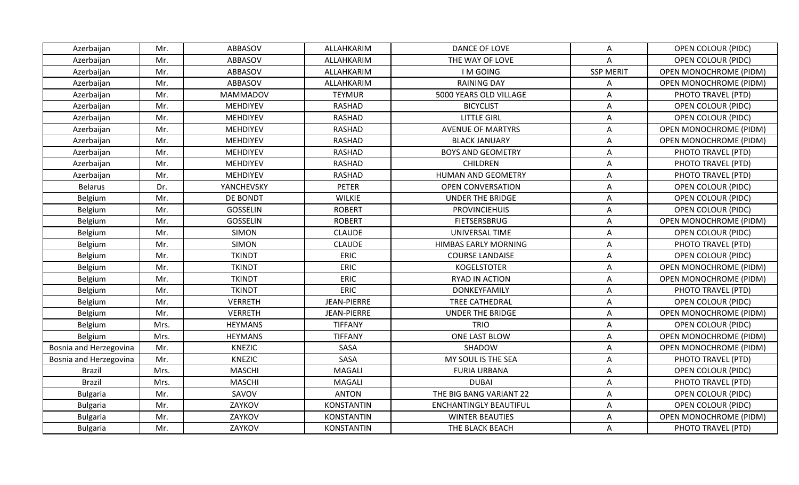| Azerbaijan             | Mr.  | ABBASOV         | ALLAHKARIM         | DANCE OF LOVE                 | Α                | <b>OPEN COLOUR (PIDC)</b>     |
|------------------------|------|-----------------|--------------------|-------------------------------|------------------|-------------------------------|
| Azerbaijan             | Mr.  | ABBASOV         | ALLAHKARIM         | THE WAY OF LOVE               | A                | <b>OPEN COLOUR (PIDC)</b>     |
| Azerbaijan             | Mr.  | ABBASOV         | ALLAHKARIM         | <b>IMGOING</b>                | <b>SSP MERIT</b> | OPEN MONOCHROME (PIDM)        |
| Azerbaijan             | Mr.  | ABBASOV         | ALLAHKARIM         | <b>RAINING DAY</b>            | A                | OPEN MONOCHROME (PIDM)        |
| Azerbaijan             | Mr.  | <b>MAMMADOV</b> | <b>TEYMUR</b>      | 5000 YEARS OLD VILLAGE        | A                | PHOTO TRAVEL (PTD)            |
| Azerbaijan             | Mr.  | MEHDIYEV        | <b>RASHAD</b>      | <b>BICYCLIST</b>              | Α                | <b>OPEN COLOUR (PIDC)</b>     |
| Azerbaijan             | Mr.  | <b>MEHDIYEV</b> | <b>RASHAD</b>      | <b>LITTLE GIRL</b>            | A                | <b>OPEN COLOUR (PIDC)</b>     |
| Azerbaijan             | Mr.  | MEHDIYEV        | <b>RASHAD</b>      | <b>AVENUE OF MARTYRS</b>      | A                | <b>OPEN MONOCHROME (PIDM)</b> |
| Azerbaijan             | Mr.  | MEHDIYEV        | <b>RASHAD</b>      | <b>BLACK JANUARY</b>          | A                | <b>OPEN MONOCHROME (PIDM)</b> |
| Azerbaijan             | Mr.  | MEHDIYEV        | RASHAD             | <b>BOYS AND GEOMETRY</b>      | A                | PHOTO TRAVEL (PTD)            |
| Azerbaijan             | Mr.  | MEHDIYEV        | <b>RASHAD</b>      | <b>CHILDREN</b>               | Α                | PHOTO TRAVEL (PTD)            |
| Azerbaijan             | Mr.  | MEHDIYEV        | <b>RASHAD</b>      | HUMAN AND GEOMETRY            | A                | PHOTO TRAVEL (PTD)            |
| <b>Belarus</b>         | Dr.  | YANCHEVSKY      | <b>PETER</b>       | <b>OPEN CONVERSATION</b>      | A                | <b>OPEN COLOUR (PIDC)</b>     |
| Belgium                | Mr.  | DE BONDT        | <b>WILKIE</b>      | <b>UNDER THE BRIDGE</b>       | A                | OPEN COLOUR (PIDC)            |
| Belgium                | Mr.  | <b>GOSSELIN</b> | <b>ROBERT</b>      | <b>PROVINCIEHUIS</b>          | A                | <b>OPEN COLOUR (PIDC)</b>     |
| Belgium                | Mr.  | <b>GOSSELIN</b> | <b>ROBERT</b>      | <b>FIETSERSBRUG</b>           | A                | <b>OPEN MONOCHROME (PIDM)</b> |
| Belgium                | Mr.  | <b>SIMON</b>    | <b>CLAUDE</b>      | UNIVERSAL TIME                | A                | OPEN COLOUR (PIDC)            |
| Belgium                | Mr.  | <b>SIMON</b>    | <b>CLAUDE</b>      | HIMBAS EARLY MORNING          | A                | PHOTO TRAVEL (PTD)            |
| Belgium                | Mr.  | <b>TKINDT</b>   | <b>ERIC</b>        | <b>COURSE LANDAISE</b>        | A                | <b>OPEN COLOUR (PIDC)</b>     |
| Belgium                | Mr.  | <b>TKINDT</b>   | <b>ERIC</b>        | <b>KOGELSTOTER</b>            | A                | <b>OPEN MONOCHROME (PIDM)</b> |
| Belgium                | Mr.  | <b>TKINDT</b>   | <b>ERIC</b>        | RYAD IN ACTION                | A                | <b>OPEN MONOCHROME (PIDM)</b> |
| Belgium                | Mr.  | <b>TKINDT</b>   | <b>ERIC</b>        | DONKEYFAMILY                  | A                | PHOTO TRAVEL (PTD)            |
| Belgium                | Mr.  | <b>VERRETH</b>  | <b>JEAN-PIERRE</b> | <b>TREE CATHEDRAL</b>         | A                | <b>OPEN COLOUR (PIDC)</b>     |
| Belgium                | Mr.  | <b>VERRETH</b>  | JEAN-PIERRE        | <b>UNDER THE BRIDGE</b>       | A                | <b>OPEN MONOCHROME (PIDM)</b> |
| Belgium                | Mrs. | <b>HEYMANS</b>  | <b>TIFFANY</b>     | <b>TRIO</b>                   | Α                | OPEN COLOUR (PIDC)            |
| Belgium                | Mrs. | <b>HEYMANS</b>  | <b>TIFFANY</b>     | ONE LAST BLOW                 | Α                | <b>OPEN MONOCHROME (PIDM)</b> |
| Bosnia and Herzegovina | Mr.  | <b>KNEZIC</b>   | SASA               | SHADOW                        | A                | <b>OPEN MONOCHROME (PIDM)</b> |
| Bosnia and Herzegovina | Mr.  | <b>KNEZIC</b>   | SASA               | MY SOUL IS THE SEA            | A                | PHOTO TRAVEL (PTD)            |
| <b>Brazil</b>          | Mrs. | <b>MASCHI</b>   | MAGALI             | <b>FURIA URBANA</b>           | A                | OPEN COLOUR (PIDC)            |
| <b>Brazil</b>          | Mrs. | <b>MASCHI</b>   | MAGALI             | <b>DUBAI</b>                  | Α                | PHOTO TRAVEL (PTD)            |
| <b>Bulgaria</b>        | Mr.  | SAVOV           | <b>ANTON</b>       | THE BIG BANG VARIANT 22       | A                | OPEN COLOUR (PIDC)            |
| <b>Bulgaria</b>        | Mr.  | ZAYKOV          | <b>KONSTANTIN</b>  | <b>ENCHANTINGLY BEAUTIFUL</b> | A                | <b>OPEN COLOUR (PIDC)</b>     |
| <b>Bulgaria</b>        | Mr.  | ZAYKOV          | <b>KONSTANTIN</b>  | <b>WINTER BEAUTIES</b>        | A                | OPEN MONOCHROME (PIDM)        |
| <b>Bulgaria</b>        | Mr.  | ZAYKOV          | <b>KONSTANTIN</b>  | THE BLACK BEACH               | Α                | PHOTO TRAVEL (PTD)            |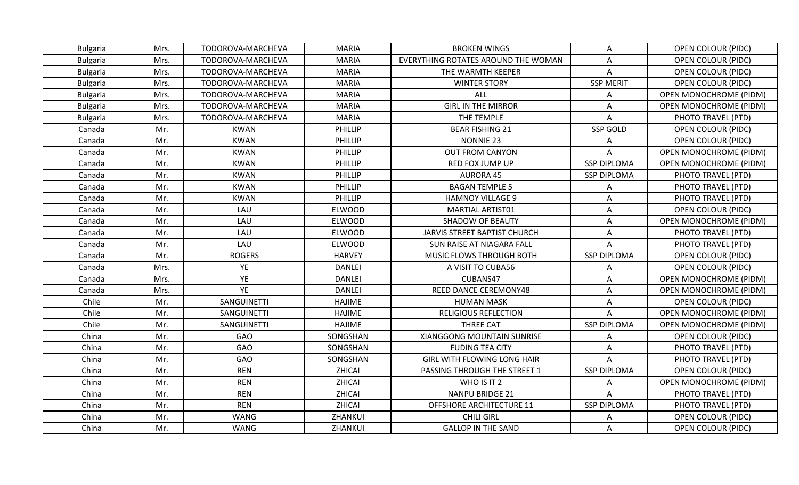| <b>Bulgaria</b> | Mrs. | TODOROVA-MARCHEVA | <b>MARIA</b>  | <b>BROKEN WINGS</b>                 | Α                  | OPEN COLOUR (PIDC)            |
|-----------------|------|-------------------|---------------|-------------------------------------|--------------------|-------------------------------|
| <b>Bulgaria</b> | Mrs. | TODOROVA-MARCHEVA | <b>MARIA</b>  | EVERYTHING ROTATES AROUND THE WOMAN | A                  | <b>OPEN COLOUR (PIDC)</b>     |
| <b>Bulgaria</b> | Mrs. | TODOROVA-MARCHEVA | <b>MARIA</b>  | THE WARMTH KEEPER                   | A                  | OPEN COLOUR (PIDC)            |
| <b>Bulgaria</b> | Mrs. | TODOROVA-MARCHEVA | <b>MARIA</b>  | <b>WINTER STORY</b>                 | <b>SSP MERIT</b>   | OPEN COLOUR (PIDC)            |
| <b>Bulgaria</b> | Mrs. | TODOROVA-MARCHEVA | <b>MARIA</b>  | ALL                                 | Α                  | <b>OPEN MONOCHROME (PIDM)</b> |
| <b>Bulgaria</b> | Mrs. | TODOROVA-MARCHEVA | <b>MARIA</b>  | <b>GIRL IN THE MIRROR</b>           | A                  | <b>OPEN MONOCHROME (PIDM)</b> |
| <b>Bulgaria</b> | Mrs. | TODOROVA-MARCHEVA | <b>MARIA</b>  | THE TEMPLE                          | A                  | PHOTO TRAVEL (PTD)            |
| Canada          | Mr.  | <b>KWAN</b>       | PHILLIP       | <b>BEAR FISHING 21</b>              | <b>SSP GOLD</b>    | <b>OPEN COLOUR (PIDC)</b>     |
| Canada          | Mr.  | <b>KWAN</b>       | PHILLIP       | NONNIE 23                           | A                  | OPEN COLOUR (PIDC)            |
| Canada          | Mr.  | <b>KWAN</b>       | PHILLIP       | <b>OUT FROM CANYON</b>              | Α                  | <b>OPEN MONOCHROME (PIDM)</b> |
| Canada          | Mr.  | <b>KWAN</b>       | PHILLIP       | <b>RED FOX JUMP UP</b>              | <b>SSP DIPLOMA</b> | <b>OPEN MONOCHROME (PIDM)</b> |
| Canada          | Mr.  | <b>KWAN</b>       | PHILLIP       | <b>AURORA 45</b>                    | <b>SSP DIPLOMA</b> | PHOTO TRAVEL (PTD)            |
| Canada          | Mr.  | <b>KWAN</b>       | PHILLIP       | <b>BAGAN TEMPLE 5</b>               | A                  | PHOTO TRAVEL (PTD)            |
| Canada          | Mr.  | <b>KWAN</b>       | PHILLIP       | <b>HAMNOY VILLAGE 9</b>             | Α                  | PHOTO TRAVEL (PTD)            |
| Canada          | Mr.  | LAU               | ELWOOD        | <b>MARTIAL ARTIST01</b>             | A                  | OPEN COLOUR (PIDC)            |
| Canada          | Mr.  | LAU               | <b>ELWOOD</b> | SHADOW OF BEAUTY                    | Α                  | OPEN MONOCHROME (PIDM)        |
| Canada          | Mr.  | LAU               | <b>ELWOOD</b> | <b>JARVIS STREET BAPTIST CHURCH</b> | A                  | PHOTO TRAVEL (PTD)            |
| Canada          | Mr.  | LAU               | <b>ELWOOD</b> | SUN RAISE AT NIAGARA FALL           | A                  | PHOTO TRAVEL (PTD)            |
| Canada          | Mr.  | <b>ROGERS</b>     | <b>HARVEY</b> | MUSIC FLOWS THROUGH BOTH            | <b>SSP DIPLOMA</b> | <b>OPEN COLOUR (PIDC)</b>     |
| Canada          | Mrs. | YE                | <b>DANLEI</b> | A VISIT TO CUBA56                   | Α                  | <b>OPEN COLOUR (PIDC)</b>     |
| Canada          | Mrs. | YE                | <b>DANLEI</b> | CUBANS47                            | Α                  | <b>OPEN MONOCHROME (PIDM)</b> |
| Canada          | Mrs. | YE                | <b>DANLEI</b> | REED DANCE CEREMONY48               | A                  | <b>OPEN MONOCHROME (PIDM)</b> |
| Chile           | Mr.  | SANGUINETTI       | <b>HAJIME</b> | <b>HUMAN MASK</b>                   | A                  | <b>OPEN COLOUR (PIDC)</b>     |
| Chile           | Mr.  | SANGUINETTI       | <b>HAJIME</b> | <b>RELIGIOUS REFLECTION</b>         | Α                  | <b>OPEN MONOCHROME (PIDM)</b> |
| Chile           | Mr.  | SANGUINETTI       | <b>HAJIME</b> | <b>THREE CAT</b>                    | <b>SSP DIPLOMA</b> | <b>OPEN MONOCHROME (PIDM)</b> |
| China           | Mr.  | <b>GAO</b>        | SONGSHAN      | XIANGGONG MOUNTAIN SUNRISE          | A                  | <b>OPEN COLOUR (PIDC)</b>     |
| China           | Mr.  | GAO               | SONGSHAN      | <b>FUDING TEA CITY</b>              | A                  | PHOTO TRAVEL (PTD)            |
| China           | Mr.  | GAO               | SONGSHAN      | GIRL WITH FLOWING LONG HAIR         | A                  | PHOTO TRAVEL (PTD)            |
| China           | Mr.  | <b>REN</b>        | ZHICAI        | PASSING THROUGH THE STREET 1        | <b>SSP DIPLOMA</b> | OPEN COLOUR (PIDC)            |
| China           | Mr.  | <b>REN</b>        | ZHICAI        | WHO IS IT 2                         | Α                  | <b>OPEN MONOCHROME (PIDM)</b> |
| China           | Mr.  | <b>REN</b>        | ZHICAI        | <b>NANPU BRIDGE 21</b>              | Α                  | PHOTO TRAVEL (PTD)            |
| China           | Mr.  | <b>REN</b>        | ZHICAI        | OFFSHORE ARCHITECTURE 11            | <b>SSP DIPLOMA</b> | PHOTO TRAVEL (PTD)            |
| China           | Mr.  | <b>WANG</b>       | ZHANKUI       | <b>CHILI GIRL</b>                   | Α                  | <b>OPEN COLOUR (PIDC)</b>     |
| China           | Mr.  | WANG              | ZHANKUI       | <b>GALLOP IN THE SAND</b>           | A                  | OPEN COLOUR (PIDC)            |
|                 |      |                   |               |                                     |                    |                               |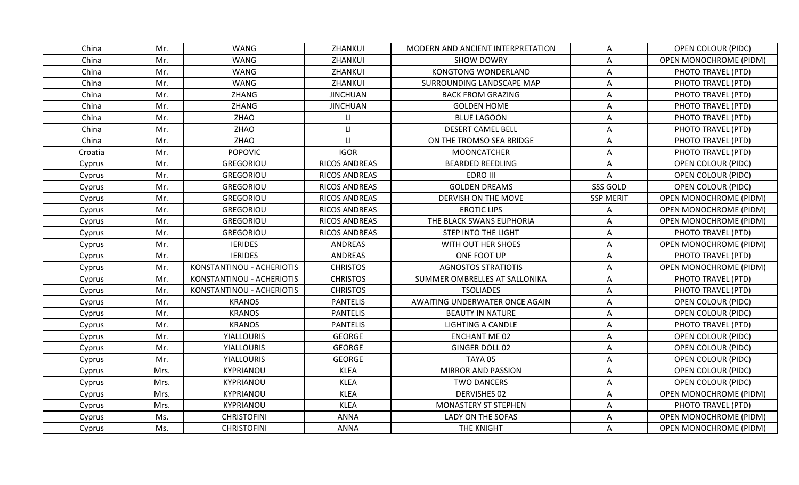| China<br><b>WANG</b><br>ZHANKUI<br>MODERN AND ANCIENT INTERPRETATION<br><b>OPEN COLOUR (PIDC)</b><br>Mr.<br>Α<br><b>WANG</b><br>ZHANKUI<br>China<br>Mr.<br><b>SHOW DOWRY</b><br>OPEN MONOCHROME (PIDM)<br>A<br><b>WANG</b><br>ZHANKUI<br><b>KONGTONG WONDERLAND</b><br>China<br>Mr.<br>PHOTO TRAVEL (PTD)<br>Α<br><b>WANG</b><br>China<br>Mr.<br>ZHANKUI<br>SURROUNDING LANDSCAPE MAP<br>A<br>PHOTO TRAVEL (PTD)<br>China<br>Mr.<br>ZHANG<br><b>JINCHUAN</b><br><b>BACK FROM GRAZING</b><br>A<br>PHOTO TRAVEL (PTD)<br>China<br>Mr.<br>ZHANG<br><b>GOLDEN HOME</b><br><b>JINCHUAN</b><br>Α<br>PHOTO TRAVEL (PTD)<br>ZHAO<br><b>BLUE LAGOON</b><br>China<br>Mr.<br>$\mathsf{L}\mathsf{I}$<br>PHOTO TRAVEL (PTD)<br>A<br>Mr.<br>ZHAO<br><b>DESERT CAMEL BELL</b><br>China<br>$\mathsf{L}$<br>PHOTO TRAVEL (PTD)<br>Α<br>ZHAO<br>China<br>$\mathsf{L}$<br>ON THE TROMSO SEA BRIDGE<br>Mr.<br>A<br>PHOTO TRAVEL (PTD)<br><b>IGOR</b><br>Mr.<br><b>POPOVIC</b><br><b>MOONCATCHER</b><br>PHOTO TRAVEL (PTD)<br>Croatia<br>A<br>Mr.<br><b>GREGORIOU</b><br><b>RICOS ANDREAS</b><br><b>BEARDED REEDLING</b><br>Cyprus<br>Α<br>OPEN COLOUR (PIDC)<br>Mr.<br>GREGORIOU<br>RICOS ANDREAS<br>EDRO III<br>A<br>Cyprus<br><b>OPEN COLOUR (PIDC)</b><br><b>GOLDEN DREAMS</b><br>Mr.<br><b>GREGORIOU</b><br>RICOS ANDREAS<br>SSS GOLD<br><b>OPEN COLOUR (PIDC)</b><br>Cyprus<br>Mr.<br>GREGORIOU<br>RICOS ANDREAS<br><b>SSP MERIT</b><br>Cyprus<br>DERVISH ON THE MOVE<br><b>OPEN MONOCHROME (PIDM)</b><br>Mr.<br>GREGORIOU<br><b>EROTIC LIPS</b><br>RICOS ANDREAS<br><b>OPEN MONOCHROME (PIDM)</b><br>Cyprus<br>Α<br>Mr.<br><b>GREGORIOU</b><br>THE BLACK SWANS EUPHORIA<br><b>RICOS ANDREAS</b><br><b>OPEN MONOCHROME (PIDM)</b><br>Cyprus<br>A<br>Mr.<br>GREGORIOU<br>RICOS ANDREAS<br><b>STEP INTO THE LIGHT</b><br>A<br>PHOTO TRAVEL (PTD)<br>Cyprus<br>WITH OUT HER SHOES<br>OPEN MONOCHROME (PIDM)<br>Mr.<br><b>IERIDES</b><br>ANDREAS<br>Α<br>Cyprus<br><b>IERIDES</b><br>ANDREAS<br>Cyprus<br>Mr.<br>ONE FOOT UP<br>A<br>PHOTO TRAVEL (PTD)<br>KONSTANTINOU - ACHERIOTIS<br>Mr.<br><b>CHRISTOS</b><br><b>AGNOSTOS STRATIOTIS</b><br>A<br><b>OPEN MONOCHROME (PIDM)</b><br>Cyprus<br>Mr.<br>KONSTANTINOU - ACHERIOTIS<br><b>CHRISTOS</b><br>SUMMER OMBRELLES AT SALLONIKA<br>PHOTO TRAVEL (PTD)<br>Cyprus<br>Α<br>KONSTANTINOU - ACHERIOTIS<br><b>CHRISTOS</b><br><b>TSOLIADES</b><br>Cyprus<br>Mr.<br>A<br>PHOTO TRAVEL (PTD)<br><b>KRANOS</b><br><b>PANTELIS</b><br>AWAITING UNDERWATER ONCE AGAIN<br>Mr.<br>A<br><b>OPEN COLOUR (PIDC)</b><br>Cyprus<br><b>KRANOS</b><br>Mr.<br><b>PANTELIS</b><br><b>BEAUTY IN NATURE</b><br><b>OPEN COLOUR (PIDC)</b><br>Cyprus<br>A<br><b>KRANOS</b><br>Mr.<br><b>PANTELIS</b><br><b>LIGHTING A CANDLE</b><br>Cyprus<br>Α<br>PHOTO TRAVEL (PTD)<br><b>GEORGE</b><br>Mr.<br><b>YIALLOURIS</b><br><b>ENCHANT ME 02</b><br><b>OPEN COLOUR (PIDC)</b><br>Cyprus<br>Α<br>Mr.<br><b>YIALLOURIS</b><br><b>GEORGE</b><br>GINGER DOLL 02<br>A<br>Cyprus<br>OPEN COLOUR (PIDC)<br>Mr.<br><b>YIALLOURIS</b><br><b>GEORGE</b><br>TAYA 05<br>A<br><b>OPEN COLOUR (PIDC)</b><br>Cyprus<br><b>KLEA</b><br>Mrs.<br>KYPRIANOU<br><b>MIRROR AND PASSION</b><br>A<br><b>OPEN COLOUR (PIDC)</b><br>Cyprus<br><b>KLEA</b><br>Mrs.<br>KYPRIANOU<br><b>TWO DANCERS</b><br>A<br>OPEN COLOUR (PIDC)<br>Cyprus<br><b>KLEA</b><br><b>DERVISHES 02</b><br>Mrs.<br>KYPRIANOU<br>A<br><b>OPEN MONOCHROME (PIDM)</b><br>Cyprus<br>KYPRIANOU<br><b>KLEA</b><br>MONASTERY ST STEPHEN<br>PHOTO TRAVEL (PTD)<br>Cyprus<br>Mrs.<br>Α<br><b>CHRISTOFINI</b><br><b>ANNA</b><br><b>OPEN MONOCHROME (PIDM)</b><br>Ms.<br>LADY ON THE SOFAS<br>A<br>Cyprus<br>Ms.<br><b>CHRISTOFINI</b><br><b>ANNA</b><br>THE KNIGHT<br>Α<br><b>OPEN MONOCHROME (PIDM)</b><br>Cyprus |  |  |  |  |
|-----------------------------------------------------------------------------------------------------------------------------------------------------------------------------------------------------------------------------------------------------------------------------------------------------------------------------------------------------------------------------------------------------------------------------------------------------------------------------------------------------------------------------------------------------------------------------------------------------------------------------------------------------------------------------------------------------------------------------------------------------------------------------------------------------------------------------------------------------------------------------------------------------------------------------------------------------------------------------------------------------------------------------------------------------------------------------------------------------------------------------------------------------------------------------------------------------------------------------------------------------------------------------------------------------------------------------------------------------------------------------------------------------------------------------------------------------------------------------------------------------------------------------------------------------------------------------------------------------------------------------------------------------------------------------------------------------------------------------------------------------------------------------------------------------------------------------------------------------------------------------------------------------------------------------------------------------------------------------------------------------------------------------------------------------------------------------------------------------------------------------------------------------------------------------------------------------------------------------------------------------------------------------------------------------------------------------------------------------------------------------------------------------------------------------------------------------------------------------------------------------------------------------------------------------------------------------------------------------------------------------------------------------------------------------------------------------------------------------------------------------------------------------------------------------------------------------------------------------------------------------------------------------------------------------------------------------------------------------------------------------------------------------------------------------------------------------------------------------------------------------------------------------------------------------------------------------------------------------------------------------------------------------------------------------------------------------------------------------------------------------------------------------------------------------------------------------------------------------------------------------------------------------------------------------------------------------------------------------------------------------------------------------------------------------------------------------------------------------------------------------------|--|--|--|--|
|                                                                                                                                                                                                                                                                                                                                                                                                                                                                                                                                                                                                                                                                                                                                                                                                                                                                                                                                                                                                                                                                                                                                                                                                                                                                                                                                                                                                                                                                                                                                                                                                                                                                                                                                                                                                                                                                                                                                                                                                                                                                                                                                                                                                                                                                                                                                                                                                                                                                                                                                                                                                                                                                                                                                                                                                                                                                                                                                                                                                                                                                                                                                                                                                                                                                                                                                                                                                                                                                                                                                                                                                                                                                                                                                                           |  |  |  |  |
|                                                                                                                                                                                                                                                                                                                                                                                                                                                                                                                                                                                                                                                                                                                                                                                                                                                                                                                                                                                                                                                                                                                                                                                                                                                                                                                                                                                                                                                                                                                                                                                                                                                                                                                                                                                                                                                                                                                                                                                                                                                                                                                                                                                                                                                                                                                                                                                                                                                                                                                                                                                                                                                                                                                                                                                                                                                                                                                                                                                                                                                                                                                                                                                                                                                                                                                                                                                                                                                                                                                                                                                                                                                                                                                                                           |  |  |  |  |
|                                                                                                                                                                                                                                                                                                                                                                                                                                                                                                                                                                                                                                                                                                                                                                                                                                                                                                                                                                                                                                                                                                                                                                                                                                                                                                                                                                                                                                                                                                                                                                                                                                                                                                                                                                                                                                                                                                                                                                                                                                                                                                                                                                                                                                                                                                                                                                                                                                                                                                                                                                                                                                                                                                                                                                                                                                                                                                                                                                                                                                                                                                                                                                                                                                                                                                                                                                                                                                                                                                                                                                                                                                                                                                                                                           |  |  |  |  |
|                                                                                                                                                                                                                                                                                                                                                                                                                                                                                                                                                                                                                                                                                                                                                                                                                                                                                                                                                                                                                                                                                                                                                                                                                                                                                                                                                                                                                                                                                                                                                                                                                                                                                                                                                                                                                                                                                                                                                                                                                                                                                                                                                                                                                                                                                                                                                                                                                                                                                                                                                                                                                                                                                                                                                                                                                                                                                                                                                                                                                                                                                                                                                                                                                                                                                                                                                                                                                                                                                                                                                                                                                                                                                                                                                           |  |  |  |  |
|                                                                                                                                                                                                                                                                                                                                                                                                                                                                                                                                                                                                                                                                                                                                                                                                                                                                                                                                                                                                                                                                                                                                                                                                                                                                                                                                                                                                                                                                                                                                                                                                                                                                                                                                                                                                                                                                                                                                                                                                                                                                                                                                                                                                                                                                                                                                                                                                                                                                                                                                                                                                                                                                                                                                                                                                                                                                                                                                                                                                                                                                                                                                                                                                                                                                                                                                                                                                                                                                                                                                                                                                                                                                                                                                                           |  |  |  |  |
|                                                                                                                                                                                                                                                                                                                                                                                                                                                                                                                                                                                                                                                                                                                                                                                                                                                                                                                                                                                                                                                                                                                                                                                                                                                                                                                                                                                                                                                                                                                                                                                                                                                                                                                                                                                                                                                                                                                                                                                                                                                                                                                                                                                                                                                                                                                                                                                                                                                                                                                                                                                                                                                                                                                                                                                                                                                                                                                                                                                                                                                                                                                                                                                                                                                                                                                                                                                                                                                                                                                                                                                                                                                                                                                                                           |  |  |  |  |
|                                                                                                                                                                                                                                                                                                                                                                                                                                                                                                                                                                                                                                                                                                                                                                                                                                                                                                                                                                                                                                                                                                                                                                                                                                                                                                                                                                                                                                                                                                                                                                                                                                                                                                                                                                                                                                                                                                                                                                                                                                                                                                                                                                                                                                                                                                                                                                                                                                                                                                                                                                                                                                                                                                                                                                                                                                                                                                                                                                                                                                                                                                                                                                                                                                                                                                                                                                                                                                                                                                                                                                                                                                                                                                                                                           |  |  |  |  |
|                                                                                                                                                                                                                                                                                                                                                                                                                                                                                                                                                                                                                                                                                                                                                                                                                                                                                                                                                                                                                                                                                                                                                                                                                                                                                                                                                                                                                                                                                                                                                                                                                                                                                                                                                                                                                                                                                                                                                                                                                                                                                                                                                                                                                                                                                                                                                                                                                                                                                                                                                                                                                                                                                                                                                                                                                                                                                                                                                                                                                                                                                                                                                                                                                                                                                                                                                                                                                                                                                                                                                                                                                                                                                                                                                           |  |  |  |  |
|                                                                                                                                                                                                                                                                                                                                                                                                                                                                                                                                                                                                                                                                                                                                                                                                                                                                                                                                                                                                                                                                                                                                                                                                                                                                                                                                                                                                                                                                                                                                                                                                                                                                                                                                                                                                                                                                                                                                                                                                                                                                                                                                                                                                                                                                                                                                                                                                                                                                                                                                                                                                                                                                                                                                                                                                                                                                                                                                                                                                                                                                                                                                                                                                                                                                                                                                                                                                                                                                                                                                                                                                                                                                                                                                                           |  |  |  |  |
|                                                                                                                                                                                                                                                                                                                                                                                                                                                                                                                                                                                                                                                                                                                                                                                                                                                                                                                                                                                                                                                                                                                                                                                                                                                                                                                                                                                                                                                                                                                                                                                                                                                                                                                                                                                                                                                                                                                                                                                                                                                                                                                                                                                                                                                                                                                                                                                                                                                                                                                                                                                                                                                                                                                                                                                                                                                                                                                                                                                                                                                                                                                                                                                                                                                                                                                                                                                                                                                                                                                                                                                                                                                                                                                                                           |  |  |  |  |
|                                                                                                                                                                                                                                                                                                                                                                                                                                                                                                                                                                                                                                                                                                                                                                                                                                                                                                                                                                                                                                                                                                                                                                                                                                                                                                                                                                                                                                                                                                                                                                                                                                                                                                                                                                                                                                                                                                                                                                                                                                                                                                                                                                                                                                                                                                                                                                                                                                                                                                                                                                                                                                                                                                                                                                                                                                                                                                                                                                                                                                                                                                                                                                                                                                                                                                                                                                                                                                                                                                                                                                                                                                                                                                                                                           |  |  |  |  |
|                                                                                                                                                                                                                                                                                                                                                                                                                                                                                                                                                                                                                                                                                                                                                                                                                                                                                                                                                                                                                                                                                                                                                                                                                                                                                                                                                                                                                                                                                                                                                                                                                                                                                                                                                                                                                                                                                                                                                                                                                                                                                                                                                                                                                                                                                                                                                                                                                                                                                                                                                                                                                                                                                                                                                                                                                                                                                                                                                                                                                                                                                                                                                                                                                                                                                                                                                                                                                                                                                                                                                                                                                                                                                                                                                           |  |  |  |  |
|                                                                                                                                                                                                                                                                                                                                                                                                                                                                                                                                                                                                                                                                                                                                                                                                                                                                                                                                                                                                                                                                                                                                                                                                                                                                                                                                                                                                                                                                                                                                                                                                                                                                                                                                                                                                                                                                                                                                                                                                                                                                                                                                                                                                                                                                                                                                                                                                                                                                                                                                                                                                                                                                                                                                                                                                                                                                                                                                                                                                                                                                                                                                                                                                                                                                                                                                                                                                                                                                                                                                                                                                                                                                                                                                                           |  |  |  |  |
|                                                                                                                                                                                                                                                                                                                                                                                                                                                                                                                                                                                                                                                                                                                                                                                                                                                                                                                                                                                                                                                                                                                                                                                                                                                                                                                                                                                                                                                                                                                                                                                                                                                                                                                                                                                                                                                                                                                                                                                                                                                                                                                                                                                                                                                                                                                                                                                                                                                                                                                                                                                                                                                                                                                                                                                                                                                                                                                                                                                                                                                                                                                                                                                                                                                                                                                                                                                                                                                                                                                                                                                                                                                                                                                                                           |  |  |  |  |
|                                                                                                                                                                                                                                                                                                                                                                                                                                                                                                                                                                                                                                                                                                                                                                                                                                                                                                                                                                                                                                                                                                                                                                                                                                                                                                                                                                                                                                                                                                                                                                                                                                                                                                                                                                                                                                                                                                                                                                                                                                                                                                                                                                                                                                                                                                                                                                                                                                                                                                                                                                                                                                                                                                                                                                                                                                                                                                                                                                                                                                                                                                                                                                                                                                                                                                                                                                                                                                                                                                                                                                                                                                                                                                                                                           |  |  |  |  |
|                                                                                                                                                                                                                                                                                                                                                                                                                                                                                                                                                                                                                                                                                                                                                                                                                                                                                                                                                                                                                                                                                                                                                                                                                                                                                                                                                                                                                                                                                                                                                                                                                                                                                                                                                                                                                                                                                                                                                                                                                                                                                                                                                                                                                                                                                                                                                                                                                                                                                                                                                                                                                                                                                                                                                                                                                                                                                                                                                                                                                                                                                                                                                                                                                                                                                                                                                                                                                                                                                                                                                                                                                                                                                                                                                           |  |  |  |  |
|                                                                                                                                                                                                                                                                                                                                                                                                                                                                                                                                                                                                                                                                                                                                                                                                                                                                                                                                                                                                                                                                                                                                                                                                                                                                                                                                                                                                                                                                                                                                                                                                                                                                                                                                                                                                                                                                                                                                                                                                                                                                                                                                                                                                                                                                                                                                                                                                                                                                                                                                                                                                                                                                                                                                                                                                                                                                                                                                                                                                                                                                                                                                                                                                                                                                                                                                                                                                                                                                                                                                                                                                                                                                                                                                                           |  |  |  |  |
|                                                                                                                                                                                                                                                                                                                                                                                                                                                                                                                                                                                                                                                                                                                                                                                                                                                                                                                                                                                                                                                                                                                                                                                                                                                                                                                                                                                                                                                                                                                                                                                                                                                                                                                                                                                                                                                                                                                                                                                                                                                                                                                                                                                                                                                                                                                                                                                                                                                                                                                                                                                                                                                                                                                                                                                                                                                                                                                                                                                                                                                                                                                                                                                                                                                                                                                                                                                                                                                                                                                                                                                                                                                                                                                                                           |  |  |  |  |
|                                                                                                                                                                                                                                                                                                                                                                                                                                                                                                                                                                                                                                                                                                                                                                                                                                                                                                                                                                                                                                                                                                                                                                                                                                                                                                                                                                                                                                                                                                                                                                                                                                                                                                                                                                                                                                                                                                                                                                                                                                                                                                                                                                                                                                                                                                                                                                                                                                                                                                                                                                                                                                                                                                                                                                                                                                                                                                                                                                                                                                                                                                                                                                                                                                                                                                                                                                                                                                                                                                                                                                                                                                                                                                                                                           |  |  |  |  |
|                                                                                                                                                                                                                                                                                                                                                                                                                                                                                                                                                                                                                                                                                                                                                                                                                                                                                                                                                                                                                                                                                                                                                                                                                                                                                                                                                                                                                                                                                                                                                                                                                                                                                                                                                                                                                                                                                                                                                                                                                                                                                                                                                                                                                                                                                                                                                                                                                                                                                                                                                                                                                                                                                                                                                                                                                                                                                                                                                                                                                                                                                                                                                                                                                                                                                                                                                                                                                                                                                                                                                                                                                                                                                                                                                           |  |  |  |  |
|                                                                                                                                                                                                                                                                                                                                                                                                                                                                                                                                                                                                                                                                                                                                                                                                                                                                                                                                                                                                                                                                                                                                                                                                                                                                                                                                                                                                                                                                                                                                                                                                                                                                                                                                                                                                                                                                                                                                                                                                                                                                                                                                                                                                                                                                                                                                                                                                                                                                                                                                                                                                                                                                                                                                                                                                                                                                                                                                                                                                                                                                                                                                                                                                                                                                                                                                                                                                                                                                                                                                                                                                                                                                                                                                                           |  |  |  |  |
|                                                                                                                                                                                                                                                                                                                                                                                                                                                                                                                                                                                                                                                                                                                                                                                                                                                                                                                                                                                                                                                                                                                                                                                                                                                                                                                                                                                                                                                                                                                                                                                                                                                                                                                                                                                                                                                                                                                                                                                                                                                                                                                                                                                                                                                                                                                                                                                                                                                                                                                                                                                                                                                                                                                                                                                                                                                                                                                                                                                                                                                                                                                                                                                                                                                                                                                                                                                                                                                                                                                                                                                                                                                                                                                                                           |  |  |  |  |
|                                                                                                                                                                                                                                                                                                                                                                                                                                                                                                                                                                                                                                                                                                                                                                                                                                                                                                                                                                                                                                                                                                                                                                                                                                                                                                                                                                                                                                                                                                                                                                                                                                                                                                                                                                                                                                                                                                                                                                                                                                                                                                                                                                                                                                                                                                                                                                                                                                                                                                                                                                                                                                                                                                                                                                                                                                                                                                                                                                                                                                                                                                                                                                                                                                                                                                                                                                                                                                                                                                                                                                                                                                                                                                                                                           |  |  |  |  |
|                                                                                                                                                                                                                                                                                                                                                                                                                                                                                                                                                                                                                                                                                                                                                                                                                                                                                                                                                                                                                                                                                                                                                                                                                                                                                                                                                                                                                                                                                                                                                                                                                                                                                                                                                                                                                                                                                                                                                                                                                                                                                                                                                                                                                                                                                                                                                                                                                                                                                                                                                                                                                                                                                                                                                                                                                                                                                                                                                                                                                                                                                                                                                                                                                                                                                                                                                                                                                                                                                                                                                                                                                                                                                                                                                           |  |  |  |  |
|                                                                                                                                                                                                                                                                                                                                                                                                                                                                                                                                                                                                                                                                                                                                                                                                                                                                                                                                                                                                                                                                                                                                                                                                                                                                                                                                                                                                                                                                                                                                                                                                                                                                                                                                                                                                                                                                                                                                                                                                                                                                                                                                                                                                                                                                                                                                                                                                                                                                                                                                                                                                                                                                                                                                                                                                                                                                                                                                                                                                                                                                                                                                                                                                                                                                                                                                                                                                                                                                                                                                                                                                                                                                                                                                                           |  |  |  |  |
|                                                                                                                                                                                                                                                                                                                                                                                                                                                                                                                                                                                                                                                                                                                                                                                                                                                                                                                                                                                                                                                                                                                                                                                                                                                                                                                                                                                                                                                                                                                                                                                                                                                                                                                                                                                                                                                                                                                                                                                                                                                                                                                                                                                                                                                                                                                                                                                                                                                                                                                                                                                                                                                                                                                                                                                                                                                                                                                                                                                                                                                                                                                                                                                                                                                                                                                                                                                                                                                                                                                                                                                                                                                                                                                                                           |  |  |  |  |
|                                                                                                                                                                                                                                                                                                                                                                                                                                                                                                                                                                                                                                                                                                                                                                                                                                                                                                                                                                                                                                                                                                                                                                                                                                                                                                                                                                                                                                                                                                                                                                                                                                                                                                                                                                                                                                                                                                                                                                                                                                                                                                                                                                                                                                                                                                                                                                                                                                                                                                                                                                                                                                                                                                                                                                                                                                                                                                                                                                                                                                                                                                                                                                                                                                                                                                                                                                                                                                                                                                                                                                                                                                                                                                                                                           |  |  |  |  |
|                                                                                                                                                                                                                                                                                                                                                                                                                                                                                                                                                                                                                                                                                                                                                                                                                                                                                                                                                                                                                                                                                                                                                                                                                                                                                                                                                                                                                                                                                                                                                                                                                                                                                                                                                                                                                                                                                                                                                                                                                                                                                                                                                                                                                                                                                                                                                                                                                                                                                                                                                                                                                                                                                                                                                                                                                                                                                                                                                                                                                                                                                                                                                                                                                                                                                                                                                                                                                                                                                                                                                                                                                                                                                                                                                           |  |  |  |  |
|                                                                                                                                                                                                                                                                                                                                                                                                                                                                                                                                                                                                                                                                                                                                                                                                                                                                                                                                                                                                                                                                                                                                                                                                                                                                                                                                                                                                                                                                                                                                                                                                                                                                                                                                                                                                                                                                                                                                                                                                                                                                                                                                                                                                                                                                                                                                                                                                                                                                                                                                                                                                                                                                                                                                                                                                                                                                                                                                                                                                                                                                                                                                                                                                                                                                                                                                                                                                                                                                                                                                                                                                                                                                                                                                                           |  |  |  |  |
|                                                                                                                                                                                                                                                                                                                                                                                                                                                                                                                                                                                                                                                                                                                                                                                                                                                                                                                                                                                                                                                                                                                                                                                                                                                                                                                                                                                                                                                                                                                                                                                                                                                                                                                                                                                                                                                                                                                                                                                                                                                                                                                                                                                                                                                                                                                                                                                                                                                                                                                                                                                                                                                                                                                                                                                                                                                                                                                                                                                                                                                                                                                                                                                                                                                                                                                                                                                                                                                                                                                                                                                                                                                                                                                                                           |  |  |  |  |
|                                                                                                                                                                                                                                                                                                                                                                                                                                                                                                                                                                                                                                                                                                                                                                                                                                                                                                                                                                                                                                                                                                                                                                                                                                                                                                                                                                                                                                                                                                                                                                                                                                                                                                                                                                                                                                                                                                                                                                                                                                                                                                                                                                                                                                                                                                                                                                                                                                                                                                                                                                                                                                                                                                                                                                                                                                                                                                                                                                                                                                                                                                                                                                                                                                                                                                                                                                                                                                                                                                                                                                                                                                                                                                                                                           |  |  |  |  |
|                                                                                                                                                                                                                                                                                                                                                                                                                                                                                                                                                                                                                                                                                                                                                                                                                                                                                                                                                                                                                                                                                                                                                                                                                                                                                                                                                                                                                                                                                                                                                                                                                                                                                                                                                                                                                                                                                                                                                                                                                                                                                                                                                                                                                                                                                                                                                                                                                                                                                                                                                                                                                                                                                                                                                                                                                                                                                                                                                                                                                                                                                                                                                                                                                                                                                                                                                                                                                                                                                                                                                                                                                                                                                                                                                           |  |  |  |  |
|                                                                                                                                                                                                                                                                                                                                                                                                                                                                                                                                                                                                                                                                                                                                                                                                                                                                                                                                                                                                                                                                                                                                                                                                                                                                                                                                                                                                                                                                                                                                                                                                                                                                                                                                                                                                                                                                                                                                                                                                                                                                                                                                                                                                                                                                                                                                                                                                                                                                                                                                                                                                                                                                                                                                                                                                                                                                                                                                                                                                                                                                                                                                                                                                                                                                                                                                                                                                                                                                                                                                                                                                                                                                                                                                                           |  |  |  |  |
|                                                                                                                                                                                                                                                                                                                                                                                                                                                                                                                                                                                                                                                                                                                                                                                                                                                                                                                                                                                                                                                                                                                                                                                                                                                                                                                                                                                                                                                                                                                                                                                                                                                                                                                                                                                                                                                                                                                                                                                                                                                                                                                                                                                                                                                                                                                                                                                                                                                                                                                                                                                                                                                                                                                                                                                                                                                                                                                                                                                                                                                                                                                                                                                                                                                                                                                                                                                                                                                                                                                                                                                                                                                                                                                                                           |  |  |  |  |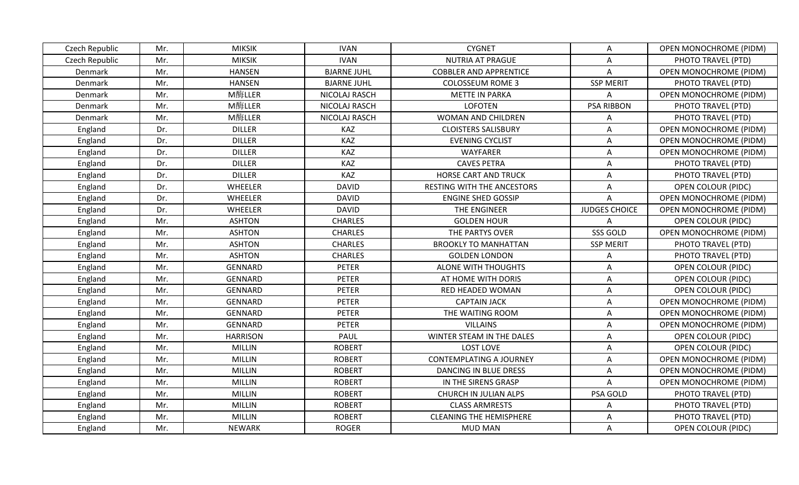| Czech Republic | Mr. | <b>MIKSIK</b>   | <b>IVAN</b>        | <b>CYGNET</b>                     | A                    | <b>OPEN MONOCHROME (PIDM)</b> |
|----------------|-----|-----------------|--------------------|-----------------------------------|----------------------|-------------------------------|
| Czech Republic | Mr. | <b>MIKSIK</b>   | <b>IVAN</b>        | <b>NUTRIA AT PRAGUE</b>           | A                    | PHOTO TRAVEL (PTD)            |
| Denmark        | Mr. | <b>HANSEN</b>   | <b>BJARNE JUHL</b> | <b>COBBLER AND APPRENTICE</b>     | Α                    | OPEN MONOCHROME (PIDM)        |
| Denmark        | Mr. | <b>HANSEN</b>   | <b>BJARNE JUHL</b> | <b>COLOSSEUM ROME 3</b>           | <b>SSP MERIT</b>     | PHOTO TRAVEL (PTD)            |
| Denmark        | Mr. | M酶LLER          | NICOLAJ RASCH      | <b>METTE IN PARKA</b>             | A                    | <b>OPEN MONOCHROME (PIDM)</b> |
| Denmark        | Mr. | M酶LLER          | NICOLAJ RASCH      | <b>LOFOTEN</b>                    | <b>PSA RIBBON</b>    | PHOTO TRAVEL (PTD)            |
| Denmark        | Mr. | M酶LLER          | NICOLAJ RASCH      | WOMAN AND CHILDREN                | A                    | PHOTO TRAVEL (PTD)            |
| England        | Dr. | <b>DILLER</b>   | KAZ                | <b>CLOISTERS SALISBURY</b>        | Α                    | <b>OPEN MONOCHROME (PIDM)</b> |
| England        | Dr. | <b>DILLER</b>   | KAZ                | <b>EVENING CYCLIST</b>            | A                    | <b>OPEN MONOCHROME (PIDM)</b> |
| England        | Dr. | <b>DILLER</b>   | KAZ                | <b>WAYFARER</b>                   | A                    | <b>OPEN MONOCHROME (PIDM)</b> |
| England        | Dr. | <b>DILLER</b>   | KAZ                | <b>CAVES PETRA</b>                | A                    | PHOTO TRAVEL (PTD)            |
| England        | Dr. | <b>DILLER</b>   | KAZ                | <b>HORSE CART AND TRUCK</b>       | A                    | PHOTO TRAVEL (PTD)            |
| England        | Dr. | WHEELER         | <b>DAVID</b>       | <b>RESTING WITH THE ANCESTORS</b> | A                    | <b>OPEN COLOUR (PIDC)</b>     |
| England        | Dr. | WHEELER         | <b>DAVID</b>       | <b>ENGINE SHED GOSSIP</b>         | Α                    | <b>OPEN MONOCHROME (PIDM)</b> |
| England        | Dr. | WHEELER         | <b>DAVID</b>       | THE ENGINEER                      | <b>JUDGES CHOICE</b> | <b>OPEN MONOCHROME (PIDM)</b> |
| England        | Mr. | <b>ASHTON</b>   | <b>CHARLES</b>     | <b>GOLDEN HOUR</b>                | A                    | OPEN COLOUR (PIDC)            |
| England        | Mr. | <b>ASHTON</b>   | <b>CHARLES</b>     | THE PARTYS OVER                   | SSS GOLD             | OPEN MONOCHROME (PIDM)        |
| England        | Mr. | <b>ASHTON</b>   | <b>CHARLES</b>     | <b>BROOKLY TO MANHATTAN</b>       | <b>SSP MERIT</b>     | PHOTO TRAVEL (PTD)            |
| England        | Mr. | <b>ASHTON</b>   | <b>CHARLES</b>     | <b>GOLDEN LONDON</b>              | A                    | PHOTO TRAVEL (PTD)            |
| England        | Mr. | <b>GENNARD</b>  | <b>PETER</b>       | <b>ALONE WITH THOUGHTS</b>        | A                    | <b>OPEN COLOUR (PIDC)</b>     |
| England        | Mr. | <b>GENNARD</b>  | <b>PETER</b>       | AT HOME WITH DORIS                | Α                    | OPEN COLOUR (PIDC)            |
| England        | Mr. | <b>GENNARD</b>  | <b>PETER</b>       | RED HEADED WOMAN                  | A                    | <b>OPEN COLOUR (PIDC)</b>     |
| England        | Mr. | GENNARD         | <b>PETER</b>       | <b>CAPTAIN JACK</b>               | A                    | <b>OPEN MONOCHROME (PIDM)</b> |
| England        | Mr. | GENNARD         | <b>PETER</b>       | THE WAITING ROOM                  | A                    | <b>OPEN MONOCHROME (PIDM)</b> |
| England        | Mr. | GENNARD         | <b>PETER</b>       | <b>VILLAINS</b>                   | A                    | OPEN MONOCHROME (PIDM)        |
| England        | Mr. | <b>HARRISON</b> | PAUL               | WINTER STEAM IN THE DALES         | Α                    | OPEN COLOUR (PIDC)            |
| England        | Mr. | <b>MILLIN</b>   | <b>ROBERT</b>      | LOST LOVE                         | A                    | <b>OPEN COLOUR (PIDC)</b>     |
| England        | Mr. | <b>MILLIN</b>   | <b>ROBERT</b>      | <b>CONTEMPLATING A JOURNEY</b>    | A                    | OPEN MONOCHROME (PIDM)        |
| England        | Mr. | <b>MILLIN</b>   | <b>ROBERT</b>      | DANCING IN BLUE DRESS             | A                    | <b>OPEN MONOCHROME (PIDM)</b> |
| England        | Mr. | <b>MILLIN</b>   | <b>ROBERT</b>      | IN THE SIRENS GRASP               | A                    | <b>OPEN MONOCHROME (PIDM)</b> |
| England        | Mr. | <b>MILLIN</b>   | <b>ROBERT</b>      | CHURCH IN JULIAN ALPS             | PSA GOLD             | PHOTO TRAVEL (PTD)            |
| England        | Mr. | <b>MILLIN</b>   | <b>ROBERT</b>      | <b>CLASS ARMRESTS</b>             | Α                    | PHOTO TRAVEL (PTD)            |
| England        | Mr. | <b>MILLIN</b>   | <b>ROBERT</b>      | <b>CLEANING THE HEMISPHERE</b>    | A                    | PHOTO TRAVEL (PTD)            |
| England        | Mr. | <b>NEWARK</b>   | <b>ROGER</b>       | <b>MUD MAN</b>                    | Α                    | OPEN COLOUR (PIDC)            |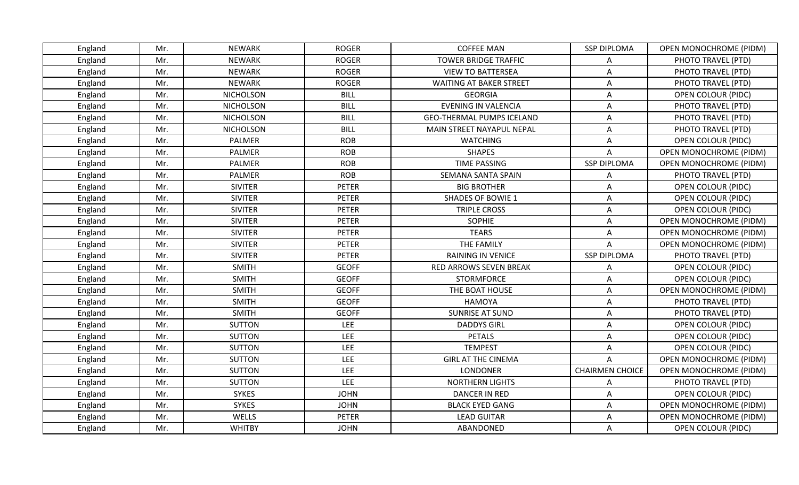| England | Mr. | <b>NEWARK</b>    | <b>ROGER</b> | <b>COFFEE MAN</b>                | <b>SSP DIPLOMA</b>     | <b>OPEN MONOCHROME (PIDM)</b> |
|---------|-----|------------------|--------------|----------------------------------|------------------------|-------------------------------|
| England | Mr. | <b>NEWARK</b>    | <b>ROGER</b> | <b>TOWER BRIDGE TRAFFIC</b>      | A                      | PHOTO TRAVEL (PTD)            |
| England | Mr. | <b>NEWARK</b>    | <b>ROGER</b> | <b>VIEW TO BATTERSEA</b>         | Α                      | PHOTO TRAVEL (PTD)            |
| England | Mr. | <b>NEWARK</b>    | <b>ROGER</b> | <b>WAITING AT BAKER STREET</b>   | A                      | PHOTO TRAVEL (PTD)            |
| England | Mr. | <b>NICHOLSON</b> | <b>BILL</b>  | <b>GEORGIA</b>                   | A                      | <b>OPEN COLOUR (PIDC)</b>     |
| England | Mr. | <b>NICHOLSON</b> | <b>BILL</b>  | <b>EVENING IN VALENCIA</b>       | A                      | PHOTO TRAVEL (PTD)            |
| England | Mr. | <b>NICHOLSON</b> | <b>BILL</b>  | <b>GEO-THERMAL PUMPS ICELAND</b> | A                      | PHOTO TRAVEL (PTD)            |
| England | Mr. | <b>NICHOLSON</b> | <b>BILL</b>  | MAIN STREET NAYAPUL NEPAL        | A                      | PHOTO TRAVEL (PTD)            |
| England | Mr. | PALMER           | <b>ROB</b>   | <b>WATCHING</b>                  | A                      | OPEN COLOUR (PIDC)            |
| England | Mr. | PALMER           | <b>ROB</b>   | <b>SHAPES</b>                    | A                      | <b>OPEN MONOCHROME (PIDM)</b> |
| England | Mr. | PALMER           | <b>ROB</b>   | <b>TIME PASSING</b>              | <b>SSP DIPLOMA</b>     | <b>OPEN MONOCHROME (PIDM)</b> |
| England | Mr. | <b>PALMER</b>    | <b>ROB</b>   | SEMANA SANTA SPAIN               | Α                      | PHOTO TRAVEL (PTD)            |
| England | Mr. | <b>SIVITER</b>   | <b>PETER</b> | <b>BIG BROTHER</b>               | A                      | <b>OPEN COLOUR (PIDC)</b>     |
| England | Mr. | <b>SIVITER</b>   | <b>PETER</b> | <b>SHADES OF BOWIE 1</b>         | A                      | OPEN COLOUR (PIDC)            |
| England | Mr. | <b>SIVITER</b>   | <b>PETER</b> | <b>TRIPLE CROSS</b>              | A                      | <b>OPEN COLOUR (PIDC)</b>     |
| England | Mr. | <b>SIVITER</b>   | <b>PETER</b> | <b>SOPHIE</b>                    | Α                      | <b>OPEN MONOCHROME (PIDM)</b> |
| England | Mr. | <b>SIVITER</b>   | <b>PETER</b> | <b>TEARS</b>                     | A                      | OPEN MONOCHROME (PIDM)        |
| England | Mr. | <b>SIVITER</b>   | <b>PETER</b> | THE FAMILY                       | A                      | <b>OPEN MONOCHROME (PIDM)</b> |
| England | Mr. | <b>SIVITER</b>   | <b>PETER</b> | <b>RAINING IN VENICE</b>         | <b>SSP DIPLOMA</b>     | PHOTO TRAVEL (PTD)            |
| England | Mr. | <b>SMITH</b>     | <b>GEOFF</b> | RED ARROWS SEVEN BREAK           | A                      | <b>OPEN COLOUR (PIDC)</b>     |
| England | Mr. | <b>SMITH</b>     | <b>GEOFF</b> | <b>STORMFORCE</b>                | Α                      | OPEN COLOUR (PIDC)            |
| England | Mr. | <b>SMITH</b>     | <b>GEOFF</b> | THE BOAT HOUSE                   | Α                      | OPEN MONOCHROME (PIDM)        |
| England | Mr. | <b>SMITH</b>     | <b>GEOFF</b> | <b>HAMOYA</b>                    | A                      | PHOTO TRAVEL (PTD)            |
| England | Mr. | <b>SMITH</b>     | <b>GEOFF</b> | <b>SUNRISE AT SUND</b>           | A                      | PHOTO TRAVEL (PTD)            |
| England | Mr. | <b>SUTTON</b>    | LEE          | <b>DADDYS GIRL</b>               | A                      | <b>OPEN COLOUR (PIDC)</b>     |
| England | Mr. | <b>SUTTON</b>    | LEE          | <b>PETALS</b>                    | Α                      | OPEN COLOUR (PIDC)            |
| England | Mr. | <b>SUTTON</b>    | LEE          | <b>TEMPEST</b>                   | A                      | <b>OPEN COLOUR (PIDC)</b>     |
| England | Mr. | <b>SUTTON</b>    | LEE          | <b>GIRL AT THE CINEMA</b>        | A                      | OPEN MONOCHROME (PIDM)        |
| England | Mr. | <b>SUTTON</b>    | LEE          | <b>LONDONER</b>                  | <b>CHAIRMEN CHOICE</b> | <b>OPEN MONOCHROME (PIDM)</b> |
| England | Mr. | <b>SUTTON</b>    | LEE          | NORTHERN LIGHTS                  | A                      | PHOTO TRAVEL (PTD)            |
| England | Mr. | <b>SYKES</b>     | <b>JOHN</b>  | <b>DANCER IN RED</b>             | A                      | OPEN COLOUR (PIDC)            |
| England | Mr. | <b>SYKES</b>     | <b>JOHN</b>  | <b>BLACK EYED GANG</b>           | Α                      | OPEN MONOCHROME (PIDM)        |
| England | Mr. | WELLS            | <b>PETER</b> | <b>LEAD GUITAR</b>               | A                      | <b>OPEN MONOCHROME (PIDM)</b> |
| England | Mr. | <b>WHITBY</b>    | <b>JOHN</b>  | ABANDONED                        | Α                      | <b>OPEN COLOUR (PIDC)</b>     |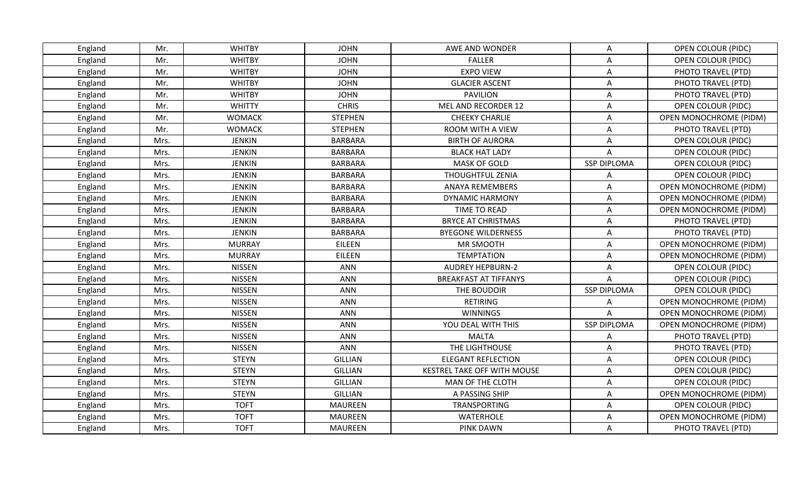| England | Mr.  | <b>WHITBY</b> | <b>JOHN</b>    | AWE AND WONDER               | Α                  | <b>OPEN COLOUR (PIDC)</b>     |
|---------|------|---------------|----------------|------------------------------|--------------------|-------------------------------|
| England | Mr.  | <b>WHITBY</b> | <b>JOHN</b>    | <b>FALLER</b>                | A                  | <b>OPEN COLOUR (PIDC)</b>     |
| England | Mr.  | <b>WHITBY</b> | <b>JOHN</b>    | <b>EXPO VIEW</b>             | A                  | PHOTO TRAVEL (PTD)            |
| England | Mr.  | <b>WHITBY</b> | <b>JOHN</b>    | <b>GLACIER ASCENT</b>        | A                  | PHOTO TRAVEL (PTD)            |
| England | Mr.  | <b>WHITBY</b> | <b>JOHN</b>    | <b>PAVILION</b>              | A                  | PHOTO TRAVEL (PTD)            |
| England | Mr.  | <b>WHITTY</b> | <b>CHRIS</b>   | MEL AND RECORDER 12          | A                  | <b>OPEN COLOUR (PIDC)</b>     |
| England | Mr.  | <b>WOMACK</b> | <b>STEPHEN</b> | <b>CHEEKY CHARLIE</b>        | A                  | OPEN MONOCHROME (PIDM)        |
| England | Mr.  | <b>WOMACK</b> | <b>STEPHEN</b> | ROOM WITH A VIEW             | A                  | PHOTO TRAVEL (PTD)            |
| England | Mrs. | <b>JENKIN</b> | BARBARA        | <b>BIRTH OF AURORA</b>       | A                  | OPEN COLOUR (PIDC)            |
| England | Mrs. | <b>JENKIN</b> | <b>BARBARA</b> | <b>BLACK HAT LADY</b>        | A                  | <b>OPEN COLOUR (PIDC)</b>     |
| England | Mrs. | <b>JENKIN</b> | BARBARA        | <b>MASK OF GOLD</b>          | <b>SSP DIPLOMA</b> | <b>OPEN COLOUR (PIDC)</b>     |
| England | Mrs. | <b>JENKIN</b> | <b>BARBARA</b> | <b>THOUGHTFUL ZENIA</b>      | A                  | <b>OPEN COLOUR (PIDC)</b>     |
| England | Mrs. | <b>JENKIN</b> | <b>BARBARA</b> | <b>ANAYA REMEMBERS</b>       | A                  | OPEN MONOCHROME (PIDM)        |
| England | Mrs. | <b>JENKIN</b> | <b>BARBARA</b> | DYNAMIC HARMONY              | Α                  | <b>OPEN MONOCHROME (PIDM)</b> |
| England | Mrs. | <b>JENKIN</b> | <b>BARBARA</b> | TIME TO READ                 | A                  | OPEN MONOCHROME (PIDM)        |
| England | Mrs. | <b>JENKIN</b> | <b>BARBARA</b> | <b>BRYCE AT CHRISTMAS</b>    | A                  | PHOTO TRAVEL (PTD)            |
| England | Mrs. | <b>JENKIN</b> | <b>BARBARA</b> | <b>BYEGONE WILDERNESS</b>    | A                  | PHOTO TRAVEL (PTD)            |
| England | Mrs. | <b>MURRAY</b> | EILEEN         | <b>MR SMOOTH</b>             | A                  | OPEN MONOCHROME (PIDM)        |
| England | Mrs. | <b>MURRAY</b> | EILEEN         | <b>TEMPTATION</b>            | A                  | <b>OPEN MONOCHROME (PIDM)</b> |
| England | Mrs. | <b>NISSEN</b> | <b>ANN</b>     | <b>AUDREY HEPBURN-2</b>      | A                  | OPEN COLOUR (PIDC)            |
| England | Mrs. | <b>NISSEN</b> | <b>ANN</b>     | <b>BREAKFAST AT TIFFANYS</b> | A                  | OPEN COLOUR (PIDC)            |
| England | Mrs. | <b>NISSEN</b> | <b>ANN</b>     | THE BOUDOIR                  | <b>SSP DIPLOMA</b> | <b>OPEN COLOUR (PIDC)</b>     |
| England | Mrs. | <b>NISSEN</b> | <b>ANN</b>     | <b>RETIRING</b>              | A                  | <b>OPEN MONOCHROME (PIDM)</b> |
| England | Mrs. | <b>NISSEN</b> | <b>ANN</b>     | <b>WINNINGS</b>              | Α                  | <b>OPEN MONOCHROME (PIDM)</b> |
| England | Mrs. | <b>NISSEN</b> | <b>ANN</b>     | YOU DEAL WITH THIS           | <b>SSP DIPLOMA</b> | OPEN MONOCHROME (PIDM)        |
| England | Mrs. | <b>NISSEN</b> | <b>ANN</b>     | <b>MALTA</b>                 | A                  | PHOTO TRAVEL (PTD)            |
| England | Mrs. | <b>NISSEN</b> | <b>ANN</b>     | THE LIGHTHOUSE               | A                  | PHOTO TRAVEL (PTD)            |
| England | Mrs. | <b>STEYN</b>  | <b>GILLIAN</b> | <b>ELEGANT REFLECTION</b>    | A                  | <b>OPEN COLOUR (PIDC)</b>     |
| England | Mrs. | <b>STEYN</b>  | GILLIAN        | KESTREL TAKE OFF WITH MOUSE  | A                  | <b>OPEN COLOUR (PIDC)</b>     |
| England | Mrs. | <b>STEYN</b>  | GILLIAN        | MAN OF THE CLOTH             | A                  | <b>OPEN COLOUR (PIDC)</b>     |
| England | Mrs. | <b>STEYN</b>  | <b>GILLIAN</b> | A PASSING SHIP               | A                  | <b>OPEN MONOCHROME (PIDM)</b> |
| England | Mrs. | <b>TOFT</b>   | <b>MAUREEN</b> | TRANSPORTING                 | A                  | <b>OPEN COLOUR (PIDC)</b>     |
| England | Mrs. | <b>TOFT</b>   | <b>MAUREEN</b> | WATERHOLE                    | A                  | OPEN MONOCHROME (PIDM)        |
| England | Mrs. | <b>TOFT</b>   | <b>MAUREEN</b> | <b>PINK DAWN</b>             | A                  | PHOTO TRAVEL (PTD)            |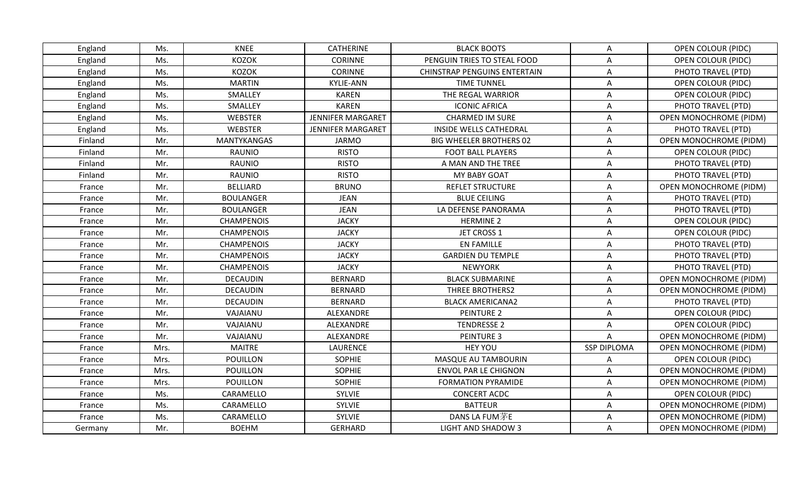| England | Ms.  | <b>KNEE</b>        | <b>CATHERINE</b>         | <b>BLACK BOOTS</b>                  | Α                  | <b>OPEN COLOUR (PIDC)</b>     |
|---------|------|--------------------|--------------------------|-------------------------------------|--------------------|-------------------------------|
| England | Ms.  | <b>KOZOK</b>       | <b>CORINNE</b>           | PENGUIN TRIES TO STEAL FOOD         | A                  | OPEN COLOUR (PIDC)            |
| England | Ms.  | <b>KOZOK</b>       | <b>CORINNE</b>           | <b>CHINSTRAP PENGUINS ENTERTAIN</b> | A                  | PHOTO TRAVEL (PTD)            |
| England | Ms.  | <b>MARTIN</b>      | <b>KYLIE-ANN</b>         | <b>TIME TUNNEL</b>                  | A                  | <b>OPEN COLOUR (PIDC)</b>     |
| England | Ms.  | SMALLEY            | <b>KAREN</b>             | THE REGAL WARRIOR                   | A                  | <b>OPEN COLOUR (PIDC)</b>     |
| England | Ms.  | SMALLEY            | <b>KAREN</b>             | <b>ICONIC AFRICA</b>                | Α                  | PHOTO TRAVEL (PTD)            |
| England | Ms.  | <b>WEBSTER</b>     | <b>JENNIFER MARGARET</b> | <b>CHARMED IM SURE</b>              | A                  | <b>OPEN MONOCHROME (PIDM)</b> |
| England | Ms.  | <b>WEBSTER</b>     | <b>JENNIFER MARGARET</b> | INSIDE WELLS CATHEDRAL              | A                  | PHOTO TRAVEL (PTD)            |
| Finland | Mr.  | <b>MANTYKANGAS</b> | <b>JARMO</b>             | <b>BIG WHEELER BROTHERS 02</b>      | A                  | <b>OPEN MONOCHROME (PIDM)</b> |
| Finland | Mr.  | <b>RAUNIO</b>      | <b>RISTO</b>             | <b>FOOT BALL PLAYERS</b>            | A                  | <b>OPEN COLOUR (PIDC)</b>     |
| Finland | Mr.  | <b>RAUNIO</b>      | <b>RISTO</b>             | A MAN AND THE TREE                  | Α                  | PHOTO TRAVEL (PTD)            |
| Finland | Mr.  | <b>RAUNIO</b>      | <b>RISTO</b>             | <b>MY BABY GOAT</b>                 | A                  | PHOTO TRAVEL (PTD)            |
| France  | Mr.  | <b>BELLIARD</b>    | <b>BRUNO</b>             | <b>REFLET STRUCTURE</b>             | A                  | OPEN MONOCHROME (PIDM)        |
| France  | Mr.  | <b>BOULANGER</b>   | <b>JEAN</b>              | <b>BLUE CEILING</b>                 | A                  | PHOTO TRAVEL (PTD)            |
| France  | Mr.  | <b>BOULANGER</b>   | <b>JEAN</b>              | LA DEFENSE PANORAMA                 | A                  | PHOTO TRAVEL (PTD)            |
| France  | Mr.  | <b>CHAMPENOIS</b>  | <b>JACKY</b>             | <b>HERMINE 2</b>                    | A                  | <b>OPEN COLOUR (PIDC)</b>     |
| France  | Mr.  | <b>CHAMPENOIS</b>  | <b>JACKY</b>             | JET CROSS 1                         | A                  | <b>OPEN COLOUR (PIDC)</b>     |
| France  | Mr.  | <b>CHAMPENOIS</b>  | <b>JACKY</b>             | <b>EN FAMILLE</b>                   | A                  | PHOTO TRAVEL (PTD)            |
| France  | Mr.  | <b>CHAMPENOIS</b>  | <b>JACKY</b>             | <b>GARDIEN DU TEMPLE</b>            | A                  | PHOTO TRAVEL (PTD)            |
| France  | Mr.  | <b>CHAMPENOIS</b>  | <b>JACKY</b>             | <b>NEWYORK</b>                      | A                  | PHOTO TRAVEL (PTD)            |
| France  | Mr.  | <b>DECAUDIN</b>    | <b>BERNARD</b>           | <b>BLACK SUBMARINE</b>              | A                  | <b>OPEN MONOCHROME (PIDM)</b> |
| France  | Mr.  | <b>DECAUDIN</b>    | <b>BERNARD</b>           | <b>THREE BROTHERS2</b>              | Α                  | <b>OPEN MONOCHROME (PIDM)</b> |
| France  | Mr.  | <b>DECAUDIN</b>    | <b>BERNARD</b>           | <b>BLACK AMERICANA2</b>             | A                  | PHOTO TRAVEL (PTD)            |
| France  | Mr.  | VAJAIANU           | ALEXANDRE                | <b>PEINTURE 2</b>                   | A                  | <b>OPEN COLOUR (PIDC)</b>     |
| France  | Mr.  | VAJAIANU           | ALEXANDRE                | <b>TENDRESSE 2</b>                  | Α                  | <b>OPEN COLOUR (PIDC)</b>     |
| France  | Mr.  | VAJAIANU           | ALEXANDRE                | <b>PEINTURE 3</b>                   | A                  | <b>OPEN MONOCHROME (PIDM)</b> |
| France  | Mrs. | <b>MAITRE</b>      | LAURENCE                 | <b>HEY YOU</b>                      | <b>SSP DIPLOMA</b> | <b>OPEN MONOCHROME (PIDM)</b> |
| France  | Mrs. | POUILLON           | <b>SOPHIE</b>            | MASQUE AU TAMBOURIN                 | A                  | <b>OPEN COLOUR (PIDC)</b>     |
| France  | Mrs. | POUILLON           | <b>SOPHIE</b>            | <b>ENVOL PAR LE CHIGNON</b>         | A                  | <b>OPEN MONOCHROME (PIDM)</b> |
| France  | Mrs. | <b>POUILLON</b>    | <b>SOPHIE</b>            | <b>FORMATION PYRAMIDE</b>           | A                  | <b>OPEN MONOCHROME (PIDM)</b> |
| France  | Ms.  | CARAMELLO          | SYLVIE                   | <b>CONCERT ACDC</b>                 | A                  | <b>OPEN COLOUR (PIDC)</b>     |
| France  | Ms.  | CARAMELLO          | SYLVIE                   | <b>BATTEUR</b>                      | Α                  | <b>OPEN MONOCHROME (PIDM)</b> |
| France  | Ms.  | CARAMELLO          | SYLVIE                   | DANS LA FUM茅E                       | A                  | <b>OPEN MONOCHROME (PIDM)</b> |
| Germany | Mr.  | <b>BOEHM</b>       | GERHARD                  | LIGHT AND SHADOW 3                  | Α                  | <b>OPEN MONOCHROME (PIDM)</b> |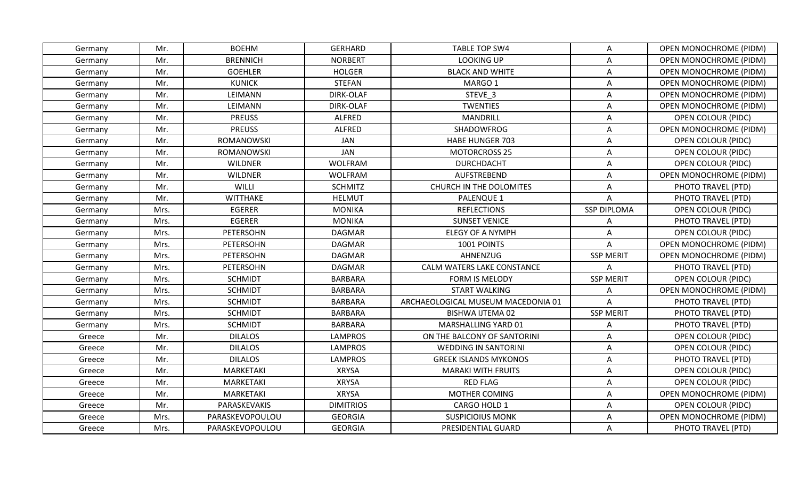| Germany | Mr.  | <b>BOEHM</b>     | <b>GERHARD</b>   | <b>TABLE TOP SW4</b>               | Α                  | <b>OPEN MONOCHROME (PIDM)</b> |
|---------|------|------------------|------------------|------------------------------------|--------------------|-------------------------------|
| Germany | Mr.  | <b>BRENNICH</b>  | <b>NORBERT</b>   | <b>LOOKING UP</b>                  | Α                  | <b>OPEN MONOCHROME (PIDM)</b> |
| Germany | Mr.  | <b>GOEHLER</b>   | <b>HOLGER</b>    | <b>BLACK AND WHITE</b>             | Α                  | <b>OPEN MONOCHROME (PIDM)</b> |
| Germany | Mr.  | <b>KUNICK</b>    | <b>STEFAN</b>    | MARGO 1                            | A                  | <b>OPEN MONOCHROME (PIDM)</b> |
| Germany | Mr.  | LEIMANN          | DIRK-OLAF        | STEVE 3                            | A                  | <b>OPEN MONOCHROME (PIDM)</b> |
| Germany | Mr.  | LEIMANN          | DIRK-OLAF        | <b>TWENTIES</b>                    | Α                  | <b>OPEN MONOCHROME (PIDM)</b> |
| Germany | Mr.  | <b>PREUSS</b>    | <b>ALFRED</b>    | <b>MANDRILL</b>                    | A                  | <b>OPEN COLOUR (PIDC)</b>     |
| Germany | Mr.  | <b>PREUSS</b>    | <b>ALFRED</b>    | SHADOWFROG                         | Α                  | <b>OPEN MONOCHROME (PIDM)</b> |
| Germany | Mr.  | ROMANOWSKI       | JAN              | <b>HABE HUNGER 703</b>             | A                  | <b>OPEN COLOUR (PIDC)</b>     |
| Germany | Mr.  | ROMANOWSKI       | <b>JAN</b>       | <b>MOTORCROSS 25</b>               | Α                  | <b>OPEN COLOUR (PIDC)</b>     |
| Germany | Mr.  | <b>WILDNER</b>   | <b>WOLFRAM</b>   | <b>DURCHDACHT</b>                  | Α                  | <b>OPEN COLOUR (PIDC)</b>     |
| Germany | Mr.  | <b>WILDNER</b>   | <b>WOLFRAM</b>   | <b>AUFSTREBEND</b>                 | A                  | <b>OPEN MONOCHROME (PIDM)</b> |
| Germany | Mr.  | WILLI            | <b>SCHMITZ</b>   | CHURCH IN THE DOLOMITES            | Α                  | PHOTO TRAVEL (PTD)            |
| Germany | Mr.  | <b>WITTHAKE</b>  | <b>HELMUT</b>    | PALENQUE 1                         | Α                  | PHOTO TRAVEL (PTD)            |
| Germany | Mrs. | <b>EGERER</b>    | <b>MONIKA</b>    | <b>REFLECTIONS</b>                 | <b>SSP DIPLOMA</b> | <b>OPEN COLOUR (PIDC)</b>     |
| Germany | Mrs. | <b>EGERER</b>    | <b>MONIKA</b>    | <b>SUNSET VENICE</b>               | A                  | PHOTO TRAVEL (PTD)            |
| Germany | Mrs. | <b>PETERSOHN</b> | <b>DAGMAR</b>    | <b>ELEGY OF A NYMPH</b>            | A                  | <b>OPEN COLOUR (PIDC)</b>     |
| Germany | Mrs. | <b>PETERSOHN</b> | <b>DAGMAR</b>    | 1001 POINTS                        | $\overline{A}$     | <b>OPEN MONOCHROME (PIDM)</b> |
| Germany | Mrs. | PETERSOHN        | DAGMAR           | AHNENZUG                           | <b>SSP MERIT</b>   | <b>OPEN MONOCHROME (PIDM)</b> |
| Germany | Mrs. | PETERSOHN        | <b>DAGMAR</b>    | CALM WATERS LAKE CONSTANCE         | Α                  | PHOTO TRAVEL (PTD)            |
| Germany | Mrs. | <b>SCHMIDT</b>   | <b>BARBARA</b>   | <b>FORM IS MELODY</b>              | <b>SSP MERIT</b>   | OPEN COLOUR (PIDC)            |
| Germany | Mrs. | <b>SCHMIDT</b>   | <b>BARBARA</b>   | <b>START WALKING</b>               | Α                  | OPEN MONOCHROME (PIDM)        |
| Germany | Mrs. | <b>SCHMIDT</b>   | <b>BARBARA</b>   | ARCHAEOLOGICAL MUSEUM MACEDONIA 01 | A                  | PHOTO TRAVEL (PTD)            |
| Germany | Mrs. | <b>SCHMIDT</b>   | <b>BARBARA</b>   | <b>BISHWA IJTEMA 02</b>            | <b>SSP MERIT</b>   | PHOTO TRAVEL (PTD)            |
| Germany | Mrs. | <b>SCHMIDT</b>   | <b>BARBARA</b>   | MARSHALLING YARD 01                | A                  | PHOTO TRAVEL (PTD)            |
| Greece  | Mr.  | <b>DILALOS</b>   | <b>LAMPROS</b>   | ON THE BALCONY OF SANTORINI        | Α                  | OPEN COLOUR (PIDC)            |
| Greece  | Mr.  | <b>DILALOS</b>   | <b>LAMPROS</b>   | <b>WEDDING IN SANTORINI</b>        | A                  | OPEN COLOUR (PIDC)            |
| Greece  | Mr.  | <b>DILALOS</b>   | <b>LAMPROS</b>   | <b>GREEK ISLANDS MYKONOS</b>       | A                  | PHOTO TRAVEL (PTD)            |
| Greece  | Mr.  | <b>MARKETAKI</b> | <b>XRYSA</b>     | <b>MARAKI WITH FRUITS</b>          | Α                  | OPEN COLOUR (PIDC)            |
| Greece  | Mr.  | <b>MARKETAKI</b> | <b>XRYSA</b>     | <b>RED FLAG</b>                    | $\mathsf A$        | OPEN COLOUR (PIDC)            |
| Greece  | Mr.  | MARKETAKI        | <b>XRYSA</b>     | MOTHER COMING                      | A                  | <b>OPEN MONOCHROME (PIDM)</b> |
| Greece  | Mr.  | PARASKEVAKIS     | <b>DIMITRIOS</b> | CARGO HOLD 1                       | A                  | <b>OPEN COLOUR (PIDC)</b>     |
| Greece  | Mrs. | PARASKEVOPOULOU  | <b>GEORGIA</b>   | <b>SUSPICIOIUS MONK</b>            | Α                  | OPEN MONOCHROME (PIDM)        |
| Greece  | Mrs. | PARASKEVOPOULOU  | <b>GEORGIA</b>   | PRESIDENTIAL GUARD                 | Α                  | PHOTO TRAVEL (PTD)            |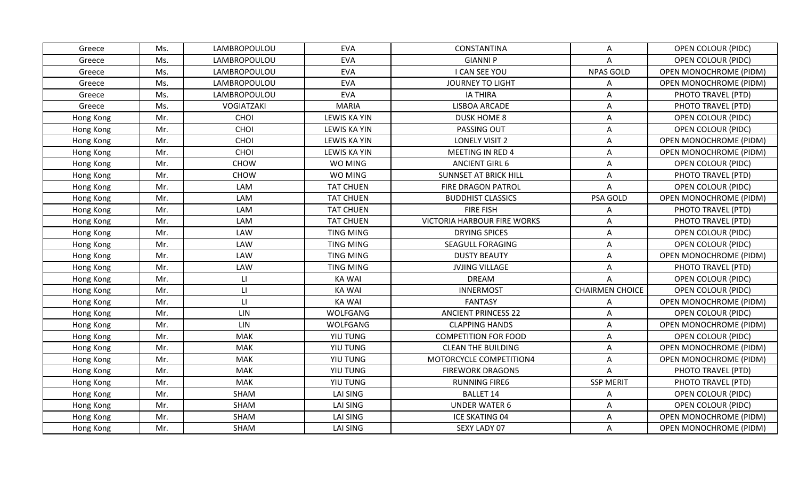| Greece    | Ms. | LAMBROPOULOU           | <b>EVA</b>          | CONSTANTINA                        | Α                      | <b>OPEN COLOUR (PIDC)</b>     |
|-----------|-----|------------------------|---------------------|------------------------------------|------------------------|-------------------------------|
| Greece    | Ms. | LAMBROPOULOU           | <b>EVA</b>          | <b>GIANNI P</b>                    | A                      | OPEN COLOUR (PIDC)            |
| Greece    | Ms. | LAMBROPOULOU           | <b>EVA</b>          | I CAN SEE YOU                      | <b>NPAS GOLD</b>       | <b>OPEN MONOCHROME (PIDM)</b> |
| Greece    | Ms. | LAMBROPOULOU           | <b>EVA</b>          | <b>JOURNEY TO LIGHT</b>            | A                      | <b>OPEN MONOCHROME (PIDM)</b> |
| Greece    | Ms. | LAMBROPOULOU           | <b>EVA</b>          | <b>IA THIRA</b>                    | A                      | PHOTO TRAVEL (PTD)            |
| Greece    | Ms. | VOGIATZAKI             | <b>MARIA</b>        | LISBOA ARCADE                      | Α                      | PHOTO TRAVEL (PTD)            |
| Hong Kong | Mr. | CHOI                   | <b>LEWIS KA YIN</b> | <b>DUSK HOME 8</b>                 | A                      | OPEN COLOUR (PIDC)            |
| Hong Kong | Mr. | CHOI                   | <b>LEWIS KA YIN</b> | PASSING OUT                        | Α                      | OPEN COLOUR (PIDC)            |
| Hong Kong | Mr. | CHOI                   | <b>LEWIS KA YIN</b> | <b>LONELY VISIT 2</b>              | A                      | OPEN MONOCHROME (PIDM)        |
| Hong Kong | Mr. | CHOI                   | <b>LEWIS KA YIN</b> | <b>MEETING IN RED 4</b>            | A                      | <b>OPEN MONOCHROME (PIDM)</b> |
| Hong Kong | Mr. | <b>CHOW</b>            | WO MING             | <b>ANCIENT GIRL 6</b>              | Α                      | OPEN COLOUR (PIDC)            |
| Hong Kong | Mr. | <b>CHOW</b>            | WO MING             | <b>SUNNSET AT BRICK HILL</b>       | A                      | PHOTO TRAVEL (PTD)            |
| Hong Kong | Mr. | LAM                    | <b>TAT CHUEN</b>    | FIRE DRAGON PATROL                 | A                      | <b>OPEN COLOUR (PIDC)</b>     |
| Hong Kong | Mr. | LAM                    | <b>TAT CHUEN</b>    | <b>BUDDHIST CLASSICS</b>           | PSA GOLD               | <b>OPEN MONOCHROME (PIDM)</b> |
| Hong Kong | Mr. | LAM                    | <b>TAT CHUEN</b>    | <b>FIRE FISH</b>                   | Α                      | PHOTO TRAVEL (PTD)            |
| Hong Kong | Mr. | LAM                    | <b>TAT CHUEN</b>    | <b>VICTORIA HARBOUR FIRE WORKS</b> | Α                      | PHOTO TRAVEL (PTD)            |
| Hong Kong | Mr. | LAW                    | <b>TING MING</b>    | <b>DRYING SPICES</b>               | A                      | <b>OPEN COLOUR (PIDC)</b>     |
| Hong Kong | Mr. | LAW                    | <b>TING MING</b>    | <b>SEAGULL FORAGING</b>            | Α                      | OPEN COLOUR (PIDC)            |
| Hong Kong | Mr. | <b>LAW</b>             | <b>TING MING</b>    | <b>DUSTY BEAUTY</b>                | A                      | <b>OPEN MONOCHROME (PIDM)</b> |
| Hong Kong | Mr. | LAW                    | <b>TING MING</b>    | <b>JVJING VILLAGE</b>              | A                      | PHOTO TRAVEL (PTD)            |
| Hong Kong | Mr. | $\mathsf{L}$           | <b>KA WAI</b>       | <b>DREAM</b>                       | Α                      | <b>OPEN COLOUR (PIDC)</b>     |
| Hong Kong | Mr. | $\mathsf{L}\mathsf{I}$ | <b>KA WAI</b>       | <b>INNERMOST</b>                   | <b>CHAIRMEN CHOICE</b> | <b>OPEN COLOUR (PIDC)</b>     |
| Hong Kong | Mr. | $\mathsf{L}$           | <b>KA WAI</b>       | <b>FANTASY</b>                     | Α                      | OPEN MONOCHROME (PIDM)        |
| Hong Kong | Mr. | LIN                    | WOLFGANG            | <b>ANCIENT PRINCESS 22</b>         | A                      | OPEN COLOUR (PIDC)            |
| Hong Kong | Mr. | LIN                    | WOLFGANG            | <b>CLAPPING HANDS</b>              | Α                      | <b>OPEN MONOCHROME (PIDM)</b> |
| Hong Kong | Mr. | <b>MAK</b>             | YIU TUNG            | <b>COMPETITION FOR FOOD</b>        | Α                      | <b>OPEN COLOUR (PIDC)</b>     |
| Hong Kong | Mr. | <b>MAK</b>             | YIU TUNG            | <b>CLEAN THE BUILDING</b>          | A                      | OPEN MONOCHROME (PIDM)        |
| Hong Kong | Mr. | <b>MAK</b>             | YIU TUNG            | MOTORCYCLE COMPETITION4            | A                      | OPEN MONOCHROME (PIDM)        |
| Hong Kong | Mr. | <b>MAK</b>             | YIU TUNG            | <b>FIREWORK DRAGON5</b>            | A                      | PHOTO TRAVEL (PTD)            |
| Hong Kong | Mr. | <b>MAK</b>             | YIU TUNG            | <b>RUNNING FIRE6</b>               | <b>SSP MERIT</b>       | PHOTO TRAVEL (PTD)            |
| Hong Kong | Mr. | SHAM                   | LAI SING            | <b>BALLET 14</b>                   | Α                      | <b>OPEN COLOUR (PIDC)</b>     |
| Hong Kong | Mr. | SHAM                   | LAI SING            | <b>UNDER WATER 6</b>               | A                      | <b>OPEN COLOUR (PIDC)</b>     |
| Hong Kong | Mr. | SHAM                   | LAI SING            | <b>ICE SKATING 04</b>              | A                      | <b>OPEN MONOCHROME (PIDM)</b> |
| Hong Kong | Mr. | <b>SHAM</b>            | LAI SING            | SEXY LADY 07                       | Α                      | <b>OPEN MONOCHROME (PIDM)</b> |
|           |     |                        |                     |                                    |                        |                               |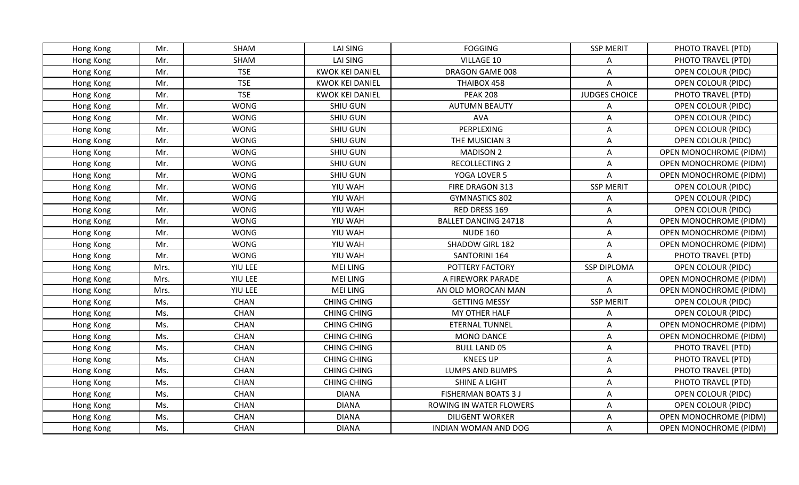| Hong Kong | Mr.  | SHAM        | <b>LAI SING</b>        | <b>FOGGING</b>              | <b>SSP MERIT</b>     | PHOTO TRAVEL (PTD)            |
|-----------|------|-------------|------------------------|-----------------------------|----------------------|-------------------------------|
| Hong Kong | Mr.  | SHAM        | <b>LAI SING</b>        | VILLAGE 10                  | A                    | PHOTO TRAVEL (PTD)            |
| Hong Kong | Mr.  | <b>TSE</b>  | <b>KWOK KEI DANIEL</b> | DRAGON GAME 008             | A                    | <b>OPEN COLOUR (PIDC)</b>     |
| Hong Kong | Mr.  | <b>TSE</b>  | <b>KWOK KEI DANIEL</b> | THAIBOX 458                 | $\wedge$             | <b>OPEN COLOUR (PIDC)</b>     |
| Hong Kong | Mr.  | <b>TSE</b>  | <b>KWOK KEI DANIEL</b> | <b>PEAK 208</b>             | <b>JUDGES CHOICE</b> | PHOTO TRAVEL (PTD)            |
| Hong Kong | Mr.  | <b>WONG</b> | <b>SHIU GUN</b>        | <b>AUTUMN BEAUTY</b>        | Α                    | OPEN COLOUR (PIDC)            |
| Hong Kong | Mr.  | <b>WONG</b> | <b>SHIU GUN</b>        | <b>AVA</b>                  | Α                    | <b>OPEN COLOUR (PIDC)</b>     |
| Hong Kong | Mr.  | <b>WONG</b> | <b>SHIU GUN</b>        | PERPLEXING                  | Α                    | OPEN COLOUR (PIDC)            |
| Hong Kong | Mr.  | <b>WONG</b> | SHIU GUN               | THE MUSICIAN 3              | A                    | <b>OPEN COLOUR (PIDC)</b>     |
| Hong Kong | Mr.  | <b>WONG</b> | SHIU GUN               | <b>MADISON 2</b>            | A                    | <b>OPEN MONOCHROME (PIDM)</b> |
| Hong Kong | Mr.  | <b>WONG</b> | <b>SHIU GUN</b>        | <b>RECOLLECTING 2</b>       | Α                    | <b>OPEN MONOCHROME (PIDM)</b> |
| Hong Kong | Mr.  | <b>WONG</b> | SHIU GUN               | YOGA LOVER 5                | A                    | OPEN MONOCHROME (PIDM)        |
| Hong Kong | Mr.  | <b>WONG</b> | YIU WAH                | FIRE DRAGON 313             | <b>SSP MERIT</b>     | <b>OPEN COLOUR (PIDC)</b>     |
| Hong Kong | Mr.  | <b>WONG</b> | YIU WAH                | <b>GYMNASTICS 802</b>       | A                    | <b>OPEN COLOUR (PIDC)</b>     |
| Hong Kong | Mr.  | <b>WONG</b> | YIU WAH                | RED DRESS 169               | Α                    | OPEN COLOUR (PIDC)            |
| Hong Kong | Mr.  | <b>WONG</b> | YIU WAH                | <b>BALLET DANCING 24718</b> | Α                    | <b>OPEN MONOCHROME (PIDM)</b> |
| Hong Kong | Mr.  | <b>WONG</b> | YIU WAH                | <b>NUDE 160</b>             | A                    | <b>OPEN MONOCHROME (PIDM)</b> |
| Hong Kong | Mr.  | <b>WONG</b> | YIU WAH                | SHADOW GIRL 182             | Α                    | OPEN MONOCHROME (PIDM)        |
| Hong Kong | Mr.  | <b>WONG</b> | YIU WAH                | SANTORINI 164               | A                    | PHOTO TRAVEL (PTD)            |
| Hong Kong | Mrs. | YIU LEE     | <b>MEI LING</b>        | POTTERY FACTORY             | <b>SSP DIPLOMA</b>   | <b>OPEN COLOUR (PIDC)</b>     |
| Hong Kong | Mrs. | YIU LEE     | <b>MEI LING</b>        | A FIREWORK PARADE           | A                    | OPEN MONOCHROME (PIDM)        |
| Hong Kong | Mrs. | YIU LEE     | <b>MEI LING</b>        | AN OLD MOROCAN MAN          | A                    | <b>OPEN MONOCHROME (PIDM)</b> |
| Hong Kong | Ms.  | <b>CHAN</b> | <b>CHING CHING</b>     | <b>GETTING MESSY</b>        | <b>SSP MERIT</b>     | <b>OPEN COLOUR (PIDC)</b>     |
| Hong Kong | Ms.  | <b>CHAN</b> | <b>CHING CHING</b>     | MY OTHER HALF               | A                    | <b>OPEN COLOUR (PIDC)</b>     |
| Hong Kong | Ms.  | CHAN        | <b>CHING CHING</b>     | <b>ETERNAL TUNNEL</b>       | Α                    | OPEN MONOCHROME (PIDM)        |
| Hong Kong | Ms.  | <b>CHAN</b> | <b>CHING CHING</b>     | <b>MONO DANCE</b>           | Α                    | <b>OPEN MONOCHROME (PIDM)</b> |
| Hong Kong | Ms.  | <b>CHAN</b> | <b>CHING CHING</b>     | <b>BULL LAND 05</b>         | A                    | PHOTO TRAVEL (PTD)            |
| Hong Kong | Ms.  | <b>CHAN</b> | <b>CHING CHING</b>     | <b>KNEES UP</b>             | A                    | PHOTO TRAVEL (PTD)            |
| Hong Kong | Ms.  | <b>CHAN</b> | <b>CHING CHING</b>     | LUMPS AND BUMPS             | A                    | PHOTO TRAVEL (PTD)            |
| Hong Kong | Ms.  | <b>CHAN</b> | <b>CHING CHING</b>     | <b>SHINE A LIGHT</b>        | A                    | PHOTO TRAVEL (PTD)            |
| Hong Kong | Ms.  | <b>CHAN</b> | <b>DIANA</b>           | <b>FISHERMAN BOATS 3 J</b>  | A                    | <b>OPEN COLOUR (PIDC)</b>     |
| Hong Kong | Ms.  | <b>CHAN</b> | <b>DIANA</b>           | ROWING IN WATER FLOWERS     | A                    | <b>OPEN COLOUR (PIDC)</b>     |
| Hong Kong | Ms.  | <b>CHAN</b> | <b>DIANA</b>           | <b>DILIGENT WORKER</b>      | A                    | OPEN MONOCHROME (PIDM)        |
| Hong Kong | Ms.  | <b>CHAN</b> | <b>DIANA</b>           | INDIAN WOMAN AND DOG        | Α                    | <b>OPEN MONOCHROME (PIDM)</b> |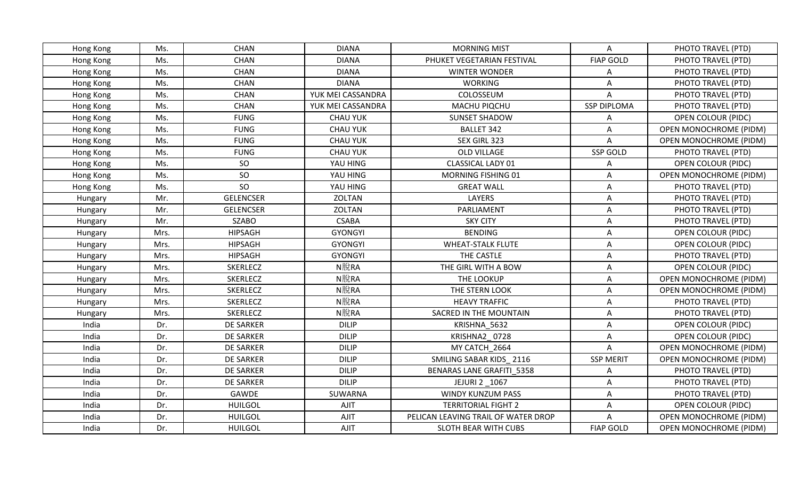| Hong Kong | Ms.  | <b>CHAN</b>      | <b>DIANA</b>      | <b>MORNING MIST</b>                 | A                  | PHOTO TRAVEL (PTD)            |
|-----------|------|------------------|-------------------|-------------------------------------|--------------------|-------------------------------|
| Hong Kong | Ms.  | <b>CHAN</b>      | <b>DIANA</b>      | PHUKET VEGETARIAN FESTIVAL          | <b>FIAP GOLD</b>   | PHOTO TRAVEL (PTD)            |
| Hong Kong | Ms.  | <b>CHAN</b>      | <b>DIANA</b>      | <b>WINTER WONDER</b>                | Α                  | PHOTO TRAVEL (PTD)            |
| Hong Kong | Ms.  | <b>CHAN</b>      | <b>DIANA</b>      | <b>WORKING</b>                      | A                  | PHOTO TRAVEL (PTD)            |
| Hong Kong | Ms.  | <b>CHAN</b>      | YUK MEI CASSANDRA | COLOSSEUM                           | A                  | PHOTO TRAVEL (PTD)            |
| Hong Kong | Ms.  | <b>CHAN</b>      | YUK MEI CASSANDRA | MACHU PIQCHU                        | <b>SSP DIPLOMA</b> | PHOTO TRAVEL (PTD)            |
| Hong Kong | Ms.  | <b>FUNG</b>      | <b>CHAU YUK</b>   | <b>SUNSET SHADOW</b>                | A                  | OPEN COLOUR (PIDC)            |
| Hong Kong | Ms.  | <b>FUNG</b>      | <b>CHAU YUK</b>   | <b>BALLET 342</b>                   | A                  | OPEN MONOCHROME (PIDM)        |
| Hong Kong | Ms.  | <b>FUNG</b>      | <b>CHAU YUK</b>   | SEX GIRL 323                        | A                  | <b>OPEN MONOCHROME (PIDM)</b> |
| Hong Kong | Ms.  | <b>FUNG</b>      | <b>CHAU YUK</b>   | OLD VILLAGE                         | SSP GOLD           | PHOTO TRAVEL (PTD)            |
| Hong Kong | Ms.  | <sub>SO</sub>    | YAU HING          | <b>CLASSICAL LADY 01</b>            | Α                  | OPEN COLOUR (PIDC)            |
| Hong Kong | Ms.  | SO               | YAU HING          | MORNING FISHING 01                  | A                  | <b>OPEN MONOCHROME (PIDM)</b> |
| Hong Kong | Ms.  | SO               | YAU HING          | <b>GREAT WALL</b>                   | A                  | PHOTO TRAVEL (PTD)            |
| Hungary   | Mr.  | <b>GELENCSER</b> | ZOLTAN            | <b>LAYERS</b>                       | A                  | PHOTO TRAVEL (PTD)            |
| Hungary   | Mr.  | <b>GELENCSER</b> | ZOLTAN            | PARLIAMENT                          | A                  | PHOTO TRAVEL (PTD)            |
| Hungary   | Mr.  | <b>SZABO</b>     | <b>CSABA</b>      | <b>SKY CITY</b>                     | Α                  | PHOTO TRAVEL (PTD)            |
| Hungary   | Mrs. | <b>HIPSAGH</b>   | <b>GYONGYI</b>    | <b>BENDING</b>                      | A                  | <b>OPEN COLOUR (PIDC)</b>     |
| Hungary   | Mrs. | <b>HIPSAGH</b>   | <b>GYONGYI</b>    | <b>WHEAT-STALK FLUTE</b>            | Α                  | OPEN COLOUR (PIDC)            |
| Hungary   | Mrs. | <b>HIPSAGH</b>   | <b>GYONGYI</b>    | THE CASTLE                          | A                  | PHOTO TRAVEL (PTD)            |
| Hungary   | Mrs. | <b>SKERLECZ</b>  | N脫RA              | THE GIRL WITH A BOW                 | A                  | <b>OPEN COLOUR (PIDC)</b>     |
| Hungary   | Mrs. | <b>SKERLECZ</b>  | N脫RA              | THE LOOKUP                          | Α                  | <b>OPEN MONOCHROME (PIDM)</b> |
| Hungary   | Mrs. | <b>SKERLECZ</b>  | N脫RA              | THE STERN LOOK                      | A                  | <b>OPEN MONOCHROME (PIDM)</b> |
| Hungary   | Mrs. | <b>SKERLECZ</b>  | N脫RA              | <b>HEAVY TRAFFIC</b>                | A                  | PHOTO TRAVEL (PTD)            |
| Hungary   | Mrs. | <b>SKERLECZ</b>  | N脫RA              | SACRED IN THE MOUNTAIN              | A                  | PHOTO TRAVEL (PTD)            |
| India     | Dr.  | <b>DE SARKER</b> | <b>DILIP</b>      | KRISHNA 5632                        | Α                  | OPEN COLOUR (PIDC)            |
| India     | Dr.  | <b>DE SARKER</b> | <b>DILIP</b>      | KRISHNA2 0728                       | Α                  | <b>OPEN COLOUR (PIDC)</b>     |
| India     | Dr.  | DE SARKER        | <b>DILIP</b>      | MY CATCH 2664                       | A                  | OPEN MONOCHROME (PIDM)        |
| India     | Dr.  | <b>DE SARKER</b> | <b>DILIP</b>      | SMILING SABAR KIDS 2116             | <b>SSP MERIT</b>   | OPEN MONOCHROME (PIDM)        |
| India     | Dr.  | <b>DE SARKER</b> | <b>DILIP</b>      | <b>BENARAS LANE GRAFITI 5358</b>    | Α                  | PHOTO TRAVEL (PTD)            |
| India     | Dr.  | <b>DE SARKER</b> | <b>DILIP</b>      | JEJURI 2 _1067                      | Α                  | PHOTO TRAVEL (PTD)            |
| India     | Dr.  | GAWDE            | SUWARNA           | WINDY KUNZUM PASS                   | A                  | PHOTO TRAVEL (PTD)            |
| India     | Dr.  | <b>HUILGOL</b>   | AJIT              | <b>TERRITORIAL FIGHT 2</b>          | Α                  | <b>OPEN COLOUR (PIDC)</b>     |
| India     | Dr.  | <b>HUILGOL</b>   | <b>AJIT</b>       | PELICAN LEAVING TRAIL OF WATER DROP | A                  | <b>OPEN MONOCHROME (PIDM)</b> |
| India     | Dr.  | <b>HUILGOL</b>   | <b>AJIT</b>       | SLOTH BEAR WITH CUBS                | <b>FIAP GOLD</b>   | <b>OPEN MONOCHROME (PIDM)</b> |
|           |      |                  |                   |                                     |                    |                               |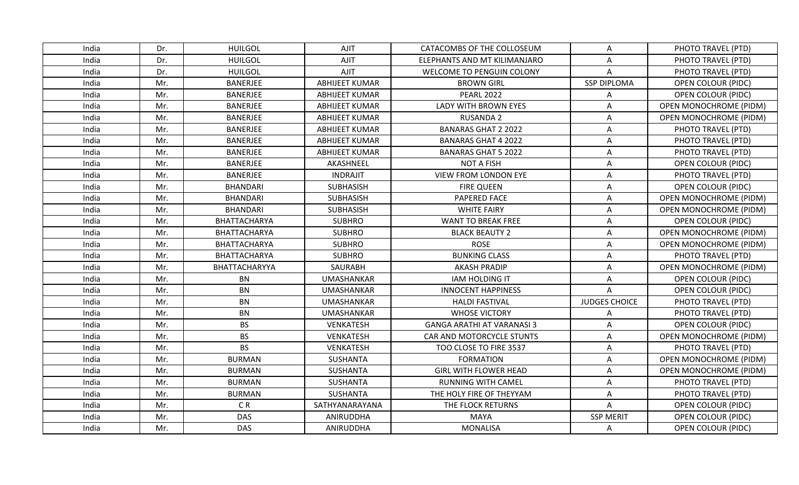| India | Dr. | <b>HUILGOL</b>  | <b>AJIT</b>           | CATACOMBS OF THE COLLOSEUM        | Α                    | PHOTO TRAVEL (PTD)            |
|-------|-----|-----------------|-----------------------|-----------------------------------|----------------------|-------------------------------|
| India | Dr. | <b>HUILGOL</b>  | AJIT                  | ELEPHANTS AND MT KILIMANJARO      | A                    | PHOTO TRAVEL (PTD)            |
| India | Dr. | <b>HUILGOL</b>  | <b>AJIT</b>           | <b>WELCOME TO PENGUIN COLONY</b>  | A                    | PHOTO TRAVEL (PTD)            |
| India | Mr. | BANERJEE        | <b>ABHIJEET KUMAR</b> | <b>BROWN GIRL</b>                 | <b>SSP DIPLOMA</b>   | <b>OPEN COLOUR (PIDC)</b>     |
| India | Mr. | BANERJEE        | <b>ABHIJEET KUMAR</b> | <b>PEARL 2022</b>                 | Α                    | OPEN COLOUR (PIDC)            |
| India | Mr. | <b>BANERJEE</b> | <b>ABHIJEET KUMAR</b> | LADY WITH BROWN EYES              | Α                    | <b>OPEN MONOCHROME (PIDM)</b> |
| India | Mr. | <b>BANERJEE</b> | <b>ABHIJEET KUMAR</b> | <b>RUSANDA 2</b>                  | A                    | OPEN MONOCHROME (PIDM)        |
| India | Mr. | <b>BANERJEE</b> | <b>ABHIJEET KUMAR</b> | <b>BANARAS GHAT 2 2022</b>        | A                    | PHOTO TRAVEL (PTD)            |
| India | Mr. | <b>BANERJEE</b> | <b>ABHIJEET KUMAR</b> | <b>BANARAS GHAT 4 2022</b>        | A                    | PHOTO TRAVEL (PTD)            |
| India | Mr. | BANERJEE        | <b>ABHIJEET KUMAR</b> | <b>BANARAS GHAT 5 2022</b>        | A                    | PHOTO TRAVEL (PTD)            |
| India | Mr. | <b>BANERJEE</b> | AKASHNEEL             | <b>NOT A FISH</b>                 | Α                    | <b>OPEN COLOUR (PIDC)</b>     |
| India | Mr. | <b>BANERJEE</b> | <b>INDRAJIT</b>       | <b>VIEW FROM LONDON EYE</b>       | A                    | PHOTO TRAVEL (PTD)            |
| India | Mr. | <b>BHANDARI</b> | <b>SUBHASISH</b>      | <b>FIRE QUEEN</b>                 | A                    | OPEN COLOUR (PIDC)            |
| India | Mr. | <b>BHANDARI</b> | <b>SUBHASISH</b>      | PAPERED FACE                      | A                    | <b>OPEN MONOCHROME (PIDM)</b> |
| India | Mr. | <b>BHANDARI</b> | <b>SUBHASISH</b>      | <b>WHITE FAIRY</b>                | A                    | <b>OPEN MONOCHROME (PIDM)</b> |
| India | Mr. | BHATTACHARYA    | <b>SUBHRO</b>         | <b>WANT TO BREAK FREE</b>         | Α                    | <b>OPEN COLOUR (PIDC)</b>     |
| India | Mr. | BHATTACHARYA    | <b>SUBHRO</b>         | <b>BLACK BEAUTY 2</b>             | A                    | OPEN MONOCHROME (PIDM)        |
| India | Mr. | BHATTACHARYA    | <b>SUBHRO</b>         | <b>ROSE</b>                       | A                    | OPEN MONOCHROME (PIDM)        |
| India | Mr. | BHATTACHARYA    | <b>SUBHRO</b>         | <b>BUNKING CLASS</b>              | A                    | PHOTO TRAVEL (PTD)            |
| India | Mr. | BHATTACHARYYA   | SAURABH               | <b>AKASH PRADIP</b>               | A                    | <b>OPEN MONOCHROME (PIDM)</b> |
| India | Mr. | <b>BN</b>       | <b>UMASHANKAR</b>     | <b>IAM HOLDING IT</b>             | A                    | <b>OPEN COLOUR (PIDC)</b>     |
| India | Mr. | <b>BN</b>       | <b>UMASHANKAR</b>     | <b>INNOCENT HAPPINESS</b>         | Α                    | OPEN COLOUR (PIDC)            |
| India | Mr. | <b>BN</b>       | <b>UMASHANKAR</b>     | <b>HALDI FASTIVAL</b>             | <b>JUDGES CHOICE</b> | PHOTO TRAVEL (PTD)            |
| India | Mr. | <b>BN</b>       | <b>UMASHANKAR</b>     | <b>WHOSE VICTORY</b>              | A                    | PHOTO TRAVEL (PTD)            |
| India | Mr. | <b>BS</b>       | VENKATESH             | <b>GANGA ARATHI AT VARANASI 3</b> | Α                    | <b>OPEN COLOUR (PIDC)</b>     |
| India | Mr. | <b>BS</b>       | <b>VENKATESH</b>      | CAR AND MOTORCYCLE STUNTS         | Α                    | <b>OPEN MONOCHROME (PIDM)</b> |
| India | Mr. | <b>BS</b>       | <b>VENKATESH</b>      | TOO CLOSE TO FIRE 3537            | A                    | PHOTO TRAVEL (PTD)            |
| India | Mr. | <b>BURMAN</b>   | SUSHANTA              | <b>FORMATION</b>                  | A                    | OPEN MONOCHROME (PIDM)        |
| India | Mr. | <b>BURMAN</b>   | SUSHANTA              | <b>GIRL WITH FLOWER HEAD</b>      | A                    | <b>OPEN MONOCHROME (PIDM)</b> |
| India | Mr. | <b>BURMAN</b>   | <b>SUSHANTA</b>       | <b>RUNNING WITH CAMEL</b>         | Α                    | PHOTO TRAVEL (PTD)            |
| India | Mr. | <b>BURMAN</b>   | <b>SUSHANTA</b>       | THE HOLY FIRE OF THEYYAM          | A                    | PHOTO TRAVEL (PTD)            |
| India | Mr. | CR              | SATHYANARAYANA        | THE FLOCK RETURNS                 | A                    | OPEN COLOUR (PIDC)            |
| India | Mr. | <b>DAS</b>      | ANIRUDDHA             | <b>MAYA</b>                       | <b>SSP MERIT</b>     | <b>OPEN COLOUR (PIDC)</b>     |
| India | Mr. | <b>DAS</b>      | ANIRUDDHA             | <b>MONALISA</b>                   | A                    | <b>OPEN COLOUR (PIDC)</b>     |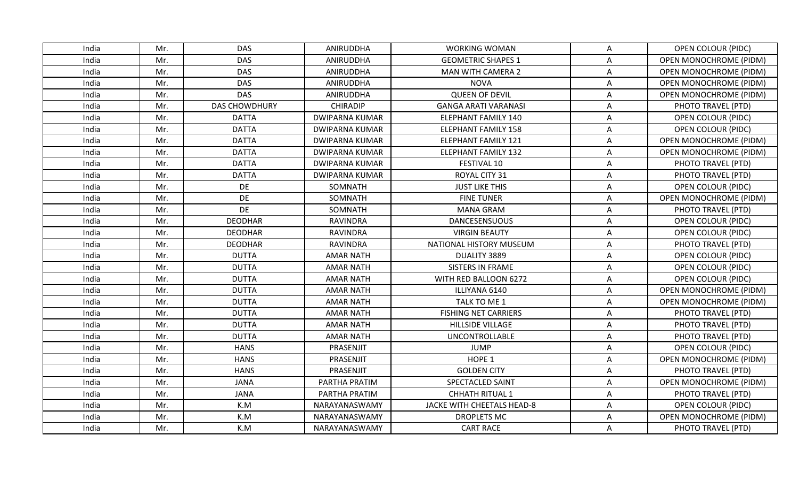| India | Mr. | <b>DAS</b>           | ANIRUDDHA             | <b>WORKING WOMAN</b>        | A | OPEN COLOUR (PIDC)            |
|-------|-----|----------------------|-----------------------|-----------------------------|---|-------------------------------|
| India | Mr. | <b>DAS</b>           | ANIRUDDHA             | <b>GEOMETRIC SHAPES 1</b>   | A | <b>OPEN MONOCHROME (PIDM)</b> |
| India | Mr. | <b>DAS</b>           | ANIRUDDHA             | <b>MAN WITH CAMERA 2</b>    | Α | <b>OPEN MONOCHROME (PIDM)</b> |
| India | Mr. | <b>DAS</b>           | ANIRUDDHA             | <b>NOVA</b>                 | A | <b>OPEN MONOCHROME (PIDM)</b> |
| India | Mr. | <b>DAS</b>           | ANIRUDDHA             | <b>QUEEN OF DEVIL</b>       | A | <b>OPEN MONOCHROME (PIDM)</b> |
| India | Mr. | <b>DAS CHOWDHURY</b> | <b>CHIRADIP</b>       | <b>GANGA ARATI VARANASI</b> | Α | PHOTO TRAVEL (PTD)            |
| India | Mr. | <b>DATTA</b>         | <b>DWIPARNA KUMAR</b> | <b>ELEPHANT FAMILY 140</b>  | Α | OPEN COLOUR (PIDC)            |
| India | Mr. | <b>DATTA</b>         | <b>DWIPARNA KUMAR</b> | <b>ELEPHANT FAMILY 158</b>  | Α | OPEN COLOUR (PIDC)            |
| India | Mr. | <b>DATTA</b>         | <b>DWIPARNA KUMAR</b> | <b>ELEPHANT FAMILY 121</b>  | A | OPEN MONOCHROME (PIDM)        |
| India | Mr. | <b>DATTA</b>         | <b>DWIPARNA KUMAR</b> | <b>ELEPHANT FAMILY 132</b>  | A | <b>OPEN MONOCHROME (PIDM)</b> |
| India | Mr. | <b>DATTA</b>         | <b>DWIPARNA KUMAR</b> | FESTIVAL 10                 | A | PHOTO TRAVEL (PTD)            |
| India | Mr. | <b>DATTA</b>         | <b>DWIPARNA KUMAR</b> | ROYAL CITY 31               | A | PHOTO TRAVEL (PTD)            |
| India | Mr. | DE                   | SOMNATH               | <b>JUST LIKE THIS</b>       | A | <b>OPEN COLOUR (PIDC)</b>     |
| India | Mr. | DE                   | SOMNATH               | <b>FINE TUNER</b>           | A | OPEN MONOCHROME (PIDM)        |
| India | Mr. | DE                   | SOMNATH               | <b>MANA GRAM</b>            | A | PHOTO TRAVEL (PTD)            |
| India | Mr. | <b>DEODHAR</b>       | <b>RAVINDRA</b>       | <b>DANCESENSUOUS</b>        | Α | <b>OPEN COLOUR (PIDC)</b>     |
| India | Mr. | <b>DEODHAR</b>       | <b>RAVINDRA</b>       | <b>VIRGIN BEAUTY</b>        | A | <b>OPEN COLOUR (PIDC)</b>     |
| India | Mr. | <b>DEODHAR</b>       | <b>RAVINDRA</b>       | NATIONAL HISTORY MUSEUM     | A | PHOTO TRAVEL (PTD)            |
| India | Mr. | <b>DUTTA</b>         | <b>AMAR NATH</b>      | DUALITY 3889                | A | <b>OPEN COLOUR (PIDC)</b>     |
| India | Mr. | <b>DUTTA</b>         | <b>AMAR NATH</b>      | SISTERS IN FRAME            | A | <b>OPEN COLOUR (PIDC)</b>     |
| India | Mr. | <b>DUTTA</b>         | <b>AMAR NATH</b>      | WITH RED BALLOON 6272       | Α | <b>OPEN COLOUR (PIDC)</b>     |
| India | Mr. | <b>DUTTA</b>         | <b>AMAR NATH</b>      | ILLIYANA 6140               | Α | <b>OPEN MONOCHROME (PIDM)</b> |
| India | Mr. | <b>DUTTA</b>         | <b>AMAR NATH</b>      | TALK TO ME 1                | A | <b>OPEN MONOCHROME (PIDM)</b> |
| India | Mr. | <b>DUTTA</b>         | <b>AMAR NATH</b>      | <b>FISHING NET CARRIERS</b> | Α | PHOTO TRAVEL (PTD)            |
| India | Mr. | <b>DUTTA</b>         | <b>AMAR NATH</b>      | HILLSIDE VILLAGE            | A | PHOTO TRAVEL (PTD)            |
| India | Mr. | <b>DUTTA</b>         | <b>AMAR NATH</b>      | <b>UNCONTROLLABLE</b>       | Α | PHOTO TRAVEL (PTD)            |
| India | Mr. | <b>HANS</b>          | PRASENJIT             | <b>JUMP</b>                 | A | OPEN COLOUR (PIDC)            |
| India | Mr. | <b>HANS</b>          | PRASENJIT             | HOPE <sub>1</sub>           | A | <b>OPEN MONOCHROME (PIDM)</b> |
| India | Mr. | <b>HANS</b>          | PRASENJIT             | <b>GOLDEN CITY</b>          | A | PHOTO TRAVEL (PTD)            |
| India | Mr. | <b>JANA</b>          | PARTHA PRATIM         | SPECTACLED SAINT            | A | OPEN MONOCHROME (PIDM)        |
| India | Mr. | <b>JANA</b>          | PARTHA PRATIM         | <b>CHHATH RITUAL 1</b>      | A | PHOTO TRAVEL (PTD)            |
| India | Mr. | K.M                  | NARAYANASWAMY         | JACKE WITH CHEETALS HEAD-8  | Α | <b>OPEN COLOUR (PIDC)</b>     |
| India | Mr. | K.M                  | NARAYANASWAMY         | <b>DROPLETS MC</b>          | Α | OPEN MONOCHROME (PIDM)        |
| India | Mr. | K.M                  | NARAYANASWAMY         | <b>CART RACE</b>            | Α | PHOTO TRAVEL (PTD)            |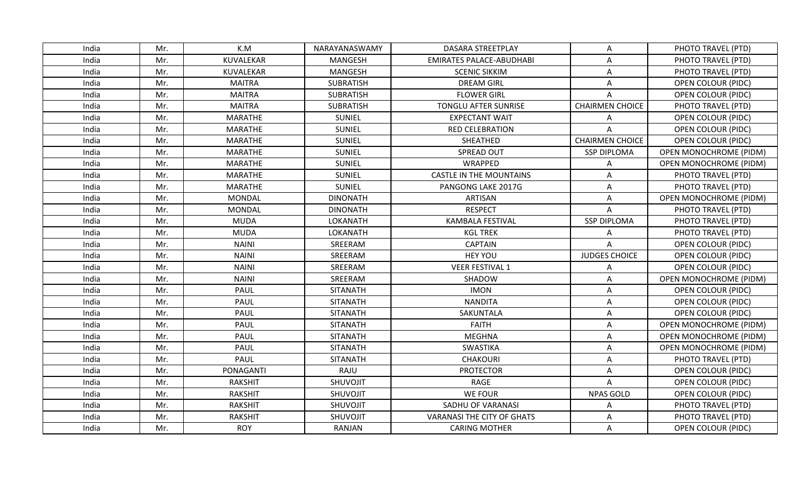| India | Mr. | K.M            | NARAYANASWAMY   | DASARA STREETPLAY                 | Α                      | PHOTO TRAVEL (PTD)            |
|-------|-----|----------------|-----------------|-----------------------------------|------------------------|-------------------------------|
| India | Mr. | KUVALEKAR      | <b>MANGESH</b>  | <b>EMIRATES PALACE-ABUDHABI</b>   | A                      | PHOTO TRAVEL (PTD)            |
| India | Mr. | KUVALEKAR      | <b>MANGESH</b>  | <b>SCENIC SIKKIM</b>              | A                      | PHOTO TRAVEL (PTD)            |
| India | Mr. | <b>MAITRA</b>  | SUBRATISH       | <b>DREAM GIRL</b>                 | A                      | <b>OPEN COLOUR (PIDC)</b>     |
| India | Mr. | <b>MAITRA</b>  | SUBRATISH       | <b>FLOWER GIRL</b>                | Α                      | <b>OPEN COLOUR (PIDC)</b>     |
| India | Mr. | <b>MAITRA</b>  | SUBRATISH       | TONGLU AFTER SUNRISE              | <b>CHAIRMEN CHOICE</b> | PHOTO TRAVEL (PTD)            |
| India | Mr. | <b>MARATHE</b> | <b>SUNIEL</b>   | <b>EXPECTANT WAIT</b>             | A                      | OPEN COLOUR (PIDC)            |
| India | Mr. | <b>MARATHE</b> | <b>SUNIEL</b>   | <b>RED CELEBRATION</b>            |                        | OPEN COLOUR (PIDC)            |
| India | Mr. | <b>MARATHE</b> | <b>SUNIEL</b>   | SHEATHED                          | <b>CHAIRMEN CHOICE</b> | <b>OPEN COLOUR (PIDC)</b>     |
| India | Mr. | <b>MARATHE</b> | <b>SUNIEL</b>   | SPREAD OUT                        | <b>SSP DIPLOMA</b>     | <b>OPEN MONOCHROME (PIDM)</b> |
| India | Mr. | <b>MARATHE</b> | <b>SUNIEL</b>   | WRAPPED                           | Α                      | OPEN MONOCHROME (PIDM)        |
| India | Mr. | <b>MARATHE</b> | <b>SUNIEL</b>   | <b>CASTLE IN THE MOUNTAINS</b>    | A                      | PHOTO TRAVEL (PTD)            |
| India | Mr. | <b>MARATHE</b> | <b>SUNIEL</b>   | PANGONG LAKE 2017G                | A                      | PHOTO TRAVEL (PTD)            |
| India | Mr. | <b>MONDAL</b>  | <b>DINONATH</b> | <b>ARTISAN</b>                    | Α                      | <b>OPEN MONOCHROME (PIDM)</b> |
| India | Mr. | <b>MONDAL</b>  | <b>DINONATH</b> | <b>RESPECT</b>                    | Α                      | PHOTO TRAVEL (PTD)            |
| India | Mr. | <b>MUDA</b>    | LOKANATH        | <b>KAMBALA FESTIVAL</b>           | <b>SSP DIPLOMA</b>     | PHOTO TRAVEL (PTD)            |
| India | Mr. | <b>MUDA</b>    | <b>LOKANATH</b> | <b>KGL TREK</b>                   | Α                      | PHOTO TRAVEL (PTD)            |
| India | Mr. | <b>NAINI</b>   | SREERAM         | <b>CAPTAIN</b>                    | A                      | OPEN COLOUR (PIDC)            |
| India | Mr. | <b>NAINI</b>   | SREERAM         | <b>HEY YOU</b>                    | <b>JUDGES CHOICE</b>   | <b>OPEN COLOUR (PIDC)</b>     |
| India | Mr. | <b>NAINI</b>   | SREERAM         | <b>VEER FESTIVAL 1</b>            | A                      | OPEN COLOUR (PIDC)            |
| India | Mr. | <b>NAINI</b>   | SREERAM         | SHADOW                            | A                      | <b>OPEN MONOCHROME (PIDM)</b> |
| India | Mr. | PAUL           | <b>SITANATH</b> | <b>IMON</b>                       | A                      | <b>OPEN COLOUR (PIDC)</b>     |
| India | Mr. | PAUL           | <b>SITANATH</b> | <b>NANDITA</b>                    | A                      | <b>OPEN COLOUR (PIDC)</b>     |
| India | Mr. | PAUL           | <b>SITANATH</b> | SAKUNTALA                         | Α                      | <b>OPEN COLOUR (PIDC)</b>     |
| India | Mr. | PAUL           | <b>SITANATH</b> | <b>FAITH</b>                      | Α                      | <b>OPEN MONOCHROME (PIDM)</b> |
| India | Mr. | PAUL           | <b>SITANATH</b> | <b>MEGHNA</b>                     | Α                      | <b>OPEN MONOCHROME (PIDM)</b> |
| India | Mr. | PAUL           | <b>SITANATH</b> | <b>SWASTIKA</b>                   | A                      | OPEN MONOCHROME (PIDM)        |
| India | Mr. | PAUL           | <b>SITANATH</b> | <b>CHAKOURI</b>                   | A                      | PHOTO TRAVEL (PTD)            |
| India | Mr. | PONAGANTI      | RAJU            | <b>PROTECTOR</b>                  | A                      | <b>OPEN COLOUR (PIDC)</b>     |
| India | Mr. | <b>RAKSHIT</b> | SHUVOJIT        | <b>RAGE</b>                       | A                      | <b>OPEN COLOUR (PIDC)</b>     |
| India | Mr. | <b>RAKSHIT</b> | SHUVOJIT        | <b>WE FOUR</b>                    | <b>NPAS GOLD</b>       | <b>OPEN COLOUR (PIDC)</b>     |
| India | Mr. | <b>RAKSHIT</b> | SHUVOJIT        | SADHU OF VARANASI                 | Α                      | PHOTO TRAVEL (PTD)            |
| India | Mr. | <b>RAKSHIT</b> | SHUVOJIT        | <b>VARANASI THE CITY OF GHATS</b> | A                      | PHOTO TRAVEL (PTD)            |
| India | Mr. | <b>ROY</b>     | RANJAN          | <b>CARING MOTHER</b>              | Α                      | OPEN COLOUR (PIDC)            |
|       |     |                |                 |                                   |                        |                               |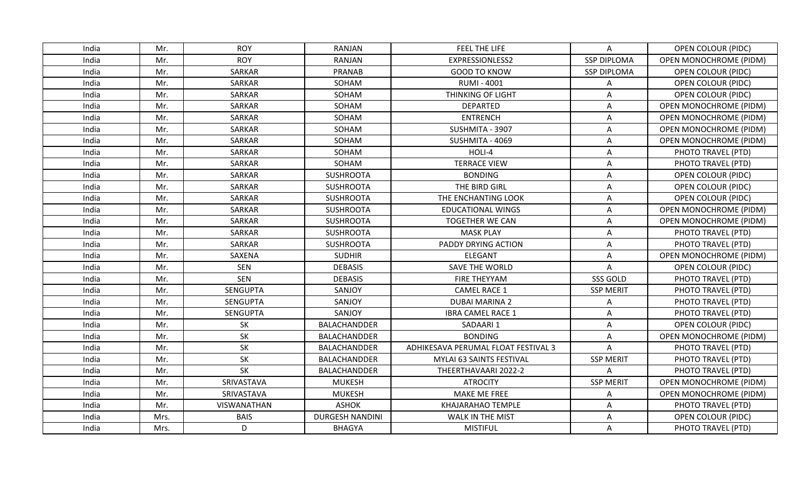| India | Mr.  | <b>ROY</b>    | <b>RANJAN</b>          | FEEL THE LIFE                       | A                  | <b>OPEN COLOUR (PIDC)</b>     |
|-------|------|---------------|------------------------|-------------------------------------|--------------------|-------------------------------|
| India | Mr.  | <b>ROY</b>    | <b>RANJAN</b>          | EXPRESSIONLESS2                     | <b>SSP DIPLOMA</b> | OPEN MONOCHROME (PIDM)        |
| India | Mr.  | SARKAR        | <b>PRANAB</b>          | <b>GOOD TO KNOW</b>                 | <b>SSP DIPLOMA</b> | <b>OPEN COLOUR (PIDC)</b>     |
| India | Mr.  | SARKAR        | SOHAM                  | <b>RUMI - 4001</b>                  | Α                  | <b>OPEN COLOUR (PIDC)</b>     |
| India | Mr.  | SARKAR        | SOHAM                  | <b>THINKING OF LIGHT</b>            | A                  | <b>OPEN COLOUR (PIDC)</b>     |
| India | Mr.  | SARKAR        | SOHAM                  | <b>DEPARTED</b>                     | Α                  | <b>OPEN MONOCHROME (PIDM)</b> |
| India | Mr.  | SARKAR        | SOHAM                  | <b>ENTRENCH</b>                     | Α                  | <b>OPEN MONOCHROME (PIDM)</b> |
| India | Mr.  | SARKAR        | SOHAM                  | SUSHMITA - 3907                     | Α                  | <b>OPEN MONOCHROME (PIDM)</b> |
| India | Mr.  | SARKAR        | SOHAM                  | SUSHMITA - 4069                     | A                  | <b>OPEN MONOCHROME (PIDM)</b> |
| India | Mr.  | SARKAR        | SOHAM                  | HOLI-4                              | A                  | PHOTO TRAVEL (PTD)            |
| India | Mr.  | SARKAR        | SOHAM                  | <b>TERRACE VIEW</b>                 | Α                  | PHOTO TRAVEL (PTD)            |
| India | Mr.  | SARKAR        | <b>SUSHROOTA</b>       | <b>BONDING</b>                      | A                  | <b>OPEN COLOUR (PIDC)</b>     |
| India | Mr.  | SARKAR        | <b>SUSHROOTA</b>       | THE BIRD GIRL                       | A                  | <b>OPEN COLOUR (PIDC)</b>     |
| India | Mr.  | SARKAR        | <b>SUSHROOTA</b>       | THE ENCHANTING LOOK                 | A                  | <b>OPEN COLOUR (PIDC)</b>     |
| India | Mr.  | SARKAR        | <b>SUSHROOTA</b>       | <b>EDUCATIONAL WINGS</b>            | A                  | <b>OPEN MONOCHROME (PIDM)</b> |
| India | Mr.  | SARKAR        | <b>SUSHROOTA</b>       | <b>TOGETHER WE CAN</b>              | Α                  | <b>OPEN MONOCHROME (PIDM)</b> |
| India | Mr.  | <b>SARKAR</b> | <b>SUSHROOTA</b>       | <b>MASK PLAY</b>                    | Α                  | PHOTO TRAVEL (PTD)            |
| India | Mr.  | <b>SARKAR</b> | <b>SUSHROOTA</b>       | PADDY DRYING ACTION                 | Α                  | PHOTO TRAVEL (PTD)            |
| India | Mr.  | SAXENA        | <b>SUDHIR</b>          | <b>ELEGANT</b>                      | A                  | <b>OPEN MONOCHROME (PIDM)</b> |
| India | Mr.  | <b>SEN</b>    | <b>DEBASIS</b>         | <b>SAVE THE WORLD</b>               | A                  | OPEN COLOUR (PIDC)            |
| India | Mr.  | <b>SEN</b>    | <b>DEBASIS</b>         | FIRE THEYYAM                        | SSS GOLD           | PHOTO TRAVEL (PTD)            |
| India | Mr.  | SENGUPTA      | SANJOY                 | <b>CAMEL RACE 1</b>                 | <b>SSP MERIT</b>   | PHOTO TRAVEL (PTD)            |
| India | Mr.  | SENGUPTA      | SANJOY                 | <b>DUBAI MARINA 2</b>               | Α                  | PHOTO TRAVEL (PTD)            |
| India | Mr.  | SENGUPTA      | SANJOY                 | <b>IBRA CAMEL RACE 1</b>            | A                  | PHOTO TRAVEL (PTD)            |
| India | Mr.  | <b>SK</b>     | <b>BALACHANDDER</b>    | SADAARI 1                           | Α                  | OPEN COLOUR (PIDC)            |
| India | Mr.  | SK            | BALACHANDDER           | <b>BONDING</b>                      | Α                  | <b>OPEN MONOCHROME (PIDM)</b> |
| India | Mr.  | SK            | BALACHANDDER           | ADHIKESAVA PERUMAL FLOAT FESTIVAL 3 | Α                  | PHOTO TRAVEL (PTD)            |
| India | Mr.  | SK            | BALACHANDDER           | MYLAI 63 SAINTS FESTIVAL            | <b>SSP MERIT</b>   | PHOTO TRAVEL (PTD)            |
| India | Mr.  | SK            | BALACHANDDER           | THEERTHAVAARI 2022-2                | Δ                  | PHOTO TRAVEL (PTD)            |
| India | Mr.  | SRIVASTAVA    | <b>MUKESH</b>          | <b>ATROCITY</b>                     | <b>SSP MERIT</b>   | <b>OPEN MONOCHROME (PIDM)</b> |
| India | Mr.  | SRIVASTAVA    | <b>MUKESH</b>          | MAKE ME FREE                        | Α                  | <b>OPEN MONOCHROME (PIDM)</b> |
| India | Mr.  | VISWANATHAN   | <b>ASHOK</b>           | KHAJARAHAO TEMPLE                   | Α                  | PHOTO TRAVEL (PTD)            |
| India | Mrs. | <b>BAIS</b>   | <b>DURGESH NANDINI</b> | <b>WALK IN THE MIST</b>             | A                  | <b>OPEN COLOUR (PIDC)</b>     |
| India | Mrs. | D             | <b>BHAGYA</b>          | <b>MISTIFUL</b>                     | A                  | PHOTO TRAVEL (PTD)            |
|       |      |               |                        |                                     |                    |                               |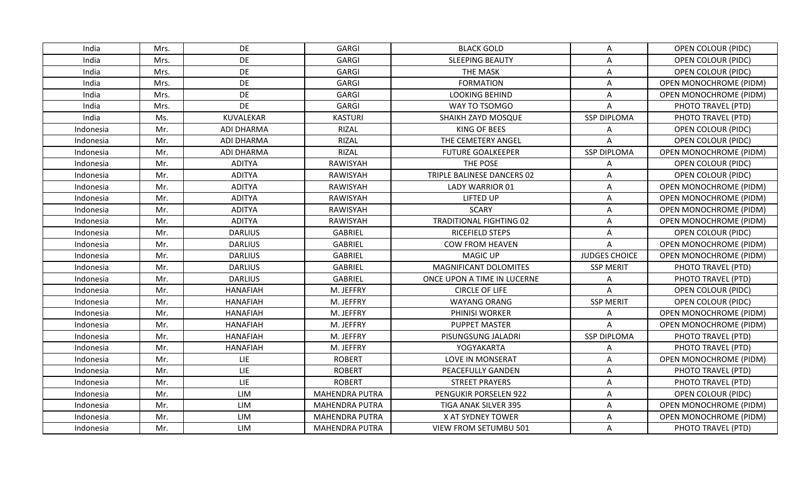| India     | Mrs. | DE                | GARGI                 | <b>BLACK GOLD</b>              | Α                    | OPEN COLOUR (PIDC)            |
|-----------|------|-------------------|-----------------------|--------------------------------|----------------------|-------------------------------|
| India     | Mrs. | DE                | <b>GARGI</b>          | <b>SLEEPING BEAUTY</b>         | A                    | OPEN COLOUR (PIDC)            |
| India     | Mrs. | DE                | <b>GARGI</b>          | THE MASK                       | A                    | <b>OPEN COLOUR (PIDC)</b>     |
| India     | Mrs. | DE                | GARGI                 | <b>FORMATION</b>               | A                    | <b>OPEN MONOCHROME (PIDM)</b> |
| India     | Mrs. | DE                | GARGI                 | <b>LOOKING BEHIND</b>          | A                    | <b>OPEN MONOCHROME (PIDM)</b> |
| India     | Mrs. | DE                | GARGI                 | WAY TO TSOMGO                  | Α                    | PHOTO TRAVEL (PTD)            |
| India     | Ms.  | KUVALEKAR         | <b>KASTURI</b>        | SHAIKH ZAYD MOSQUE             | <b>SSP DIPLOMA</b>   | PHOTO TRAVEL (PTD)            |
| Indonesia | Mr.  | <b>ADI DHARMA</b> | <b>RIZAL</b>          | <b>KING OF BEES</b>            | A                    | OPEN COLOUR (PIDC)            |
| Indonesia | Mr.  | <b>ADI DHARMA</b> | RIZAL                 | THE CEMETERY ANGEL             | $\Delta$             | <b>OPEN COLOUR (PIDC)</b>     |
| Indonesia | Mr.  | <b>ADI DHARMA</b> | <b>RIZAL</b>          | <b>FUTURE GOALKEEPER</b>       | <b>SSP DIPLOMA</b>   | <b>OPEN MONOCHROME (PIDM)</b> |
| Indonesia | Mr.  | <b>ADITYA</b>     | RAWISYAH              | THE POSE                       | A                    | <b>OPEN COLOUR (PIDC)</b>     |
| Indonesia | Mr.  | <b>ADITYA</b>     | RAWISYAH              | TRIPLE BALINESE DANCERS 02     | A                    | OPEN COLOUR (PIDC)            |
| Indonesia | Mr.  | <b>ADITYA</b>     | RAWISYAH              | <b>LADY WARRIOR 01</b>         | A                    | OPEN MONOCHROME (PIDM)        |
| Indonesia | Mr.  | <b>ADITYA</b>     | RAWISYAH              | <b>LIFTED UP</b>               | A                    | <b>OPEN MONOCHROME (PIDM)</b> |
| Indonesia | Mr.  | <b>ADITYA</b>     | RAWISYAH              | <b>SCARY</b>                   | A                    | <b>OPEN MONOCHROME (PIDM)</b> |
| Indonesia | Mr.  | <b>ADITYA</b>     | RAWISYAH              | <b>TRADITIONAL FIGHTING 02</b> | Α                    | <b>OPEN MONOCHROME (PIDM)</b> |
| Indonesia | Mr.  | <b>DARLIUS</b>    | <b>GABRIEL</b>        | RICEFIELD STEPS                | A                    | OPEN COLOUR (PIDC)            |
| Indonesia | Mr.  | <b>DARLIUS</b>    | <b>GABRIEL</b>        | <b>COW FROM HEAVEN</b>         | A                    | OPEN MONOCHROME (PIDM)        |
| Indonesia | Mr.  | <b>DARLIUS</b>    | <b>GABRIEL</b>        | <b>MAGIC UP</b>                | <b>JUDGES CHOICE</b> | <b>OPEN MONOCHROME (PIDM)</b> |
| Indonesia | Mr.  | <b>DARLIUS</b>    | <b>GABRIEL</b>        | MAGNIFICANT DOLOMITES          | <b>SSP MERIT</b>     | PHOTO TRAVEL (PTD)            |
| Indonesia | Mr.  | <b>DARLIUS</b>    | <b>GABRIEL</b>        | ONCE UPON A TIME IN LUCERNE    | Α                    | PHOTO TRAVEL (PTD)            |
| Indonesia | Mr.  | <b>HANAFIAH</b>   | M. JEFFRY             | <b>CIRCLE OF LIFE</b>          | A                    | OPEN COLOUR (PIDC)            |
| Indonesia | Mr.  | <b>HANAFIAH</b>   | M. JEFFRY             | <b>WAYANG ORANG</b>            | <b>SSP MERIT</b>     | <b>OPEN COLOUR (PIDC)</b>     |
| Indonesia | Mr.  | <b>HANAFIAH</b>   | M. JEFFRY             | PHINISI WORKER                 | A                    | OPEN MONOCHROME (PIDM)        |
| Indonesia | Mr.  | <b>HANAFIAH</b>   | M. JEFFRY             | <b>PUPPET MASTER</b>           | A                    | OPEN MONOCHROME (PIDM)        |
| Indonesia | Mr.  | <b>HANAFIAH</b>   | M. JEFFRY             | PISUNGSUNG JALADRI             | <b>SSP DIPLOMA</b>   | PHOTO TRAVEL (PTD)            |
| Indonesia | Mr.  | <b>HANAFIAH</b>   | M. JEFFRY             | YOGYAKARTA                     | A                    | PHOTO TRAVEL (PTD)            |
| Indonesia | Mr.  | LIE               | <b>ROBERT</b>         | LOVE IN MONSERAT               | A                    | OPEN MONOCHROME (PIDM)        |
| Indonesia | Mr.  | LIE               | <b>ROBERT</b>         | PEACEFULLY GANDEN              | A                    | PHOTO TRAVEL (PTD)            |
| Indonesia | Mr.  | LIE               | <b>ROBERT</b>         | <b>STREET PRAYERS</b>          | Α                    | PHOTO TRAVEL (PTD)            |
| Indonesia | Mr.  | LIM               | <b>MAHENDRA PUTRA</b> | PENGUKIR PORSELEN 922          | A                    | OPEN COLOUR (PIDC)            |
| Indonesia | Mr.  | LIM               | <b>MAHENDRA PUTRA</b> | TIGA ANAK SILVER 395           | Α                    | OPEN MONOCHROME (PIDM)        |
| Indonesia | Mr.  | LIM               | <b>MAHENDRA PUTRA</b> | X AT SYDNEY TOWER              | A                    | OPEN MONOCHROME (PIDM)        |
| Indonesia | Mr.  | LIM               | <b>MAHENDRA PUTRA</b> | <b>VIEW FROM SETUMBU 501</b>   | Α                    | PHOTO TRAVEL (PTD)            |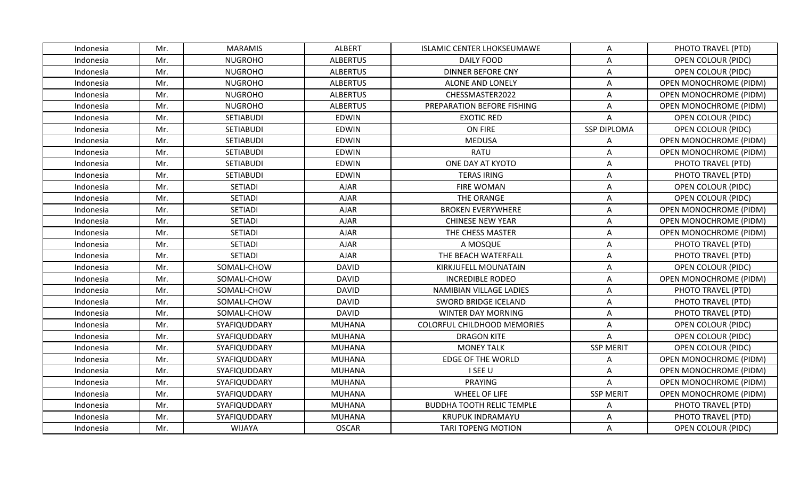| Indonesia | Mr. | <b>MARAMIS</b>   | <b>ALBERT</b>   | <b>ISLAMIC CENTER LHOKSEUMAWE</b>  | Α                  | PHOTO TRAVEL (PTD)            |
|-----------|-----|------------------|-----------------|------------------------------------|--------------------|-------------------------------|
| Indonesia | Mr. | <b>NUGROHO</b>   | <b>ALBERTUS</b> | <b>DAILY FOOD</b>                  | A                  | <b>OPEN COLOUR (PIDC)</b>     |
| Indonesia | Mr. | <b>NUGROHO</b>   | <b>ALBERTUS</b> | <b>DINNER BEFORE CNY</b>           | A                  | <b>OPEN COLOUR (PIDC)</b>     |
| Indonesia | Mr. | <b>NUGROHO</b>   | <b>ALBERTUS</b> | ALONE AND LONELY                   | A                  | <b>OPEN MONOCHROME (PIDM)</b> |
| Indonesia | Mr. | <b>NUGROHO</b>   | <b>ALBERTUS</b> | CHESSMASTER2022                    | A                  | <b>OPEN MONOCHROME (PIDM)</b> |
| Indonesia | Mr. | <b>NUGROHO</b>   | <b>ALBERTUS</b> | PREPARATION BEFORE FISHING         | Α                  | <b>OPEN MONOCHROME (PIDM)</b> |
| Indonesia | Mr. | SETIABUDI        | <b>EDWIN</b>    | <b>EXOTIC RED</b>                  | A                  | <b>OPEN COLOUR (PIDC)</b>     |
| Indonesia | Mr. | <b>SETIABUDI</b> | <b>EDWIN</b>    | ON FIRE                            | <b>SSP DIPLOMA</b> | <b>OPEN COLOUR (PIDC)</b>     |
| Indonesia | Mr. | <b>SETIABUDI</b> | <b>EDWIN</b>    | <b>MEDUSA</b>                      | A                  | <b>OPEN MONOCHROME (PIDM)</b> |
| Indonesia | Mr. | <b>SETIABUDI</b> | <b>EDWIN</b>    | <b>RATU</b>                        | A                  | <b>OPEN MONOCHROME (PIDM)</b> |
| Indonesia | Mr. | <b>SETIABUDI</b> | <b>EDWIN</b>    | ONE DAY AT KYOTO                   | Α                  | PHOTO TRAVEL (PTD)            |
| Indonesia | Mr. | SETIABUDI        | <b>EDWIN</b>    | <b>TERAS IRING</b>                 | A                  | PHOTO TRAVEL (PTD)            |
| Indonesia | Mr. | <b>SETIADI</b>   | <b>AJAR</b>     | <b>FIRE WOMAN</b>                  | A                  | <b>OPEN COLOUR (PIDC)</b>     |
| Indonesia | Mr. | <b>SETIADI</b>   | <b>AJAR</b>     | THE ORANGE                         | A                  | <b>OPEN COLOUR (PIDC)</b>     |
| Indonesia | Mr. | <b>SETIADI</b>   | <b>AJAR</b>     | <b>BROKEN EVERYWHERE</b>           | Α                  | <b>OPEN MONOCHROME (PIDM)</b> |
| Indonesia | Mr. | <b>SETIADI</b>   | <b>AJAR</b>     | <b>CHINESE NEW YEAR</b>            | A                  | <b>OPEN MONOCHROME (PIDM)</b> |
| Indonesia | Mr. | <b>SETIADI</b>   | <b>AJAR</b>     | THE CHESS MASTER                   | A                  | <b>OPEN MONOCHROME (PIDM)</b> |
| Indonesia | Mr. | <b>SETIADI</b>   | <b>AJAR</b>     | A MOSQUE                           | A                  | PHOTO TRAVEL (PTD)            |
| Indonesia | Mr. | SETIADI          | <b>AJAR</b>     | THE BEACH WATERFALL                | Α                  | PHOTO TRAVEL (PTD)            |
| Indonesia | Mr. | SOMALI-CHOW      | <b>DAVID</b>    | KIRKJUFELL MOUNATAIN               | A                  | <b>OPEN COLOUR (PIDC)</b>     |
| Indonesia | Mr. | SOMALI-CHOW      | <b>DAVID</b>    | <b>INCREDIBLE RODEO</b>            | A                  | OPEN MONOCHROME (PIDM)        |
| Indonesia | Mr. | SOMALI-CHOW      | <b>DAVID</b>    | NAMIBIAN VILLAGE LADIES            | A                  | PHOTO TRAVEL (PTD)            |
| Indonesia | Mr. | SOMALI-CHOW      | <b>DAVID</b>    | SWORD BRIDGE ICELAND               | A                  | PHOTO TRAVEL (PTD)            |
| Indonesia | Mr. | SOMALI-CHOW      | <b>DAVID</b>    | <b>WINTER DAY MORNING</b>          | A                  | PHOTO TRAVEL (PTD)            |
| Indonesia | Mr. | SYAFIQUDDARY     | <b>MUHANA</b>   | <b>COLORFUL CHILDHOOD MEMORIES</b> | A                  | <b>OPEN COLOUR (PIDC)</b>     |
| Indonesia | Mr. | SYAFIQUDDARY     | <b>MUHANA</b>   | <b>DRAGON KITE</b>                 | Α                  | <b>OPEN COLOUR (PIDC)</b>     |
| Indonesia | Mr. | SYAFIQUDDARY     | <b>MUHANA</b>   | <b>MONEY TALK</b>                  | <b>SSP MERIT</b>   | OPEN COLOUR (PIDC)            |
| Indonesia | Mr. | SYAFIQUDDARY     | <b>MUHANA</b>   | <b>EDGE OF THE WORLD</b>           | A                  | OPEN MONOCHROME (PIDM)        |
| Indonesia | Mr. | SYAFIQUDDARY     | <b>MUHANA</b>   | I SEE U                            | A                  | <b>OPEN MONOCHROME (PIDM)</b> |
| Indonesia | Mr. | SYAFIQUDDARY     | <b>MUHANA</b>   | <b>PRAYING</b>                     | A                  | <b>OPEN MONOCHROME (PIDM)</b> |
| Indonesia | Mr. | SYAFIQUDDARY     | <b>MUHANA</b>   | WHEEL OF LIFE                      | <b>SSP MERIT</b>   | OPEN MONOCHROME (PIDM)        |
| Indonesia | Mr. | SYAFIQUDDARY     | <b>MUHANA</b>   | <b>BUDDHA TOOTH RELIC TEMPLE</b>   | Α                  | PHOTO TRAVEL (PTD)            |
| Indonesia | Mr. | SYAFIQUDDARY     | <b>MUHANA</b>   | <b>KRUPUK INDRAMAYU</b>            | A                  | PHOTO TRAVEL (PTD)            |
| Indonesia | Mr. | <b>WIJAYA</b>    | <b>OSCAR</b>    | <b>TARI TOPENG MOTION</b>          | Α                  | <b>OPEN COLOUR (PIDC)</b>     |
|           |     |                  |                 |                                    |                    |                               |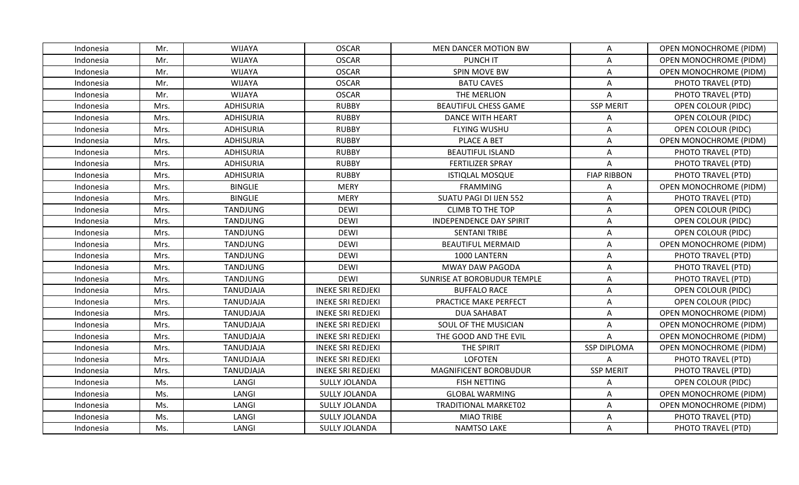| Indonesia | Mr.  | WIJAYA           | <b>OSCAR</b>             | MEN DANCER MOTION BW           | Α                  | <b>OPEN MONOCHROME (PIDM)</b> |
|-----------|------|------------------|--------------------------|--------------------------------|--------------------|-------------------------------|
| Indonesia | Mr.  | <b>WIJAYA</b>    | <b>OSCAR</b>             | <b>PUNCH IT</b>                | Α                  | <b>OPEN MONOCHROME (PIDM)</b> |
| Indonesia | Mr.  | <b>WIJAYA</b>    | <b>OSCAR</b>             | SPIN MOVE BW                   | Α                  | <b>OPEN MONOCHROME (PIDM)</b> |
| Indonesia | Mr.  | WIJAYA           | <b>OSCAR</b>             | <b>BATU CAVES</b>              | A                  | PHOTO TRAVEL (PTD)            |
| Indonesia | Mr.  | WIJAYA           | <b>OSCAR</b>             | THE MERLION                    | A                  | PHOTO TRAVEL (PTD)            |
| Indonesia | Mrs. | <b>ADHISURIA</b> | <b>RUBBY</b>             | <b>BEAUTIFUL CHESS GAME</b>    | <b>SSP MERIT</b>   | OPEN COLOUR (PIDC)            |
| Indonesia | Mrs. | <b>ADHISURIA</b> | <b>RUBBY</b>             | <b>DANCE WITH HEART</b>        | A                  | OPEN COLOUR (PIDC)            |
| Indonesia | Mrs. | <b>ADHISURIA</b> | <b>RUBBY</b>             | <b>FLYING WUSHU</b>            | Α                  | OPEN COLOUR (PIDC)            |
| Indonesia | Mrs. | <b>ADHISURIA</b> | <b>RUBBY</b>             | PLACE A BET                    | A                  | <b>OPEN MONOCHROME (PIDM)</b> |
| Indonesia | Mrs. | <b>ADHISURIA</b> | <b>RUBBY</b>             | <b>BEAUTIFUL ISLAND</b>        | Α                  | PHOTO TRAVEL (PTD)            |
| Indonesia | Mrs. | <b>ADHISURIA</b> | <b>RUBBY</b>             | <b>FERTILIZER SPRAY</b>        | Α                  | PHOTO TRAVEL (PTD)            |
| Indonesia | Mrs. | <b>ADHISURIA</b> | <b>RUBBY</b>             | <b>ISTIQLAL MOSQUE</b>         | <b>FIAP RIBBON</b> | PHOTO TRAVEL (PTD)            |
| Indonesia | Mrs. | <b>BINGLIE</b>   | <b>MERY</b>              | <b>FRAMMING</b>                | A                  | <b>OPEN MONOCHROME (PIDM)</b> |
| Indonesia | Mrs. | <b>BINGLIE</b>   | <b>MERY</b>              | SUATU PAGI DI IJEN 552         | Α                  | PHOTO TRAVEL (PTD)            |
| Indonesia | Mrs. | <b>TANDJUNG</b>  | <b>DEWI</b>              | <b>CLIMB TO THE TOP</b>        | A                  | <b>OPEN COLOUR (PIDC)</b>     |
| Indonesia | Mrs. | <b>TANDJUNG</b>  | <b>DEWI</b>              | <b>INDEPENDENCE DAY SPIRIT</b> | Α                  | <b>OPEN COLOUR (PIDC)</b>     |
| Indonesia | Mrs. | <b>TANDJUNG</b>  | <b>DEWI</b>              | <b>SENTANI TRIBE</b>           | A                  | <b>OPEN COLOUR (PIDC)</b>     |
| Indonesia | Mrs. | <b>TANDJUNG</b>  | <b>DEWI</b>              | <b>BEAUTIFUL MERMAID</b>       | A                  | <b>OPEN MONOCHROME (PIDM)</b> |
| Indonesia | Mrs. | <b>TANDJUNG</b>  | <b>DEWI</b>              | 1000 LANTERN                   | Α                  | PHOTO TRAVEL (PTD)            |
| Indonesia | Mrs. | <b>TANDJUNG</b>  | <b>DEWI</b>              | MWAY DAW PAGODA                | A                  | PHOTO TRAVEL (PTD)            |
| Indonesia | Mrs. | <b>TANDJUNG</b>  | <b>DEWI</b>              | SUNRISE AT BOROBUDUR TEMPLE    | Α                  | PHOTO TRAVEL (PTD)            |
| Indonesia | Mrs. | TANUDJAJA        | <b>INEKE SRI REDJEKI</b> | <b>BUFFALO RACE</b>            | A                  | <b>OPEN COLOUR (PIDC)</b>     |
| Indonesia | Mrs. | TANUDJAJA        | <b>INEKE SRI REDJEKI</b> | PRACTICE MAKE PERFECT          | Α                  | <b>OPEN COLOUR (PIDC)</b>     |
| Indonesia | Mrs. | TANUDJAJA        | <b>INEKE SRI REDJEKI</b> | <b>DUA SAHABAT</b>             | Α                  | <b>OPEN MONOCHROME (PIDM)</b> |
| Indonesia | Mrs. | TANUDJAJA        | <b>INEKE SRI REDJEKI</b> | SOUL OF THE MUSICIAN           | Α                  | <b>OPEN MONOCHROME (PIDM)</b> |
| Indonesia | Mrs. | TANUDJAJA        | <b>INEKE SRI REDJEKI</b> | THE GOOD AND THE EVIL          | Α                  | OPEN MONOCHROME (PIDM)        |
| Indonesia | Mrs. | TANUDJAJA        | <b>INEKE SRI REDJEKI</b> | THE SPIRIT                     | <b>SSP DIPLOMA</b> | OPEN MONOCHROME (PIDM)        |
| Indonesia | Mrs. | TANUDJAJA        | <b>INEKE SRI REDJEKI</b> | <b>LOFOTEN</b>                 | $\Delta$           | PHOTO TRAVEL (PTD)            |
| Indonesia | Mrs. | TANUDJAJA        | <b>INEKE SRI REDJEKI</b> | MAGNIFICENT BOROBUDUR          | <b>SSP MERIT</b>   | PHOTO TRAVEL (PTD)            |
| Indonesia | Ms.  | LANGI            | <b>SULLY JOLANDA</b>     | <b>FISH NETTING</b>            | Α                  | <b>OPEN COLOUR (PIDC)</b>     |
| Indonesia | Ms.  | LANGI            | <b>SULLY JOLANDA</b>     | <b>GLOBAL WARMING</b>          | A                  | <b>OPEN MONOCHROME (PIDM)</b> |
| Indonesia | Ms.  | LANGI            | <b>SULLY JOLANDA</b>     | <b>TRADITIONAL MARKET02</b>    | Α                  | <b>OPEN MONOCHROME (PIDM)</b> |
| Indonesia | Ms.  | LANGI            | <b>SULLY JOLANDA</b>     | <b>MIAO TRIBE</b>              | Α                  | PHOTO TRAVEL (PTD)            |
| Indonesia | Ms.  | LANGI            | <b>SULLY JOLANDA</b>     | <b>NAMTSO LAKE</b>             | $\overline{A}$     | PHOTO TRAVEL (PTD)            |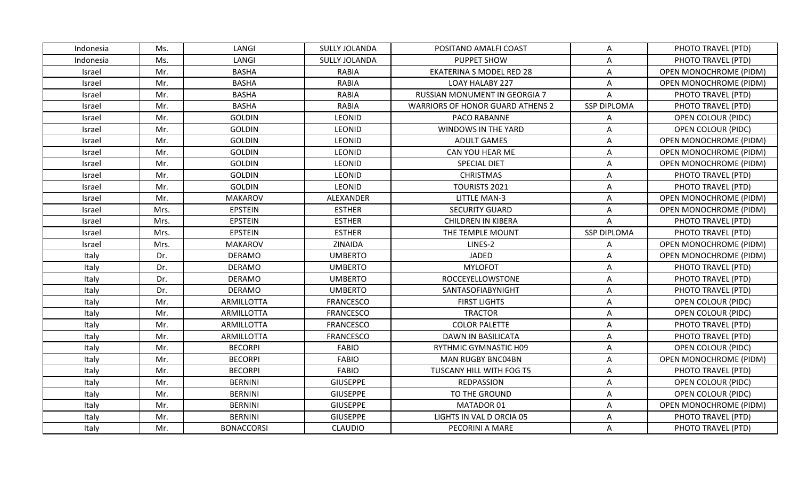| Indonesia     | Ms.  | LANGI             | <b>SULLY JOLANDA</b> | POSITANO AMALFI COAST                   | A                  | PHOTO TRAVEL (PTD)            |
|---------------|------|-------------------|----------------------|-----------------------------------------|--------------------|-------------------------------|
| Indonesia     | Ms.  | LANGI             | <b>SULLY JOLANDA</b> | PUPPET SHOW                             | $\overline{A}$     | PHOTO TRAVEL (PTD)            |
| Israel        | Mr.  | <b>BASHA</b>      | <b>RABIA</b>         | <b>EKATERINA S MODEL RED 28</b>         | A                  | OPEN MONOCHROME (PIDM)        |
| Israel        | Mr.  | <b>BASHA</b>      | <b>RABIA</b>         | <b>LOAY HALABY 227</b>                  | A                  | <b>OPEN MONOCHROME (PIDM)</b> |
| Israel        | Mr.  | <b>BASHA</b>      | <b>RABIA</b>         | RUSSIAN MONUMENT IN GEORGIA 7           | A                  | PHOTO TRAVEL (PTD)            |
| Israel        | Mr.  | <b>BASHA</b>      | <b>RABIA</b>         | <b>WARRIORS OF HONOR GUARD ATHENS 2</b> | <b>SSP DIPLOMA</b> | PHOTO TRAVEL (PTD)            |
| <b>Israel</b> | Mr.  | <b>GOLDIN</b>     | <b>LEONID</b>        | PACO RABANNE                            | A                  | OPEN COLOUR (PIDC)            |
| Israel        | Mr.  | <b>GOLDIN</b>     | <b>LEONID</b>        | WINDOWS IN THE YARD                     | A                  | OPEN COLOUR (PIDC)            |
| Israel        | Mr.  | <b>GOLDIN</b>     | LEONID               | <b>ADULT GAMES</b>                      | A                  | <b>OPEN MONOCHROME (PIDM)</b> |
| Israel        | Mr.  | <b>GOLDIN</b>     | LEONID               | CAN YOU HEAR ME                         | A                  | <b>OPEN MONOCHROME (PIDM)</b> |
| Israel        | Mr.  | <b>GOLDIN</b>     | <b>LEONID</b>        | <b>SPECIAL DIET</b>                     | A                  | <b>OPEN MONOCHROME (PIDM)</b> |
| Israel        | Mr.  | <b>GOLDIN</b>     | <b>LEONID</b>        | <b>CHRISTMAS</b>                        | A                  | PHOTO TRAVEL (PTD)            |
| Israel        | Mr.  | <b>GOLDIN</b>     | <b>LEONID</b>        | TOURISTS 2021                           | A                  | PHOTO TRAVEL (PTD)            |
| Israel        | Mr.  | <b>MAKAROV</b>    | ALEXANDER            | <b>LITTLE MAN-3</b>                     | A                  | <b>OPEN MONOCHROME (PIDM)</b> |
| Israel        | Mrs. | <b>EPSTEIN</b>    | <b>ESTHER</b>        | <b>SECURITY GUARD</b>                   | A                  | <b>OPEN MONOCHROME (PIDM)</b> |
| Israel        | Mrs. | <b>EPSTEIN</b>    | <b>ESTHER</b>        | <b>CHILDREN IN KIBERA</b>               | A                  | PHOTO TRAVEL (PTD)            |
| Israel        | Mrs. | <b>EPSTEIN</b>    | <b>ESTHER</b>        | THE TEMPLE MOUNT                        | <b>SSP DIPLOMA</b> | PHOTO TRAVEL (PTD)            |
| Israel        | Mrs. | <b>MAKAROV</b>    | ZINAIDA              | LINES-2                                 | A                  | OPEN MONOCHROME (PIDM)        |
| Italy         | Dr.  | <b>DERAMO</b>     | <b>UMBERTO</b>       | JADED                                   | A                  | <b>OPEN MONOCHROME (PIDM)</b> |
| Italy         | Dr.  | <b>DERAMO</b>     | <b>UMBERTO</b>       | <b>MYLOFOT</b>                          | A                  | PHOTO TRAVEL (PTD)            |
| Italy         | Dr.  | <b>DERAMO</b>     | <b>UMBERTO</b>       | ROCCEYELLOWSTONE                        | A                  | PHOTO TRAVEL (PTD)            |
| Italy         | Dr.  | <b>DERAMO</b>     | <b>UMBERTO</b>       | SANTASOFIABYNIGHT                       | $\overline{A}$     | PHOTO TRAVEL (PTD)            |
| Italy         | Mr.  | <b>ARMILLOTTA</b> | <b>FRANCESCO</b>     | <b>FIRST LIGHTS</b>                     | A                  | OPEN COLOUR (PIDC)            |
| Italy         | Mr.  | ARMILLOTTA        | FRANCESCO            | <b>TRACTOR</b>                          | A                  | <b>OPEN COLOUR (PIDC)</b>     |
| Italy         | Mr.  | ARMILLOTTA        | <b>FRANCESCO</b>     | <b>COLOR PALETTE</b>                    | A                  | PHOTO TRAVEL (PTD)            |
| Italy         | Mr.  | ARMILLOTTA        | FRANCESCO            | DAWN IN BASILICATA                      | A                  | PHOTO TRAVEL (PTD)            |
| Italy         | Mr.  | <b>BECORPI</b>    | <b>FABIO</b>         | RYTHMIC GYMNASTIC H09                   | A                  | OPEN COLOUR (PIDC)            |
| Italy         | Mr.  | <b>BECORPI</b>    | <b>FABIO</b>         | <b>MAN RUGBY BNC04BN</b>                | A                  | OPEN MONOCHROME (PIDM)        |
| Italy         | Mr.  | <b>BECORPI</b>    | FABIO                | TUSCANY HILL WITH FOG T5                | A                  | PHOTO TRAVEL (PTD)            |
| Italy         | Mr.  | <b>BERNINI</b>    | <b>GIUSEPPE</b>      | <b>REDPASSION</b>                       | A                  | OPEN COLOUR (PIDC)            |
| Italy         | Mr.  | <b>BERNINI</b>    | <b>GIUSEPPE</b>      | TO THE GROUND                           | A                  | OPEN COLOUR (PIDC)            |
| Italy         | Mr.  | <b>BERNINI</b>    | <b>GIUSEPPE</b>      | MATADOR 01                              | A                  | OPEN MONOCHROME (PIDM)        |
| Italy         | Mr.  | <b>BERNINI</b>    | <b>GIUSEPPE</b>      | LIGHTS IN VAL D ORCIA 05                | A                  | PHOTO TRAVEL (PTD)            |
| Italy         | Mr.  | <b>BONACCORSI</b> | <b>CLAUDIO</b>       | PECORINI A MARE                         | A                  | PHOTO TRAVEL (PTD)            |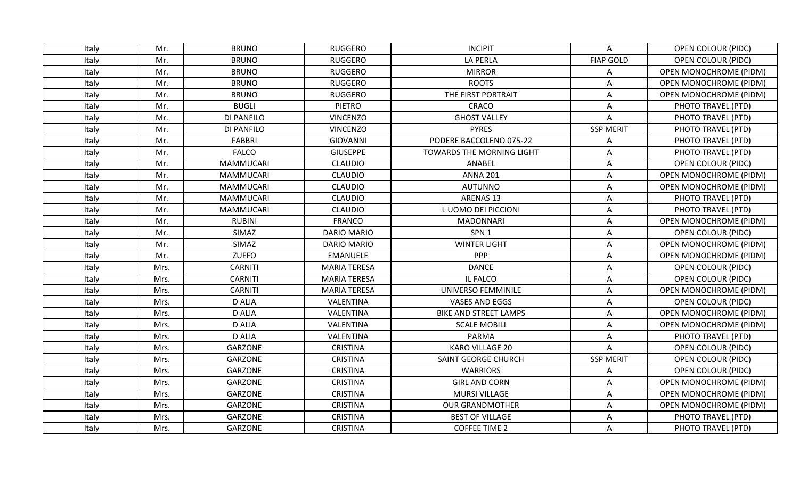| Italy | Mr.  | <b>BRUNO</b>     | <b>RUGGERO</b>      | <b>INCIPIT</b>                   | A                | OPEN COLOUR (PIDC)            |
|-------|------|------------------|---------------------|----------------------------------|------------------|-------------------------------|
| Italy | Mr.  | <b>BRUNO</b>     | <b>RUGGERO</b>      | <b>LA PERLA</b>                  | <b>FIAP GOLD</b> | OPEN COLOUR (PIDC)            |
| Italy | Mr.  | <b>BRUNO</b>     | <b>RUGGERO</b>      | <b>MIRROR</b>                    | A                | OPEN MONOCHROME (PIDM)        |
| Italy | Mr.  | <b>BRUNO</b>     | <b>RUGGERO</b>      | <b>ROOTS</b>                     | A                | <b>OPEN MONOCHROME (PIDM)</b> |
| Italy | Mr.  | <b>BRUNO</b>     | <b>RUGGERO</b>      | THE FIRST PORTRAIT               | A                | OPEN MONOCHROME (PIDM)        |
| Italy | Mr.  | <b>BUGLI</b>     | PIETRO              | CRACO                            | Α                | PHOTO TRAVEL (PTD)            |
| Italy | Mr.  | DI PANFILO       | <b>VINCENZO</b>     | <b>GHOST VALLEY</b>              | A                | PHOTO TRAVEL (PTD)            |
| Italy | Mr.  | DI PANFILO       | <b>VINCENZO</b>     | <b>PYRES</b>                     | <b>SSP MERIT</b> | PHOTO TRAVEL (PTD)            |
| Italy | Mr.  | <b>FABBRI</b>    | <b>GIOVANNI</b>     | PODERE BACCOLENO 075-22          | A                | PHOTO TRAVEL (PTD)            |
| Italy | Mr.  | <b>FALCO</b>     | <b>GIUSEPPE</b>     | <b>TOWARDS THE MORNING LIGHT</b> | Α                | PHOTO TRAVEL (PTD)            |
| Italy | Mr.  | <b>MAMMUCARI</b> | <b>CLAUDIO</b>      | ANABEL                           | A                | OPEN COLOUR (PIDC)            |
| Italy | Mr.  | <b>MAMMUCARI</b> | <b>CLAUDIO</b>      | <b>ANNA 201</b>                  | A                | <b>OPEN MONOCHROME (PIDM)</b> |
| Italy | Mr.  | <b>MAMMUCARI</b> | <b>CLAUDIO</b>      | <b>AUTUNNO</b>                   | Α                | OPEN MONOCHROME (PIDM)        |
| Italy | Mr.  | <b>MAMMUCARI</b> | <b>CLAUDIO</b>      | ARENAS 13                        | Α                | PHOTO TRAVEL (PTD)            |
| Italy | Mr.  | <b>MAMMUCARI</b> | <b>CLAUDIO</b>      | L UOMO DEI PICCIONI              | A                | PHOTO TRAVEL (PTD)            |
| Italy | Mr.  | <b>RUBINI</b>    | <b>FRANCO</b>       | <b>MADONNARI</b>                 | Α                | <b>OPEN MONOCHROME (PIDM)</b> |
| Italy | Mr.  | SIMAZ            | <b>DARIO MARIO</b>  | SPN <sub>1</sub>                 | A                | <b>OPEN COLOUR (PIDC)</b>     |
| Italy | Mr.  | SIMAZ            | <b>DARIO MARIO</b>  | <b>WINTER LIGHT</b>              | A                | OPEN MONOCHROME (PIDM)        |
| Italy | Mr.  | <b>ZUFFO</b>     | <b>EMANUELE</b>     | <b>PPP</b>                       | A                | OPEN MONOCHROME (PIDM)        |
| Italy | Mrs. | <b>CARNITI</b>   | <b>MARIA TERESA</b> | <b>DANCE</b>                     | Α                | OPEN COLOUR (PIDC)            |
| Italy | Mrs. | <b>CARNITI</b>   | <b>MARIA TERESA</b> | IL FALCO                         | Α                | <b>OPEN COLOUR (PIDC)</b>     |
| Italy | Mrs. | <b>CARNITI</b>   | <b>MARIA TERESA</b> | UNIVERSO FEMMINILE               | A                | <b>OPEN MONOCHROME (PIDM)</b> |
| Italy | Mrs. | <b>D ALIA</b>    | VALENTINA           | VASES AND EGGS                   | Α                | OPEN COLOUR (PIDC)            |
| Italy | Mrs. | <b>D ALIA</b>    | VALENTINA           | <b>BIKE AND STREET LAMPS</b>     | A                | OPEN MONOCHROME (PIDM)        |
| Italy | Mrs. | <b>D ALIA</b>    | VALENTINA           | <b>SCALE MOBILI</b>              | Α                | <b>OPEN MONOCHROME (PIDM)</b> |
| Italy | Mrs. | <b>D ALIA</b>    | VALENTINA           | <b>PARMA</b>                     | A                | PHOTO TRAVEL (PTD)            |
| Italy | Mrs. | <b>GARZONE</b>   | <b>CRISTINA</b>     | <b>KARO VILLAGE 20</b>           | A                | OPEN COLOUR (PIDC)            |
| Italy | Mrs. | <b>GARZONE</b>   | <b>CRISTINA</b>     | SAINT GEORGE CHURCH              | <b>SSP MERIT</b> | <b>OPEN COLOUR (PIDC)</b>     |
| Italy | Mrs. | GARZONE          | <b>CRISTINA</b>     | <b>WARRIORS</b>                  | A                | OPEN COLOUR (PIDC)            |
| Italy | Mrs. | GARZONE          | <b>CRISTINA</b>     | <b>GIRL AND CORN</b>             | Α                | OPEN MONOCHROME (PIDM)        |
| Italy | Mrs. | <b>GARZONE</b>   | <b>CRISTINA</b>     | <b>MURSI VILLAGE</b>             | Α                | <b>OPEN MONOCHROME (PIDM)</b> |
| Italy | Mrs. | GARZONE          | <b>CRISTINA</b>     | <b>OUR GRANDMOTHER</b>           | Α                | OPEN MONOCHROME (PIDM)        |
| Italy | Mrs. | GARZONE          | <b>CRISTINA</b>     | <b>BEST OF VILLAGE</b>           | A                | PHOTO TRAVEL (PTD)            |
| Italy | Mrs. | GARZONE          | <b>CRISTINA</b>     | <b>COFFEE TIME 2</b>             | A                | PHOTO TRAVEL (PTD)            |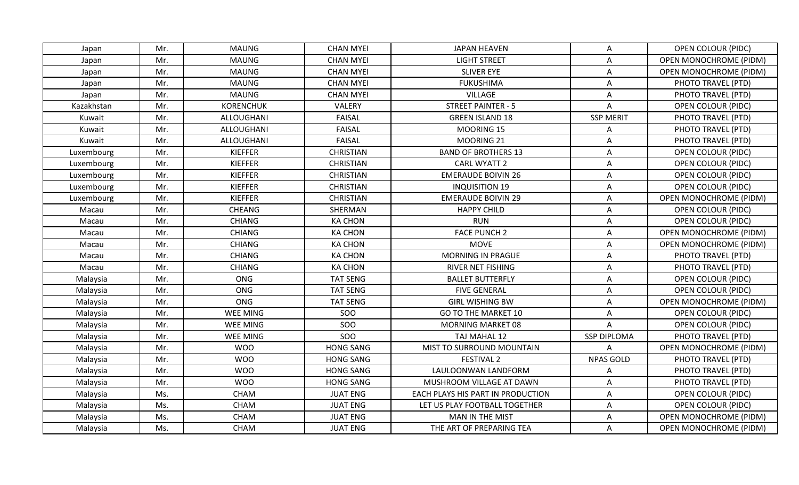| Japan      | Mr. | <b>MAUNG</b>     | <b>CHAN MYEI</b> | JAPAN HEAVEN                      | A                  | <b>OPEN COLOUR (PIDC)</b>     |
|------------|-----|------------------|------------------|-----------------------------------|--------------------|-------------------------------|
| Japan      | Mr. | <b>MAUNG</b>     | <b>CHAN MYEI</b> | <b>LIGHT STREET</b>               | A                  | OPEN MONOCHROME (PIDM)        |
| Japan      | Mr. | <b>MAUNG</b>     | <b>CHAN MYEI</b> | <b>SLIVER EYE</b>                 | Α                  | <b>OPEN MONOCHROME (PIDM)</b> |
| Japan      | Mr. | <b>MAUNG</b>     | <b>CHAN MYEI</b> | <b>FUKUSHIMA</b>                  | A                  | PHOTO TRAVEL (PTD)            |
| Japan      | Mr. | <b>MAUNG</b>     | <b>CHAN MYEI</b> | VILLAGE                           | A                  | PHOTO TRAVEL (PTD)            |
| Kazakhstan | Mr. | <b>KORENCHUK</b> | VALERY           | <b>STREET PAINTER - 5</b>         | A                  | <b>OPEN COLOUR (PIDC)</b>     |
| Kuwait     | Mr. | ALLOUGHANI       | <b>FAISAL</b>    | <b>GREEN ISLAND 18</b>            | <b>SSP MERIT</b>   | PHOTO TRAVEL (PTD)            |
| Kuwait     | Mr. | ALLOUGHANI       | <b>FAISAL</b>    | MOORING 15                        | A                  | PHOTO TRAVEL (PTD)            |
| Kuwait     | Mr. | ALLOUGHANI       | <b>FAISAL</b>    | MOORING 21                        | A                  | PHOTO TRAVEL (PTD)            |
| Luxembourg | Mr. | <b>KIEFFER</b>   | <b>CHRISTIAN</b> | <b>BAND OF BROTHERS 13</b>        | A                  | <b>OPEN COLOUR (PIDC)</b>     |
| Luxembourg | Mr. | <b>KIEFFER</b>   | <b>CHRISTIAN</b> | CARL WYATT 2                      | A                  | <b>OPEN COLOUR (PIDC)</b>     |
| Luxembourg | Mr. | <b>KIEFFER</b>   | <b>CHRISTIAN</b> | <b>EMERAUDE BOIVIN 26</b>         | A                  | <b>OPEN COLOUR (PIDC)</b>     |
| Luxembourg | Mr. | <b>KIEFFER</b>   | <b>CHRISTIAN</b> | <b>INQUISITION 19</b>             | A                  | <b>OPEN COLOUR (PIDC)</b>     |
| Luxembourg | Mr. | <b>KIEFFER</b>   | <b>CHRISTIAN</b> | <b>EMERAUDE BOIVIN 29</b>         | A                  | OPEN MONOCHROME (PIDM)        |
| Macau      | Mr. | CHEANG           | SHERMAN          | <b>HAPPY CHILD</b>                | A                  | OPEN COLOUR (PIDC)            |
| Macau      | Mr. | <b>CHIANG</b>    | <b>KA CHON</b>   | <b>RUN</b>                        | Α                  | OPEN COLOUR (PIDC)            |
| Macau      | Mr. | <b>CHIANG</b>    | <b>KA CHON</b>   | <b>FACE PUNCH 2</b>               | A                  | <b>OPEN MONOCHROME (PIDM)</b> |
| Macau      | Mr. | <b>CHIANG</b>    | <b>KA CHON</b>   | <b>MOVE</b>                       | A                  | <b>OPEN MONOCHROME (PIDM)</b> |
| Macau      | Mr. | <b>CHIANG</b>    | <b>KA CHON</b>   | MORNING IN PRAGUE                 | A                  | PHOTO TRAVEL (PTD)            |
| Macau      | Mr. | CHIANG           | <b>KA CHON</b>   | <b>RIVER NET FISHING</b>          | A                  | PHOTO TRAVEL (PTD)            |
| Malaysia   | Mr. | <b>ONG</b>       | <b>TAT SENG</b>  | <b>BALLET BUTTERFLY</b>           | A                  | <b>OPEN COLOUR (PIDC)</b>     |
| Malaysia   | Mr. | ONG              | <b>TAT SENG</b>  | <b>FIVE GENERAL</b>               | A                  | <b>OPEN COLOUR (PIDC)</b>     |
| Malaysia   | Mr. | <b>ONG</b>       | <b>TAT SENG</b>  | <b>GIRL WISHING BW</b>            | A                  | OPEN MONOCHROME (PIDM)        |
| Malaysia   | Mr. | WEE MING         | SOO              | GO TO THE MARKET 10               | A                  | <b>OPEN COLOUR (PIDC)</b>     |
| Malaysia   | Mr. | WEE MING         | <b>SOO</b>       | <b>MORNING MARKET 08</b>          | A                  | <b>OPEN COLOUR (PIDC)</b>     |
| Malaysia   | Mr. | <b>WEE MING</b>  | SOO              | TAJ MAHAL 12                      | <b>SSP DIPLOMA</b> | PHOTO TRAVEL (PTD)            |
| Malaysia   | Mr. | <b>WOO</b>       | <b>HONG SANG</b> | MIST TO SURROUND MOUNTAIN         | A                  | <b>OPEN MONOCHROME (PIDM)</b> |
| Malaysia   | Mr. | <b>WOO</b>       | <b>HONG SANG</b> | <b>FESTIVAL 2</b>                 | <b>NPAS GOLD</b>   | PHOTO TRAVEL (PTD)            |
| Malaysia   | Mr. | <b>WOO</b>       | <b>HONG SANG</b> | LAULOONWAN LANDFORM               | A                  | PHOTO TRAVEL (PTD)            |
| Malaysia   | Mr. | <b>WOO</b>       | <b>HONG SANG</b> | MUSHROOM VILLAGE AT DAWN          | Α                  | PHOTO TRAVEL (PTD)            |
| Malaysia   | Ms. | <b>CHAM</b>      | <b>JUAT ENG</b>  | EACH PLAYS HIS PART IN PRODUCTION | A                  | <b>OPEN COLOUR (PIDC)</b>     |
| Malaysia   | Ms. | CHAM             | <b>JUAT ENG</b>  | LET US PLAY FOOTBALL TOGETHER     | Α                  | <b>OPEN COLOUR (PIDC)</b>     |
| Malaysia   | Ms. | <b>CHAM</b>      | <b>JUAT ENG</b>  | <b>MAN IN THE MIST</b>            | A                  | <b>OPEN MONOCHROME (PIDM)</b> |
| Malaysia   | Ms. | CHAM             | <b>JUAT ENG</b>  | THE ART OF PREPARING TEA          | A                  | <b>OPEN MONOCHROME (PIDM)</b> |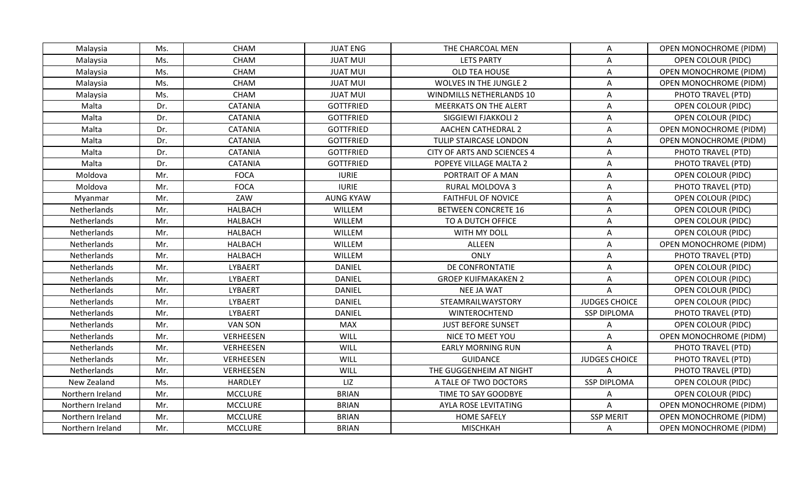| Malaysia         | Ms. | <b>CHAM</b>      | <b>JUAT ENG</b>  | THE CHARCOAL MEN              | A                    | <b>OPEN MONOCHROME (PIDM)</b> |
|------------------|-----|------------------|------------------|-------------------------------|----------------------|-------------------------------|
| Malaysia         | Ms. | <b>CHAM</b>      | <b>JUAT MUI</b>  | <b>LETS PARTY</b>             | A                    | <b>OPEN COLOUR (PIDC)</b>     |
| Malaysia         | Ms. | <b>CHAM</b>      | <b>JUAT MUI</b>  | OLD TEA HOUSE                 | A                    | <b>OPEN MONOCHROME (PIDM)</b> |
| Malaysia         | Ms. | <b>CHAM</b>      | <b>JUAT MUI</b>  | <b>WOLVES IN THE JUNGLE 2</b> | A                    | <b>OPEN MONOCHROME (PIDM)</b> |
| Malaysia         | Ms. | CHAM             | <b>JUAT MUI</b>  | WINDMILLS NETHERLANDS 10      | A                    | PHOTO TRAVEL (PTD)            |
| Malta            | Dr. | <b>CATANIA</b>   | <b>GOTTFRIED</b> | <b>MEERKATS ON THE ALERT</b>  | A                    | OPEN COLOUR (PIDC)            |
| Malta            | Dr. | <b>CATANIA</b>   | <b>GOTTFRIED</b> | SIGGIEWI FJAKKOLI 2           | A                    | <b>OPEN COLOUR (PIDC)</b>     |
| Malta            | Dr. | <b>CATANIA</b>   | <b>GOTTFRIED</b> | <b>AACHEN CATHEDRAL 2</b>     | A                    | <b>OPEN MONOCHROME (PIDM)</b> |
| Malta            | Dr. | CATANIA          | <b>GOTTFRIED</b> | TULIP STAIRCASE LONDON        | A                    | <b>OPEN MONOCHROME (PIDM)</b> |
| Malta            | Dr. | <b>CATANIA</b>   | <b>GOTTFRIED</b> | CITY OF ARTS AND SCIENCES 4   | A                    | PHOTO TRAVEL (PTD)            |
| Malta            | Dr. | <b>CATANIA</b>   | <b>GOTTFRIED</b> | POPEYE VILLAGE MALTA 2        | A                    | PHOTO TRAVEL (PTD)            |
| Moldova          | Mr. | <b>FOCA</b>      | <b>IURIE</b>     | PORTRAIT OF A MAN             | A                    | OPEN COLOUR (PIDC)            |
| Moldova          | Mr. | <b>FOCA</b>      | <b>IURIE</b>     | RURAL MOLDOVA 3               | $\overline{A}$       | PHOTO TRAVEL (PTD)            |
| Myanmar          | Mr. | ZAW              | <b>AUNG KYAW</b> | <b>FAITHFUL OF NOVICE</b>     | A                    | OPEN COLOUR (PIDC)            |
| Netherlands      | Mr. | <b>HALBACH</b>   | WILLEM           | <b>BETWEEN CONCRETE 16</b>    | A                    | <b>OPEN COLOUR (PIDC)</b>     |
| Netherlands      | Mr. | <b>HALBACH</b>   | WILLEM           | TO A DUTCH OFFICE             | A                    | OPEN COLOUR (PIDC)            |
| Netherlands      | Mr. | <b>HALBACH</b>   | WILLEM           | WITH MY DOLL                  | A                    | <b>OPEN COLOUR (PIDC)</b>     |
| Netherlands      | Mr. | <b>HALBACH</b>   | WILLEM           | ALLEEN                        | $\overline{A}$       | OPEN MONOCHROME (PIDM)        |
| Netherlands      | Mr. | <b>HALBACH</b>   | WILLEM           | ONLY                          | A                    | PHOTO TRAVEL (PTD)            |
| Netherlands      | Mr. | LYBAERT          | <b>DANIEL</b>    | DE CONFRONTATIE               | A                    | OPEN COLOUR (PIDC)            |
| Netherlands      | Mr. | LYBAERT          | <b>DANIEL</b>    | <b>GROEP KUIFMAKAKEN 2</b>    | A                    | OPEN COLOUR (PIDC)            |
| Netherlands      | Mr. | LYBAERT          | <b>DANIEL</b>    | <b>NEE JA WAT</b>             | $\overline{A}$       | <b>OPEN COLOUR (PIDC)</b>     |
| Netherlands      | Mr. | LYBAERT          | <b>DANIEL</b>    | STEAMRAILWAYSTORY             | <b>JUDGES CHOICE</b> | <b>OPEN COLOUR (PIDC)</b>     |
| Netherlands      | Mr. | LYBAERT          | <b>DANIEL</b>    | WINTEROCHTEND                 | <b>SSP DIPLOMA</b>   | PHOTO TRAVEL (PTD)            |
| Netherlands      | Mr. | VAN SON          | <b>MAX</b>       | <b>JUST BEFORE SUNSET</b>     | A                    | OPEN COLOUR (PIDC)            |
| Netherlands      | Mr. | <b>VERHEESEN</b> | WILL             | NICE TO MEET YOU              | A                    | OPEN MONOCHROME (PIDM)        |
| Netherlands      | Mr. | VERHEESEN        | WILL             | <b>EARLY MORNING RUN</b>      | A                    | PHOTO TRAVEL (PTD)            |
| Netherlands      | Mr. | VERHEESEN        | WILL             | <b>GUIDANCE</b>               | <b>JUDGES CHOICE</b> | PHOTO TRAVEL (PTD)            |
| Netherlands      | Mr. | VERHEESEN        | WILL             | THE GUGGENHEIM AT NIGHT       | $\overline{A}$       | PHOTO TRAVEL (PTD)            |
| New Zealand      | Ms. | <b>HARDLEY</b>   | LIZ              | A TALE OF TWO DOCTORS         | <b>SSP DIPLOMA</b>   | OPEN COLOUR (PIDC)            |
| Northern Ireland | Mr. | <b>MCCLURE</b>   | <b>BRIAN</b>     | TIME TO SAY GOODBYE           | A                    | OPEN COLOUR (PIDC)            |
| Northern Ireland | Mr. | <b>MCCLURE</b>   | <b>BRIAN</b>     | AYLA ROSE LEVITATING          | A                    | <b>OPEN MONOCHROME (PIDM)</b> |
| Northern Ireland | Mr. | <b>MCCLURE</b>   | <b>BRIAN</b>     | <b>HOME SAFELY</b>            | <b>SSP MERIT</b>     | <b>OPEN MONOCHROME (PIDM)</b> |
| Northern Ireland | Mr. | <b>MCCLURE</b>   | <b>BRIAN</b>     | <b>MISCHKAH</b>               | A                    | <b>OPEN MONOCHROME (PIDM)</b> |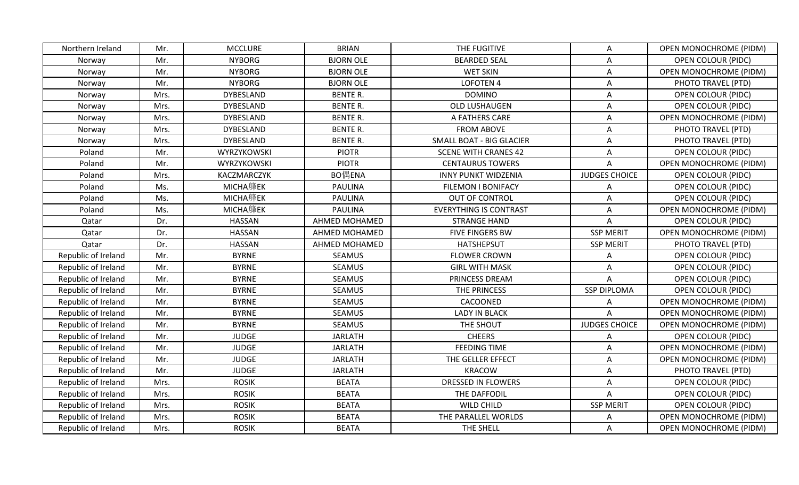| Northern Ireland    | Mr.  | <b>MCCLURE</b>   | <b>BRIAN</b>     | THE FUGITIVE                  | Α                    | <b>OPEN MONOCHROME (PIDM)</b> |
|---------------------|------|------------------|------------------|-------------------------------|----------------------|-------------------------------|
| Norway              | Mr.  | <b>NYBORG</b>    | <b>BJORN OLE</b> | <b>BEARDED SEAL</b>           | A                    | <b>OPEN COLOUR (PIDC)</b>     |
| Norway              | Mr.  | <b>NYBORG</b>    | <b>BJORN OLE</b> | <b>WET SKIN</b>               | A                    | <b>OPEN MONOCHROME (PIDM)</b> |
| Norway              | Mr.  | <b>NYBORG</b>    | <b>BJORN OLE</b> | <b>LOFOTEN 4</b>              | A                    | PHOTO TRAVEL (PTD)            |
| Norway              | Mrs. | <b>DYBESLAND</b> | <b>BENTE R.</b>  | <b>DOMINO</b>                 | $\overline{A}$       | <b>OPEN COLOUR (PIDC)</b>     |
| Norway              | Mrs. | <b>DYBESLAND</b> | <b>BENTE R.</b>  | OLD LUSHAUGEN                 | A                    | OPEN COLOUR (PIDC)            |
| Norway              | Mrs. | <b>DYBESLAND</b> | <b>BENTE R.</b>  | A FATHERS CARE                | A                    | OPEN MONOCHROME (PIDM)        |
| Norway              | Mrs. | <b>DYBESLAND</b> | <b>BENTE R.</b>  | <b>FROM ABOVE</b>             | A                    | PHOTO TRAVEL (PTD)            |
| Norway              | Mrs. | <b>DYBESLAND</b> | <b>BENTE R.</b>  | SMALL BOAT - BIG GLACIER      | A                    | PHOTO TRAVEL (PTD)            |
| Poland              | Mr.  | WYRZYKOWSKI      | <b>PIOTR</b>     | <b>SCENE WITH CRANES 42</b>   | $\overline{A}$       | <b>OPEN COLOUR (PIDC)</b>     |
| Poland              | Mr.  | WYRZYKOWSKI      | <b>PIOTR</b>     | <b>CENTAURUS TOWERS</b>       | A                    | OPEN MONOCHROME (PIDM)        |
| Poland              | Mrs. | KACZMARCZYK      | BO偶ENA           | <b>INNY PUNKT WIDZENIA</b>    | <b>JUDGES CHOICE</b> | <b>OPEN COLOUR (PIDC)</b>     |
| Poland              | Ms.  | MICHA艂EK         | <b>PAULINA</b>   | <b>FILEMON I BONIFACY</b>     | A                    | <b>OPEN COLOUR (PIDC)</b>     |
| Poland              | Ms.  | MICHA艂EK         | <b>PAULINA</b>   | <b>OUT OF CONTROL</b>         | A                    | OPEN COLOUR (PIDC)            |
| Poland              | Ms.  | MICHA艂EK         | <b>PAULINA</b>   | <b>EVERYTHING IS CONTRAST</b> | A                    | <b>OPEN MONOCHROME (PIDM)</b> |
| Qatar               | Dr.  | <b>HASSAN</b>    | AHMED MOHAMED    | <b>STRANGE HAND</b>           | A                    | OPEN COLOUR (PIDC)            |
| Qatar               | Dr.  | <b>HASSAN</b>    | AHMED MOHAMED    | <b>FIVE FINGERS BW</b>        | <b>SSP MERIT</b>     | <b>OPEN MONOCHROME (PIDM)</b> |
| Qatar               | Dr.  | <b>HASSAN</b>    | AHMED MOHAMED    | HATSHEPSUT                    | <b>SSP MERIT</b>     | PHOTO TRAVEL (PTD)            |
| Republic of Ireland | Mr.  | <b>BYRNE</b>     | <b>SEAMUS</b>    | <b>FLOWER CROWN</b>           | A                    | OPEN COLOUR (PIDC)            |
| Republic of Ireland | Mr.  | <b>BYRNE</b>     | <b>SEAMUS</b>    | <b>GIRL WITH MASK</b>         | A                    | <b>OPEN COLOUR (PIDC)</b>     |
| Republic of Ireland | Mr.  | <b>BYRNE</b>     | <b>SEAMUS</b>    | PRINCESS DREAM                | A                    | <b>OPEN COLOUR (PIDC)</b>     |
| Republic of Ireland | Mr.  | <b>BYRNE</b>     | <b>SEAMUS</b>    | THE PRINCESS                  | <b>SSP DIPLOMA</b>   | <b>OPEN COLOUR (PIDC)</b>     |
| Republic of Ireland | Mr.  | <b>BYRNE</b>     | <b>SEAMUS</b>    | CACOONED                      | A                    | <b>OPEN MONOCHROME (PIDM)</b> |
| Republic of Ireland | Mr.  | <b>BYRNE</b>     | <b>SEAMUS</b>    | <b>LADY IN BLACK</b>          | A                    | <b>OPEN MONOCHROME (PIDM)</b> |
| Republic of Ireland | Mr.  | <b>BYRNE</b>     | <b>SEAMUS</b>    | THE SHOUT                     | <b>JUDGES CHOICE</b> | <b>OPEN MONOCHROME (PIDM)</b> |
| Republic of Ireland | Mr.  | <b>JUDGE</b>     | <b>JARLATH</b>   | <b>CHEERS</b>                 | A                    | OPEN COLOUR (PIDC)            |
| Republic of Ireland | Mr.  | <b>JUDGE</b>     | <b>JARLATH</b>   | <b>FEEDING TIME</b>           | A                    | <b>OPEN MONOCHROME (PIDM)</b> |
| Republic of Ireland | Mr.  | <b>JUDGE</b>     | <b>JARLATH</b>   | THE GELLER EFFECT             | $\overline{A}$       | <b>OPEN MONOCHROME (PIDM)</b> |
| Republic of Ireland | Mr.  | <b>JUDGE</b>     | <b>JARLATH</b>   | <b>KRACOW</b>                 | A                    | PHOTO TRAVEL (PTD)            |
| Republic of Ireland | Mrs. | <b>ROSIK</b>     | <b>BEATA</b>     | <b>DRESSED IN FLOWERS</b>     | $\overline{A}$       | <b>OPEN COLOUR (PIDC)</b>     |
| Republic of Ireland | Mrs. | <b>ROSIK</b>     | <b>BEATA</b>     | THE DAFFODIL                  | A                    | OPEN COLOUR (PIDC)            |
| Republic of Ireland | Mrs. | <b>ROSIK</b>     | <b>BEATA</b>     | WILD CHILD                    | <b>SSP MERIT</b>     | <b>OPEN COLOUR (PIDC)</b>     |
| Republic of Ireland | Mrs. | <b>ROSIK</b>     | <b>BEATA</b>     | THE PARALLEL WORLDS           | A                    | <b>OPEN MONOCHROME (PIDM)</b> |
| Republic of Ireland | Mrs. | <b>ROSIK</b>     | <b>BEATA</b>     | THE SHELL                     | A                    | <b>OPEN MONOCHROME (PIDM)</b> |
|                     |      |                  |                  |                               |                      |                               |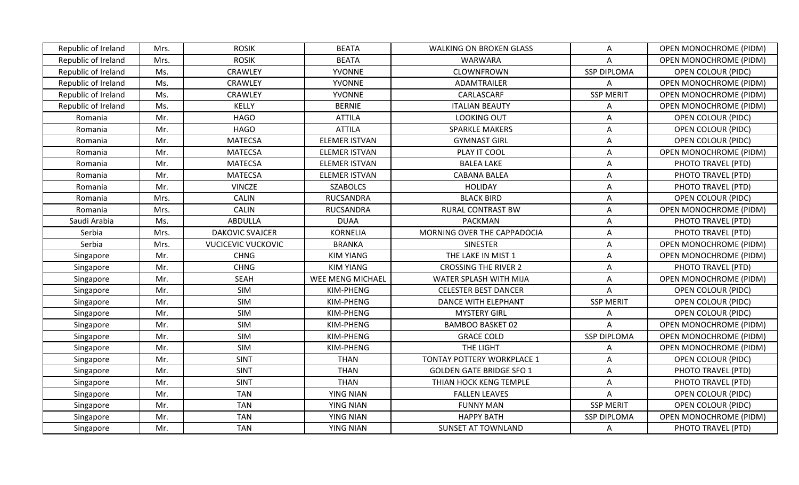| Republic of Ireland | Mrs. | <b>ROSIK</b>              | <b>BEATA</b>         | <b>WALKING ON BROKEN GLASS</b>  | Α                  | <b>OPEN MONOCHROME (PIDM)</b> |
|---------------------|------|---------------------------|----------------------|---------------------------------|--------------------|-------------------------------|
| Republic of Ireland | Mrs. | <b>ROSIK</b>              | <b>BEATA</b>         | WARWARA                         | Α                  | OPEN MONOCHROME (PIDM)        |
| Republic of Ireland | Ms.  | CRAWLEY                   | YVONNE               | CLOWNFROWN                      | <b>SSP DIPLOMA</b> | <b>OPEN COLOUR (PIDC)</b>     |
| Republic of Ireland | Ms.  | <b>CRAWLEY</b>            | YVONNE               | ADAMTRAILER                     | A                  | <b>OPEN MONOCHROME (PIDM)</b> |
| Republic of Ireland | Ms.  | CRAWLEY                   | YVONNE               | CARLASCARF                      | <b>SSP MERIT</b>   | <b>OPEN MONOCHROME (PIDM)</b> |
| Republic of Ireland | Ms.  | KELLY                     | <b>BERNIE</b>        | <b>ITALIAN BEAUTY</b>           | A                  | <b>OPEN MONOCHROME (PIDM)</b> |
| Romania             | Mr.  | <b>HAGO</b>               | <b>ATTILA</b>        | <b>LOOKING OUT</b>              | A                  | <b>OPEN COLOUR (PIDC)</b>     |
| Romania             | Mr.  | <b>HAGO</b>               | <b>ATTILA</b>        | <b>SPARKLE MAKERS</b>           | A                  | <b>OPEN COLOUR (PIDC)</b>     |
| Romania             | Mr.  | <b>MATECSA</b>            | ELEMER ISTVAN        | <b>GYMNAST GIRL</b>             | A                  | <b>OPEN COLOUR (PIDC)</b>     |
| Romania             | Mr.  | <b>MATECSA</b>            | <b>ELEMER ISTVAN</b> | PLAY IT COOL                    | A                  | <b>OPEN MONOCHROME (PIDM)</b> |
| Romania             | Mr.  | <b>MATECSA</b>            | <b>ELEMER ISTVAN</b> | <b>BALEA LAKE</b>               | A                  | PHOTO TRAVEL (PTD)            |
| Romania             | Mr.  | <b>MATECSA</b>            | <b>ELEMER ISTVAN</b> | <b>CABANA BALEA</b>             | A                  | PHOTO TRAVEL (PTD)            |
| Romania             | Mr.  | <b>VINCZE</b>             | <b>SZABOLCS</b>      | <b>HOLIDAY</b>                  | A                  | PHOTO TRAVEL (PTD)            |
| Romania             | Mrs. | <b>CALIN</b>              | <b>RUCSANDRA</b>     | <b>BLACK BIRD</b>               | A                  | <b>OPEN COLOUR (PIDC)</b>     |
| Romania             | Mrs. | <b>CALIN</b>              | <b>RUCSANDRA</b>     | <b>RURAL CONTRAST BW</b>        | A                  | <b>OPEN MONOCHROME (PIDM)</b> |
| Saudi Arabia        | Ms.  | <b>ABDULLA</b>            | <b>DUAA</b>          | <b>PACKMAN</b>                  | Α                  | PHOTO TRAVEL (PTD)            |
| Serbia              | Mrs. | <b>DAKOVIC SVAJCER</b>    | <b>KORNELIA</b>      | MORNING OVER THE CAPPADOCIA     | A                  | PHOTO TRAVEL (PTD)            |
| Serbia              | Mrs. | <b>VUCICEVIC VUCKOVIC</b> | <b>BRANKA</b>        | <b>SINESTER</b>                 | A                  | OPEN MONOCHROME (PIDM)        |
| Singapore           | Mr.  | <b>CHNG</b>               | <b>KIM YIANG</b>     | THE LAKE IN MIST 1              | A                  | <b>OPEN MONOCHROME (PIDM)</b> |
| Singapore           | Mr.  | <b>CHNG</b>               | <b>KIM YIANG</b>     | <b>CROSSING THE RIVER 2</b>     | A                  | PHOTO TRAVEL (PTD)            |
| Singapore           | Mr.  | <b>SEAH</b>               | WEE MENG MICHAEL     | WATER SPLASH WITH MIJA          | Α                  | <b>OPEN MONOCHROME (PIDM)</b> |
| Singapore           | Mr.  | SIM                       | KIM-PHENG            | <b>CELESTER BEST DANCER</b>     | A                  | <b>OPEN COLOUR (PIDC)</b>     |
| Singapore           | Mr.  | SIM                       | KIM-PHENG            | DANCE WITH ELEPHANT             | <b>SSP MERIT</b>   | <b>OPEN COLOUR (PIDC)</b>     |
| Singapore           | Mr.  | SIM                       | KIM-PHENG            | <b>MYSTERY GIRL</b>             | A                  | <b>OPEN COLOUR (PIDC)</b>     |
| Singapore           | Mr.  | SIM                       | KIM-PHENG            | <b>BAMBOO BASKET 02</b>         | A                  | OPEN MONOCHROME (PIDM)        |
| Singapore           | Mr.  | SIM                       | KIM-PHENG            | <b>GRACE COLD</b>               | <b>SSP DIPLOMA</b> | <b>OPEN MONOCHROME (PIDM)</b> |
| Singapore           | Mr.  | SIM                       | KIM-PHENG            | THE LIGHT                       | A                  | <b>OPEN MONOCHROME (PIDM)</b> |
| Singapore           | Mr.  | <b>SINT</b>               | <b>THAN</b>          | TONTAY POTTERY WORKPLACE 1      | A                  | <b>OPEN COLOUR (PIDC)</b>     |
| Singapore           | Mr.  | <b>SINT</b>               | <b>THAN</b>          | <b>GOLDEN GATE BRIDGE SFO 1</b> | A                  | PHOTO TRAVEL (PTD)            |
| Singapore           | Mr.  | <b>SINT</b>               | <b>THAN</b>          | THIAN HOCK KENG TEMPLE          | A                  | PHOTO TRAVEL (PTD)            |
| Singapore           | Mr.  | <b>TAN</b>                | <b>YING NIAN</b>     | <b>FALLEN LEAVES</b>            | A                  | OPEN COLOUR (PIDC)            |
| Singapore           | Mr.  | <b>TAN</b>                | YING NIAN            | <b>FUNNY MAN</b>                | <b>SSP MERIT</b>   | <b>OPEN COLOUR (PIDC)</b>     |
| Singapore           | Mr.  | <b>TAN</b>                | <b>YING NIAN</b>     | <b>HAPPY BATH</b>               | <b>SSP DIPLOMA</b> | OPEN MONOCHROME (PIDM)        |
| Singapore           | Mr.  | <b>TAN</b>                | <b>YING NIAN</b>     | <b>SUNSET AT TOWNLAND</b>       | A                  | PHOTO TRAVEL (PTD)            |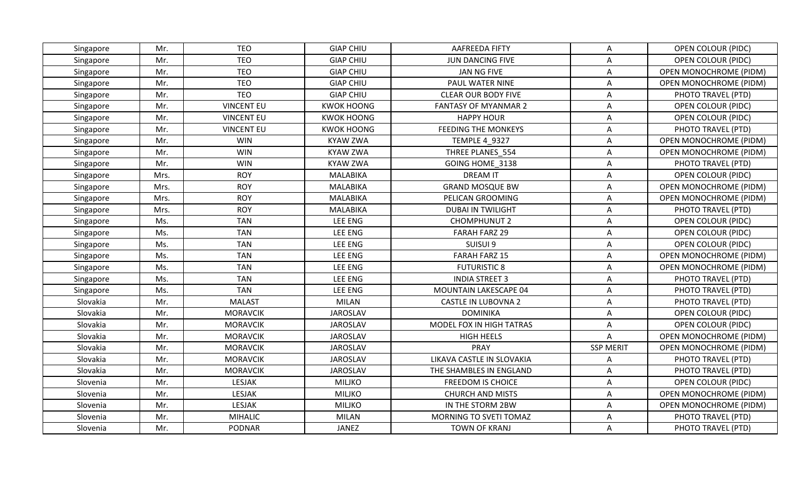| Singapore | Mr.  | <b>TEO</b>        | <b>GIAP CHIU</b>  | AAFREEDA FIFTY              | Α                | <b>OPEN COLOUR (PIDC)</b>     |
|-----------|------|-------------------|-------------------|-----------------------------|------------------|-------------------------------|
| Singapore | Mr.  | <b>TEO</b>        | <b>GIAP CHIU</b>  | <b>JUN DANCING FIVE</b>     | A                | <b>OPEN COLOUR (PIDC)</b>     |
| Singapore | Mr.  | <b>TEO</b>        | <b>GIAP CHIU</b>  | JAN NG FIVE                 | A                | OPEN MONOCHROME (PIDM)        |
| Singapore | Mr.  | <b>TEO</b>        | <b>GIAP CHIU</b>  | PAUL WATER NINE             | A                | <b>OPEN MONOCHROME (PIDM)</b> |
| Singapore | Mr.  | <b>TEO</b>        | <b>GIAP CHIU</b>  | <b>CLEAR OUR BODY FIVE</b>  | A                | PHOTO TRAVEL (PTD)            |
| Singapore | Mr.  | <b>VINCENT EU</b> | <b>KWOK HOONG</b> | <b>FANTASY OF MYANMAR 2</b> | Α                | <b>OPEN COLOUR (PIDC)</b>     |
| Singapore | Mr.  | <b>VINCENT EU</b> | <b>KWOK HOONG</b> | <b>HAPPY HOUR</b>           | A                | OPEN COLOUR (PIDC)            |
| Singapore | Mr.  | <b>VINCENT EU</b> | <b>KWOK HOONG</b> | <b>FEEDING THE MONKEYS</b>  | A                | PHOTO TRAVEL (PTD)            |
| Singapore | Mr.  | <b>WIN</b>        | <b>KYAW ZWA</b>   | <b>TEMPLE 4 9327</b>        | A                | OPEN MONOCHROME (PIDM)        |
| Singapore | Mr.  | <b>WIN</b>        | <b>KYAW ZWA</b>   | THREE PLANES 554            | A                | <b>OPEN MONOCHROME (PIDM)</b> |
| Singapore | Mr.  | <b>WIN</b>        | <b>KYAW ZWA</b>   | GOING HOME 3138             | Α                | PHOTO TRAVEL (PTD)            |
| Singapore | Mrs. | <b>ROY</b>        | <b>MALABIKA</b>   | <b>DREAM IT</b>             | A                | OPEN COLOUR (PIDC)            |
| Singapore | Mrs. | <b>ROY</b>        | <b>MALABIKA</b>   | <b>GRAND MOSQUE BW</b>      | A                | OPEN MONOCHROME (PIDM)        |
| Singapore | Mrs. | <b>ROY</b>        | <b>MALABIKA</b>   | PELICAN GROOMING            | A                | <b>OPEN MONOCHROME (PIDM)</b> |
| Singapore | Mrs. | <b>ROY</b>        | <b>MALABIKA</b>   | <b>DUBAI IN TWILIGHT</b>    | A                | PHOTO TRAVEL (PTD)            |
| Singapore | Ms.  | <b>TAN</b>        | LEE ENG           | <b>CHOMPHUNUT 2</b>         | A                | <b>OPEN COLOUR (PIDC)</b>     |
| Singapore | Ms.  | <b>TAN</b>        | LEE ENG           | <b>FARAH FARZ 29</b>        | A                | OPEN COLOUR (PIDC)            |
| Singapore | Ms.  | <b>TAN</b>        | LEE ENG           | SUISUI 9                    | A                | <b>OPEN COLOUR (PIDC)</b>     |
| Singapore | Ms.  | <b>TAN</b>        | LEE ENG           | <b>FARAH FARZ 15</b>        | A                | <b>OPEN MONOCHROME (PIDM)</b> |
| Singapore | Ms.  | <b>TAN</b>        | LEE ENG           | <b>FUTURISTIC 8</b>         | A                | <b>OPEN MONOCHROME (PIDM)</b> |
| Singapore | Ms.  | <b>TAN</b>        | LEE ENG           | <b>INDIA STREET 3</b>       | A                | PHOTO TRAVEL (PTD)            |
| Singapore | Ms.  | <b>TAN</b>        | LEE ENG           | MOUNTAIN LAKESCAPE 04       | A                | PHOTO TRAVEL (PTD)            |
| Slovakia  | Mr.  | <b>MALAST</b>     | <b>MILAN</b>      | <b>CASTLE IN LUBOVNA 2</b>  | A                | PHOTO TRAVEL (PTD)            |
| Slovakia  | Mr.  | <b>MORAVCIK</b>   | <b>JAROSLAV</b>   | <b>DOMINIKA</b>             | A                | <b>OPEN COLOUR (PIDC)</b>     |
| Slovakia  | Mr.  | <b>MORAVCIK</b>   | <b>JAROSLAV</b>   | MODEL FOX IN HIGH TATRAS    | A                | <b>OPEN COLOUR (PIDC)</b>     |
| Slovakia  | Mr.  | <b>MORAVCIK</b>   | <b>JAROSLAV</b>   | <b>HIGH HEELS</b>           | A                | <b>OPEN MONOCHROME (PIDM)</b> |
| Slovakia  | Mr.  | <b>MORAVCIK</b>   | <b>JAROSLAV</b>   | <b>PRAY</b>                 | <b>SSP MERIT</b> | OPEN MONOCHROME (PIDM)        |
| Slovakia  | Mr.  | <b>MORAVCIK</b>   | <b>JAROSLAV</b>   | LIKAVA CASTLE IN SLOVAKIA   | A                | PHOTO TRAVEL (PTD)            |
| Slovakia  | Mr.  | <b>MORAVCIK</b>   | <b>JAROSLAV</b>   | THE SHAMBLES IN ENGLAND     | A                | PHOTO TRAVEL (PTD)            |
| Slovenia  | Mr.  | <b>LESJAK</b>     | <b>MILJKO</b>     | <b>FREEDOM IS CHOICE</b>    | Α                | <b>OPEN COLOUR (PIDC)</b>     |
| Slovenia  | Mr.  | LESJAK            | <b>MILJKO</b>     | <b>CHURCH AND MISTS</b>     | A                | <b>OPEN MONOCHROME (PIDM)</b> |
| Slovenia  | Mr.  | LESJAK            | <b>MILJKO</b>     | IN THE STORM 2BW            | Α                | <b>OPEN MONOCHROME (PIDM)</b> |
| Slovenia  | Mr.  | <b>MIHALIC</b>    | <b>MILAN</b>      | MORNING TO SVETI TOMAZ      | A                | PHOTO TRAVEL (PTD)            |
| Slovenia  | Mr.  | <b>PODNAR</b>     | JANEZ             | <b>TOWN OF KRANJ</b>        | Α                | PHOTO TRAVEL (PTD)            |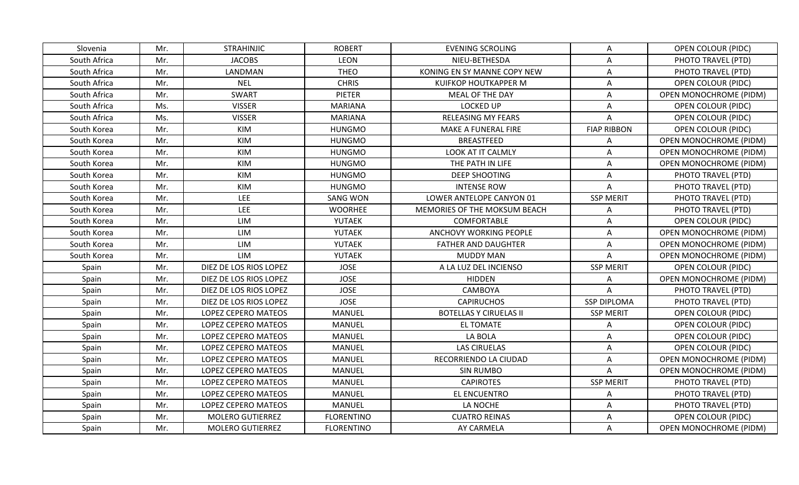| Slovenia     | Mr. | <b>STRAHINJIC</b>       | <b>ROBERT</b>     | <b>EVENING SCROLING</b>       | Α                  | <b>OPEN COLOUR (PIDC)</b>     |
|--------------|-----|-------------------------|-------------------|-------------------------------|--------------------|-------------------------------|
| South Africa | Mr. | <b>JACOBS</b>           | <b>LEON</b>       | NIEU-BETHESDA                 | A                  | PHOTO TRAVEL (PTD)            |
| South Africa | Mr. | LANDMAN                 | <b>THEO</b>       | KONING EN SY MANNE COPY NEW   | A                  | PHOTO TRAVEL (PTD)            |
| South Africa | Mr. | <b>NEL</b>              | <b>CHRIS</b>      | KUIFKOP HOUTKAPPER M          | A                  | <b>OPEN COLOUR (PIDC)</b>     |
| South Africa | Mr. | <b>SWART</b>            | <b>PIETER</b>     | MEAL OF THE DAY               | A                  | OPEN MONOCHROME (PIDM)        |
| South Africa | Ms. | <b>VISSER</b>           | <b>MARIANA</b>    | <b>LOCKED UP</b>              | A                  | <b>OPEN COLOUR (PIDC)</b>     |
| South Africa | Ms. | <b>VISSER</b>           | <b>MARIANA</b>    | <b>RELEASING MY FEARS</b>     | A                  | OPEN COLOUR (PIDC)            |
| South Korea  | Mr. | KIM                     | <b>HUNGMO</b>     | MAKE A FUNERAL FIRE           | <b>FIAP RIBBON</b> | OPEN COLOUR (PIDC)            |
| South Korea  | Mr. | KIM                     | <b>HUNGMO</b>     | <b>BREASTFEED</b>             | A                  | <b>OPEN MONOCHROME (PIDM)</b> |
| South Korea  | Mr. | KIM                     | <b>HUNGMO</b>     | LOOK AT IT CALMLY             | Α                  | <b>OPEN MONOCHROME (PIDM)</b> |
| South Korea  | Mr. | KIM                     | <b>HUNGMO</b>     | THE PATH IN LIFE              | Α                  | <b>OPEN MONOCHROME (PIDM)</b> |
| South Korea  | Mr. | KIM                     | <b>HUNGMO</b>     | <b>DEEP SHOOTING</b>          | A                  | PHOTO TRAVEL (PTD)            |
| South Korea  | Mr. | KIM                     | <b>HUNGMO</b>     | <b>INTENSE ROW</b>            | A                  | PHOTO TRAVEL (PTD)            |
| South Korea  | Mr. | <b>LEE</b>              | <b>SANG WON</b>   | LOWER ANTELOPE CANYON 01      | <b>SSP MERIT</b>   | PHOTO TRAVEL (PTD)            |
| South Korea  | Mr. | LEE                     | <b>WOORHEE</b>    | MEMORIES OF THE MOKSUM BEACH  | A                  | PHOTO TRAVEL (PTD)            |
| South Korea  | Mr. | LIM                     | YUTAEK            | COMFORTABLE                   | Α                  | <b>OPEN COLOUR (PIDC)</b>     |
| South Korea  | Mr. | LIM                     | YUTAEK            | ANCHOVY WORKING PEOPLE        | A                  | <b>OPEN MONOCHROME (PIDM)</b> |
| South Korea  | Mr. | LIM                     | YUTAEK            | <b>FATHER AND DAUGHTER</b>    | A                  | OPEN MONOCHROME (PIDM)        |
| South Korea  | Mr. | LIM                     | YUTAEK            | <b>MUDDY MAN</b>              | A                  | <b>OPEN MONOCHROME (PIDM)</b> |
| Spain        | Mr. | DIEZ DE LOS RIOS LOPEZ  | <b>JOSE</b>       | A LA LUZ DEL INCIENSO         | <b>SSP MERIT</b>   | OPEN COLOUR (PIDC)            |
| Spain        | Mr. | DIEZ DE LOS RIOS LOPEZ  | <b>JOSE</b>       | <b>HIDDEN</b>                 | Α                  | <b>OPEN MONOCHROME (PIDM)</b> |
| Spain        | Mr. | DIEZ DE LOS RIOS LOPEZ  | <b>JOSE</b>       | CAMBOYA                       | A                  | PHOTO TRAVEL (PTD)            |
| Spain        | Mr. | DIEZ DE LOS RIOS LOPEZ  | <b>JOSE</b>       | <b>CAPIRUCHOS</b>             | <b>SSP DIPLOMA</b> | PHOTO TRAVEL (PTD)            |
| Spain        | Mr. | LOPEZ CEPERO MATEOS     | <b>MANUEL</b>     | <b>BOTELLAS Y CIRUELAS II</b> | <b>SSP MERIT</b>   | <b>OPEN COLOUR (PIDC)</b>     |
| Spain        | Mr. | LOPEZ CEPERO MATEOS     | <b>MANUEL</b>     | <b>EL TOMATE</b>              | A                  | <b>OPEN COLOUR (PIDC)</b>     |
| Spain        | Mr. | LOPEZ CEPERO MATEOS     | <b>MANUEL</b>     | LA BOLA                       | Α                  | <b>OPEN COLOUR (PIDC)</b>     |
| Spain        | Mr. | LOPEZ CEPERO MATEOS     | <b>MANUEL</b>     | <b>LAS CIRUELAS</b>           | A                  | OPEN COLOUR (PIDC)            |
| Spain        | Mr. | LOPEZ CEPERO MATEOS     | <b>MANUEL</b>     | RECORRIENDO LA CIUDAD         | A                  | <b>OPEN MONOCHROME (PIDM)</b> |
| Spain        | Mr. | LOPEZ CEPERO MATEOS     | <b>MANUEL</b>     | <b>SIN RUMBO</b>              | A                  | <b>OPEN MONOCHROME (PIDM)</b> |
| Spain        | Mr. | LOPEZ CEPERO MATEOS     | <b>MANUEL</b>     | <b>CAPIROTES</b>              | <b>SSP MERIT</b>   | PHOTO TRAVEL (PTD)            |
| Spain        | Mr. | LOPEZ CEPERO MATEOS     | <b>MANUEL</b>     | EL ENCUENTRO                  | Α                  | PHOTO TRAVEL (PTD)            |
| Spain        | Mr. | LOPEZ CEPERO MATEOS     | <b>MANUEL</b>     | LA NOCHE                      | A                  | PHOTO TRAVEL (PTD)            |
| Spain        | Mr. | <b>MOLERO GUTIERREZ</b> | <b>FLORENTINO</b> | <b>CUATRO REINAS</b>          | A                  | <b>OPEN COLOUR (PIDC)</b>     |
| Spain        | Mr. | <b>MOLERO GUTIERREZ</b> | <b>FLORENTINO</b> | AY CARMELA                    | A                  | OPEN MONOCHROME (PIDM)        |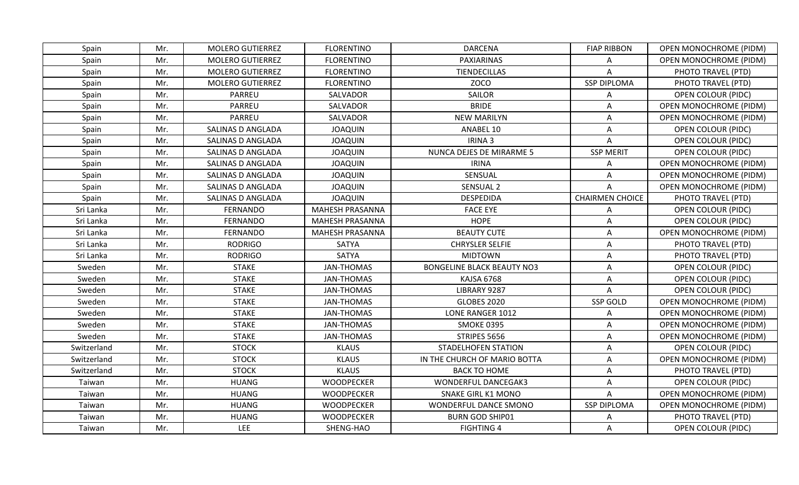| Spain       | Mr. | <b>MOLERO GUTIERREZ</b> | <b>FLORENTINO</b>      | <b>DARCENA</b>                    | <b>FIAP RIBBON</b>     | <b>OPEN MONOCHROME (PIDM)</b> |
|-------------|-----|-------------------------|------------------------|-----------------------------------|------------------------|-------------------------------|
| Spain       | Mr. | <b>MOLERO GUTIERREZ</b> | <b>FLORENTINO</b>      | PAXIARINAS                        | Α                      | <b>OPEN MONOCHROME (PIDM)</b> |
| Spain       | Mr. | <b>MOLERO GUTIERREZ</b> | <b>FLORENTINO</b>      | TIENDECILLAS                      | A                      | PHOTO TRAVEL (PTD)            |
| Spain       | Mr. | <b>MOLERO GUTIERREZ</b> | <b>FLORENTINO</b>      | <b>ZOCO</b>                       | <b>SSP DIPLOMA</b>     | PHOTO TRAVEL (PTD)            |
| Spain       | Mr. | <b>PARREU</b>           | SALVADOR               | <b>SAILOR</b>                     | Α                      | <b>OPEN COLOUR (PIDC)</b>     |
| Spain       | Mr. | PARREU                  | SALVADOR               | <b>BRIDE</b>                      | Α                      | <b>OPEN MONOCHROME (PIDM)</b> |
| Spain       | Mr. | <b>PARREU</b>           | SALVADOR               | <b>NEW MARILYN</b>                | Α                      | OPEN MONOCHROME (PIDM)        |
| Spain       | Mr. | SALINAS D ANGLADA       | <b>JOAQUIN</b>         | ANABEL 10                         | A                      | <b>OPEN COLOUR (PIDC)</b>     |
| Spain       | Mr. | SALINAS D ANGLADA       | <b>JOAQUIN</b>         | IRINA 3                           | A                      | OPEN COLOUR (PIDC)            |
| Spain       | Mr. | SALINAS D ANGLADA       | <b>JOAQUIN</b>         | NUNCA DEJES DE MIRARME 5          | <b>SSP MERIT</b>       | <b>OPEN COLOUR (PIDC)</b>     |
| Spain       | Mr. | SALINAS D ANGLADA       | <b>JOAQUIN</b>         | <b>IRINA</b>                      | Α                      | <b>OPEN MONOCHROME (PIDM)</b> |
| Spain       | Mr. | SALINAS D ANGLADA       | <b>JOAQUIN</b>         | SENSUAL                           | A                      | <b>OPEN MONOCHROME (PIDM)</b> |
| Spain       | Mr. | SALINAS D ANGLADA       | <b>JOAQUIN</b>         | SENSUAL 2                         | A                      | OPEN MONOCHROME (PIDM)        |
| Spain       | Mr. | SALINAS D ANGLADA       | <b>JOAQUIN</b>         | <b>DESPEDIDA</b>                  | <b>CHAIRMEN CHOICE</b> | PHOTO TRAVEL (PTD)            |
| Sri Lanka   | Mr. | FERNANDO                | <b>MAHESH PRASANNA</b> | <b>FACE EYE</b>                   | Α                      | <b>OPEN COLOUR (PIDC)</b>     |
| Sri Lanka   | Mr. | <b>FERNANDO</b>         | MAHESH PRASANNA        | <b>HOPE</b>                       | Α                      | <b>OPEN COLOUR (PIDC)</b>     |
| Sri Lanka   | Mr. | <b>FERNANDO</b>         | <b>MAHESH PRASANNA</b> | <b>BEAUTY CUTE</b>                | A                      | OPEN MONOCHROME (PIDM)        |
| Sri Lanka   | Mr. | <b>RODRIGO</b>          | <b>SATYA</b>           | <b>CHRYSLER SELFIE</b>            | A                      | PHOTO TRAVEL (PTD)            |
| Sri Lanka   | Mr. | <b>RODRIGO</b>          | SATYA                  | <b>MIDTOWN</b>                    | Α                      | PHOTO TRAVEL (PTD)            |
| Sweden      | Mr. | <b>STAKE</b>            | <b>JAN-THOMAS</b>      | <b>BONGELINE BLACK BEAUTY NO3</b> | A                      | <b>OPEN COLOUR (PIDC)</b>     |
| Sweden      | Mr. | <b>STAKE</b>            | <b>JAN-THOMAS</b>      | KAJSA 6768                        | Α                      | <b>OPEN COLOUR (PIDC)</b>     |
| Sweden      | Mr. | <b>STAKE</b>            | <b>JAN-THOMAS</b>      | LIBRARY 9287                      | A                      | <b>OPEN COLOUR (PIDC)</b>     |
| Sweden      | Mr. | <b>STAKE</b>            | <b>JAN-THOMAS</b>      | <b>GLOBES 2020</b>                | <b>SSP GOLD</b>        | OPEN MONOCHROME (PIDM)        |
| Sweden      | Mr. | <b>STAKE</b>            | <b>JAN-THOMAS</b>      | LONE RANGER 1012                  | A                      | <b>OPEN MONOCHROME (PIDM)</b> |
| Sweden      | Mr. | <b>STAKE</b>            | <b>JAN-THOMAS</b>      | <b>SMOKE 0395</b>                 | Α                      | <b>OPEN MONOCHROME (PIDM)</b> |
| Sweden      | Mr. | <b>STAKE</b>            | <b>JAN-THOMAS</b>      | STRIPES 5656                      | Α                      | <b>OPEN MONOCHROME (PIDM)</b> |
| Switzerland | Mr. | <b>STOCK</b>            | <b>KLAUS</b>           | <b>STADELHOFEN STATION</b>        | A                      | <b>OPEN COLOUR (PIDC)</b>     |
| Switzerland | Mr. | <b>STOCK</b>            | <b>KLAUS</b>           | IN THE CHURCH OF MARIO BOTTA      | Α                      | OPEN MONOCHROME (PIDM)        |
| Switzerland | Mr. | <b>STOCK</b>            | <b>KLAUS</b>           | <b>BACK TO HOME</b>               | Α                      | PHOTO TRAVEL (PTD)            |
| Taiwan      | Mr. | <b>HUANG</b>            | <b>WOODPECKER</b>      | <b>WONDERFUL DANCEGAK3</b>        | A                      | <b>OPEN COLOUR (PIDC)</b>     |
| Taiwan      | Mr. | <b>HUANG</b>            | <b>WOODPECKER</b>      | <b>SNAKE GIRL K1 MONO</b>         | Α                      | <b>OPEN MONOCHROME (PIDM)</b> |
| Taiwan      | Mr. | <b>HUANG</b>            | <b>WOODPECKER</b>      | <b>WONDERFUL DANCE SMONO</b>      | <b>SSP DIPLOMA</b>     | <b>OPEN MONOCHROME (PIDM)</b> |
| Taiwan      | Mr. | <b>HUANG</b>            | <b>WOODPECKER</b>      | <b>BURN GOD SHIP01</b>            | Α                      | PHOTO TRAVEL (PTD)            |
| Taiwan      | Mr. | LEE                     | SHENG-HAO              | <b>FIGHTING 4</b>                 | Α                      | <b>OPEN COLOUR (PIDC)</b>     |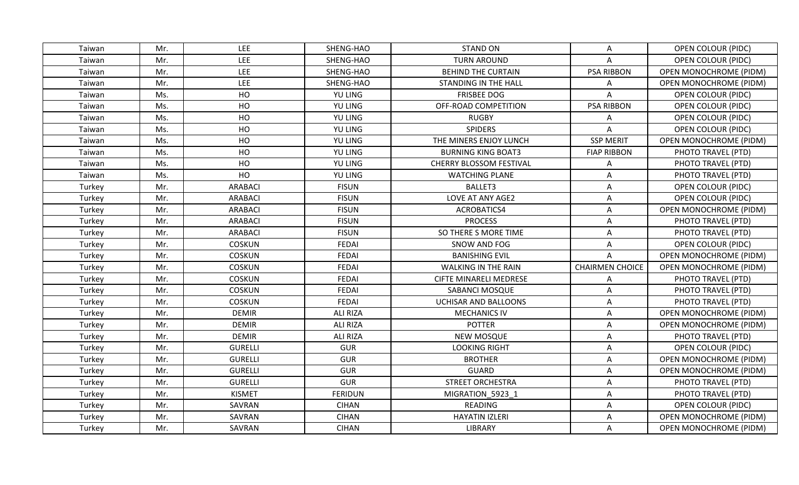| Taiwan | Mr. | <b>LEE</b>     | SHENG-HAO       | <b>STAND ON</b>               | Α                      | <b>OPEN COLOUR (PIDC)</b>     |
|--------|-----|----------------|-----------------|-------------------------------|------------------------|-------------------------------|
| Taiwan | Mr. | <b>LEE</b>     | SHENG-HAO       | <b>TURN AROUND</b>            | A                      | <b>OPEN COLOUR (PIDC)</b>     |
| Taiwan | Mr. | LEE            | SHENG-HAO       | <b>BEHIND THE CURTAIN</b>     | <b>PSA RIBBON</b>      | OPEN MONOCHROME (PIDM)        |
| Taiwan | Mr. | <b>LEE</b>     | SHENG-HAO       | <b>STANDING IN THE HALL</b>   | Α                      | OPEN MONOCHROME (PIDM)        |
| Taiwan | Ms. | HO             | YU LING         | <b>FRISBEE DOG</b>            | Α                      | <b>OPEN COLOUR (PIDC)</b>     |
| Taiwan | Ms. | HO             | YU LING         | OFF-ROAD COMPETITION          | <b>PSA RIBBON</b>      | <b>OPEN COLOUR (PIDC)</b>     |
| Taiwan | Ms. | HO             | YU LING         | <b>RUGBY</b>                  | A                      | OPEN COLOUR (PIDC)            |
| Taiwan | Ms. | HO             | YU LING         | <b>SPIDERS</b>                | A                      | OPEN COLOUR (PIDC)            |
| Taiwan | Ms. | HO             | YU LING         | THE MINERS ENJOY LUNCH        | <b>SSP MERIT</b>       | OPEN MONOCHROME (PIDM)        |
| Taiwan | Ms. | HO             | <b>YU LING</b>  | <b>BURNING KING BOAT3</b>     | <b>FIAP RIBBON</b>     | PHOTO TRAVEL (PTD)            |
| Taiwan | Ms. | HO             | YU LING         | CHERRY BLOSSOM FESTIVAL       | A                      | PHOTO TRAVEL (PTD)            |
| Taiwan | Ms. | HO             | <b>YU LING</b>  | <b>WATCHING PLANE</b>         | A                      | PHOTO TRAVEL (PTD)            |
| Turkey | Mr. | <b>ARABACI</b> | <b>FISUN</b>    | BALLET3                       | A                      | <b>OPEN COLOUR (PIDC)</b>     |
| Turkey | Mr. | <b>ARABACI</b> | <b>FISUN</b>    | LOVE AT ANY AGE2              | A                      | <b>OPEN COLOUR (PIDC)</b>     |
| Turkey | Mr. | <b>ARABACI</b> | <b>FISUN</b>    | ACROBATICS4                   | A                      | <b>OPEN MONOCHROME (PIDM)</b> |
| Turkey | Mr. | <b>ARABACI</b> | <b>FISUN</b>    | <b>PROCESS</b>                | A                      | PHOTO TRAVEL (PTD)            |
| Turkey | Mr. | <b>ARABACI</b> | <b>FISUN</b>    | SO THERE S MORE TIME          | A                      | PHOTO TRAVEL (PTD)            |
| Turkey | Mr. | <b>COSKUN</b>  | <b>FEDAI</b>    | SNOW AND FOG                  | A                      | <b>OPEN COLOUR (PIDC)</b>     |
| Turkey | Mr. | <b>COSKUN</b>  | <b>FEDAI</b>    | <b>BANISHING EVIL</b>         | A                      | OPEN MONOCHROME (PIDM)        |
| Turkey | Mr. | <b>COSKUN</b>  | <b>FEDAI</b>    | <b>WALKING IN THE RAIN</b>    | <b>CHAIRMEN CHOICE</b> | <b>OPEN MONOCHROME (PIDM)</b> |
| Turkey | Mr. | <b>COSKUN</b>  | <b>FEDAI</b>    | <b>CIFTE MINARELI MEDRESE</b> | Α                      | PHOTO TRAVEL (PTD)            |
| Turkey | Mr. | <b>COSKUN</b>  | <b>FEDAI</b>    | SABANCI MOSQUE                | A                      | PHOTO TRAVEL (PTD)            |
| Turkey | Mr. | <b>COSKUN</b>  | <b>FEDAI</b>    | <b>UCHISAR AND BALLOONS</b>   | A                      | PHOTO TRAVEL (PTD)            |
| Turkey | Mr. | <b>DEMIR</b>   | <b>ALI RIZA</b> | <b>MECHANICS IV</b>           | A                      | <b>OPEN MONOCHROME (PIDM)</b> |
| Turkey | Mr. | <b>DEMIR</b>   | <b>ALI RIZA</b> | <b>POTTER</b>                 | Α                      | <b>OPEN MONOCHROME (PIDM)</b> |
| Turkey | Mr. | <b>DEMIR</b>   | <b>ALI RIZA</b> | <b>NEW MOSQUE</b>             | A                      | PHOTO TRAVEL (PTD)            |
| Turkey | Mr. | <b>GURELLI</b> | <b>GUR</b>      | <b>LOOKING RIGHT</b>          | A                      | <b>OPEN COLOUR (PIDC)</b>     |
| Turkey | Mr. | <b>GURELLI</b> | <b>GUR</b>      | <b>BROTHER</b>                | A                      | OPEN MONOCHROME (PIDM)        |
| Turkey | Mr. | <b>GURELLI</b> | <b>GUR</b>      | <b>GUARD</b>                  | A                      | <b>OPEN MONOCHROME (PIDM)</b> |
| Turkey | Mr. | <b>GURELLI</b> | <b>GUR</b>      | <b>STREET ORCHESTRA</b>       | Α                      | PHOTO TRAVEL (PTD)            |
| Turkey | Mr. | <b>KISMET</b>  | <b>FERIDUN</b>  | MIGRATION 5923 1              | A                      | PHOTO TRAVEL (PTD)            |
| Turkey | Mr. | SAVRAN         | <b>CIHAN</b>    | <b>READING</b>                | A                      | <b>OPEN COLOUR (PIDC)</b>     |
| Turkey | Mr. | SAVRAN         | <b>CIHAN</b>    | <b>HAYATIN IZLERI</b>         | A                      | <b>OPEN MONOCHROME (PIDM)</b> |
| Turkey | Mr. | SAVRAN         | <b>CIHAN</b>    | LIBRARY                       | Α                      | <b>OPEN MONOCHROME (PIDM)</b> |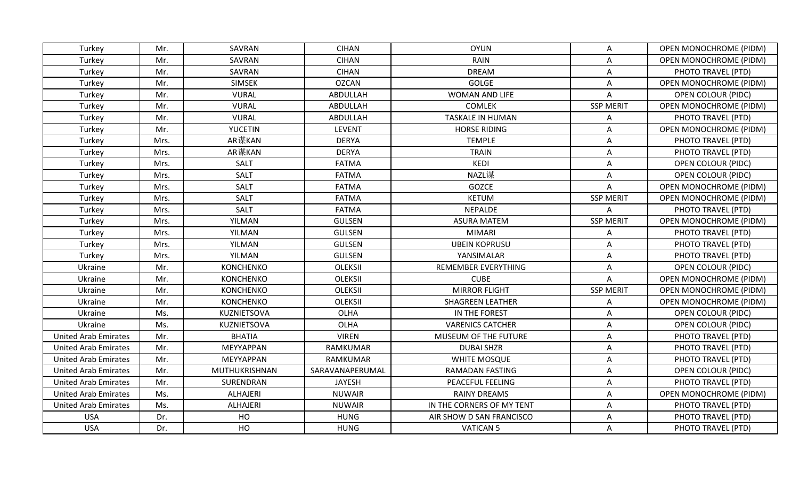| Turkey                      | Mr.  | SAVRAN           | <b>CIHAN</b>    | <b>OYUN</b>               | A                | <b>OPEN MONOCHROME (PIDM)</b> |
|-----------------------------|------|------------------|-----------------|---------------------------|------------------|-------------------------------|
| Turkey                      | Mr.  | SAVRAN           | <b>CIHAN</b>    | <b>RAIN</b>               | Α                | <b>OPEN MONOCHROME (PIDM)</b> |
| Turkey                      | Mr.  | SAVRAN           | <b>CIHAN</b>    | <b>DREAM</b>              | Α                | PHOTO TRAVEL (PTD)            |
| Turkey                      | Mr.  | <b>SIMSEK</b>    | <b>OZCAN</b>    | <b>GOLGE</b>              | A                | <b>OPEN MONOCHROME (PIDM)</b> |
| Turkey                      | Mr.  | <b>VURAL</b>     | ABDULLAH        | WOMAN AND LIFE            | A                | <b>OPEN COLOUR (PIDC)</b>     |
| Turkey                      | Mr.  | <b>VURAL</b>     | ABDULLAH        | <b>COMLEK</b>             | <b>SSP MERIT</b> | <b>OPEN MONOCHROME (PIDM)</b> |
| Turkey                      | Mr.  | <b>VURAL</b>     | ABDULLAH        | TASKALE IN HUMAN          | A                | PHOTO TRAVEL (PTD)            |
| Turkey                      | Mr.  | <b>YUCETIN</b>   | <b>LEVENT</b>   | <b>HORSE RIDING</b>       | Α                | <b>OPEN MONOCHROME (PIDM)</b> |
| Turkey                      | Mrs. | AR谋KAN           | <b>DERYA</b>    | <b>TEMPLE</b>             | A                | PHOTO TRAVEL (PTD)            |
| Turkey                      | Mrs. | AR谋KAN           | <b>DERYA</b>    | <b>TRAIN</b>              | A                | PHOTO TRAVEL (PTD)            |
| Turkey                      | Mrs. | SALT             | <b>FATMA</b>    | KEDI                      | A                | <b>OPEN COLOUR (PIDC)</b>     |
| Turkey                      | Mrs. | <b>SALT</b>      | <b>FATMA</b>    | NAZL谋                     | A                | <b>OPEN COLOUR (PIDC)</b>     |
| Turkey                      | Mrs. | <b>SALT</b>      | <b>FATMA</b>    | <b>GOZCE</b>              | A                | OPEN MONOCHROME (PIDM)        |
| Turkey                      | Mrs. | <b>SALT</b>      | <b>FATMA</b>    | <b>KETUM</b>              | <b>SSP MERIT</b> | <b>OPEN MONOCHROME (PIDM)</b> |
| Turkey                      | Mrs. | SALT             | <b>FATMA</b>    | <b>NEPALDE</b>            | A                | PHOTO TRAVEL (PTD)            |
| Turkey                      | Mrs. | YILMAN           | <b>GULSEN</b>   | <b>ASURA MATEM</b>        | <b>SSP MERIT</b> | <b>OPEN MONOCHROME (PIDM)</b> |
| Turkey                      | Mrs. | YILMAN           | <b>GULSEN</b>   | <b>MIMARI</b>             | Α                | PHOTO TRAVEL (PTD)            |
| Turkey                      | Mrs. | YILMAN           | <b>GULSEN</b>   | <b>UBEIN KOPRUSU</b>      | A                | PHOTO TRAVEL (PTD)            |
| Turkey                      | Mrs. | YILMAN           | <b>GULSEN</b>   | YANSIMALAR                | A                | PHOTO TRAVEL (PTD)            |
| Ukraine                     | Mr.  | <b>KONCHENKO</b> | <b>OLEKSII</b>  | REMEMBER EVERYTHING       | A                | <b>OPEN COLOUR (PIDC)</b>     |
| Ukraine                     | Mr.  | <b>KONCHENKO</b> | <b>OLEKSII</b>  | <b>CUBE</b>               | A                | <b>OPEN MONOCHROME (PIDM)</b> |
| Ukraine                     | Mr.  | <b>KONCHENKO</b> | <b>OLEKSII</b>  | <b>MIRROR FLIGHT</b>      | <b>SSP MERIT</b> | <b>OPEN MONOCHROME (PIDM)</b> |
| Ukraine                     | Mr.  | KONCHENKO        | <b>OLEKSII</b>  | <b>SHAGREEN LEATHER</b>   | A                | <b>OPEN MONOCHROME (PIDM)</b> |
| Ukraine                     | Ms.  | KUZNIETSOVA      | OLHA            | IN THE FOREST             | A                | <b>OPEN COLOUR (PIDC)</b>     |
| Ukraine                     | Ms.  | KUZNIETSOVA      | <b>OLHA</b>     | <b>VARENICS CATCHER</b>   | A                | <b>OPEN COLOUR (PIDC)</b>     |
| <b>United Arab Emirates</b> | Mr.  | <b>BHATIA</b>    | <b>VIREN</b>    | MUSEUM OF THE FUTURE      | Α                | PHOTO TRAVEL (PTD)            |
| <b>United Arab Emirates</b> | Mr.  | MEYYAPPAN        | <b>RAMKUMAR</b> | <b>DUBAI SHZR</b>         | A                | PHOTO TRAVEL (PTD)            |
| <b>United Arab Emirates</b> | Mr.  | MEYYAPPAN        | RAMKUMAR        | WHITE MOSQUE              | A                | PHOTO TRAVEL (PTD)            |
| <b>United Arab Emirates</b> | Mr.  | MUTHUKRISHNAN    | SARAVANAPERUMAL | RAMADAN FASTING           | A                | <b>OPEN COLOUR (PIDC)</b>     |
| <b>United Arab Emirates</b> | Mr.  | SURENDRAN        | <b>JAYESH</b>   | <b>PEACEFUL FEELING</b>   | A                | PHOTO TRAVEL (PTD)            |
| <b>United Arab Emirates</b> | Ms.  | <b>ALHAJERI</b>  | <b>NUWAIR</b>   | <b>RAINY DREAMS</b>       | A                | OPEN MONOCHROME (PIDM)        |
| <b>United Arab Emirates</b> | Ms.  | <b>ALHAJERI</b>  | <b>NUWAIR</b>   | IN THE CORNERS OF MY TENT | Α                | PHOTO TRAVEL (PTD)            |
| <b>USA</b>                  | Dr.  | HO               | <b>HUNG</b>     | AIR SHOW D SAN FRANCISCO  | A                | PHOTO TRAVEL (PTD)            |
| <b>USA</b>                  | Dr.  | HO               | <b>HUNG</b>     | <b>VATICAN 5</b>          | Α                | PHOTO TRAVEL (PTD)            |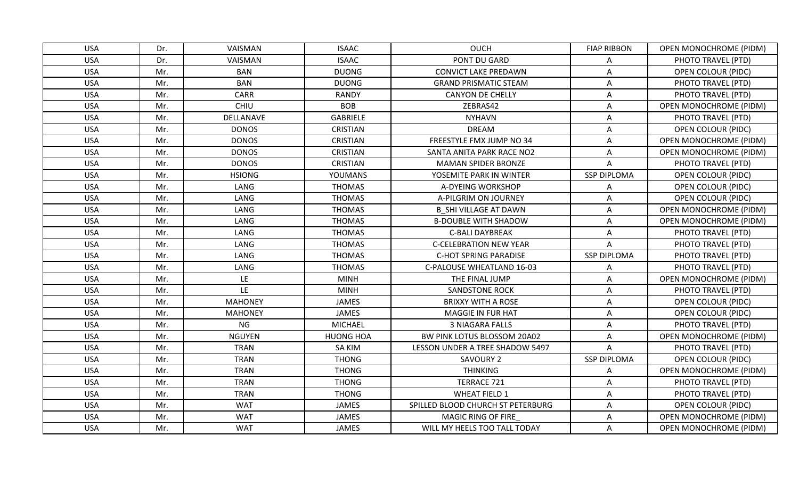| <b>USA</b> | Dr. | VAISMAN        | <b>ISAAC</b>     | <b>OUCH</b>                       | <b>FIAP RIBBON</b> | <b>OPEN MONOCHROME (PIDM)</b> |
|------------|-----|----------------|------------------|-----------------------------------|--------------------|-------------------------------|
| <b>USA</b> | Dr. | VAISMAN        | <b>ISAAC</b>     | PONT DU GARD                      | Α                  | PHOTO TRAVEL (PTD)            |
| <b>USA</b> | Mr. | <b>BAN</b>     | <b>DUONG</b>     | <b>CONVICT LAKE PREDAWN</b>       | Α                  | <b>OPEN COLOUR (PIDC)</b>     |
| <b>USA</b> | Mr. | <b>BAN</b>     | <b>DUONG</b>     | <b>GRAND PRISMATIC STEAM</b>      | A                  | PHOTO TRAVEL (PTD)            |
| <b>USA</b> | Mr. | CARR           | <b>RANDY</b>     | CANYON DE CHELLY                  | Α                  | PHOTO TRAVEL (PTD)            |
| <b>USA</b> | Mr. | <b>CHIU</b>    | <b>BOB</b>       | ZEBRAS42                          | Α                  | OPEN MONOCHROME (PIDM)        |
| <b>USA</b> | Mr. | DELLANAVE      | <b>GABRIELE</b>  | <b>NYHAVN</b>                     | A                  | PHOTO TRAVEL (PTD)            |
| <b>USA</b> | Mr. | <b>DONOS</b>   | <b>CRISTIAN</b>  | <b>DREAM</b>                      | A                  | <b>OPEN COLOUR (PIDC)</b>     |
| <b>USA</b> | Mr. | <b>DONOS</b>   | <b>CRISTIAN</b>  | FREESTYLE FMX JUMP NO 34          | A                  | <b>OPEN MONOCHROME (PIDM)</b> |
| <b>USA</b> | Mr. | <b>DONOS</b>   | <b>CRISTIAN</b>  | SANTA ANITA PARK RACE NO2         | Α                  | <b>OPEN MONOCHROME (PIDM)</b> |
| <b>USA</b> | Mr. | <b>DONOS</b>   | <b>CRISTIAN</b>  | <b>MAMAN SPIDER BRONZE</b>        | A                  | PHOTO TRAVEL (PTD)            |
| <b>USA</b> | Mr. | <b>HSIONG</b>  | <b>YOUMANS</b>   | YOSEMITE PARK IN WINTER           | <b>SSP DIPLOMA</b> | OPEN COLOUR (PIDC)            |
| <b>USA</b> | Mr. | LANG           | <b>THOMAS</b>    | A-DYEING WORKSHOP                 | A                  | <b>OPEN COLOUR (PIDC)</b>     |
| <b>USA</b> | Mr. | LANG           | <b>THOMAS</b>    | A-PILGRIM ON JOURNEY              | Α                  | <b>OPEN COLOUR (PIDC)</b>     |
| <b>USA</b> | Mr. | LANG           | <b>THOMAS</b>    | <b>B SHI VILLAGE AT DAWN</b>      | Α                  | OPEN MONOCHROME (PIDM)        |
| <b>USA</b> | Mr. | LANG           | <b>THOMAS</b>    | <b>B-DOUBLE WITH SHADOW</b>       | Α                  | <b>OPEN MONOCHROME (PIDM)</b> |
| <b>USA</b> | Mr. | LANG           | <b>THOMAS</b>    | <b>C-BALI DAYBREAK</b>            | A                  | PHOTO TRAVEL (PTD)            |
| <b>USA</b> | Mr. | LANG           | <b>THOMAS</b>    | <b>C-CELEBRATION NEW YEAR</b>     | A                  | PHOTO TRAVEL (PTD)            |
| <b>USA</b> | Mr. | LANG           | <b>THOMAS</b>    | <b>C-HOT SPRING PARADISE</b>      | <b>SSP DIPLOMA</b> | PHOTO TRAVEL (PTD)            |
| <b>USA</b> | Mr. | LANG           | <b>THOMAS</b>    | C-PALOUSE WHEATLAND 16-03         | A                  | PHOTO TRAVEL (PTD)            |
| <b>USA</b> | Mr. | LE.            | <b>MINH</b>      | THE FINAL JUMP                    | A                  | <b>OPEN MONOCHROME (PIDM)</b> |
| <b>USA</b> | Mr. | LE             | <b>MINH</b>      | <b>SANDSTONE ROCK</b>             | A                  | PHOTO TRAVEL (PTD)            |
| <b>USA</b> | Mr. | <b>MAHONEY</b> | <b>JAMES</b>     | <b>BRIXXY WITH A ROSE</b>         | A                  | <b>OPEN COLOUR (PIDC)</b>     |
| <b>USA</b> | Mr. | <b>MAHONEY</b> | <b>JAMES</b>     | MAGGIE IN FUR HAT                 | Α                  | <b>OPEN COLOUR (PIDC)</b>     |
| <b>USA</b> | Mr. | <b>NG</b>      | <b>MICHAEL</b>   | 3 NIAGARA FALLS                   | Α                  | PHOTO TRAVEL (PTD)            |
| <b>USA</b> | Mr. | <b>NGUYEN</b>  | <b>HUONG HOA</b> | BW PINK LOTUS BLOSSOM 20A02       | Α                  | <b>OPEN MONOCHROME (PIDM)</b> |
| <b>USA</b> | Mr. | <b>TRAN</b>    | <b>SA KIM</b>    | LESSON UNDER A TREE SHADOW 5497   | Α                  | PHOTO TRAVEL (PTD)            |
| <b>USA</b> | Mr. | <b>TRAN</b>    | <b>THONG</b>     | <b>SAVOURY 2</b>                  | <b>SSP DIPLOMA</b> | <b>OPEN COLOUR (PIDC)</b>     |
| <b>USA</b> | Mr. | <b>TRAN</b>    | <b>THONG</b>     | <b>THINKING</b>                   | A                  | <b>OPEN MONOCHROME (PIDM)</b> |
| <b>USA</b> | Mr. | <b>TRAN</b>    | <b>THONG</b>     | TERRACE 721                       | A                  | PHOTO TRAVEL (PTD)            |
| <b>USA</b> | Mr. | <b>TRAN</b>    | <b>THONG</b>     | <b>WHEAT FIELD 1</b>              | A                  | PHOTO TRAVEL (PTD)            |
| <b>USA</b> | Mr. | <b>WAT</b>     | JAMES            | SPILLED BLOOD CHURCH ST PETERBURG | Α                  | <b>OPEN COLOUR (PIDC)</b>     |
| <b>USA</b> | Mr. | <b>WAT</b>     | JAMES            | MAGIC RING OF FIRE                | Α                  | OPEN MONOCHROME (PIDM)        |
| <b>USA</b> | Mr. | <b>WAT</b>     | JAMES            | WILL MY HEELS TOO TALL TODAY      | Α                  | <b>OPEN MONOCHROME (PIDM)</b> |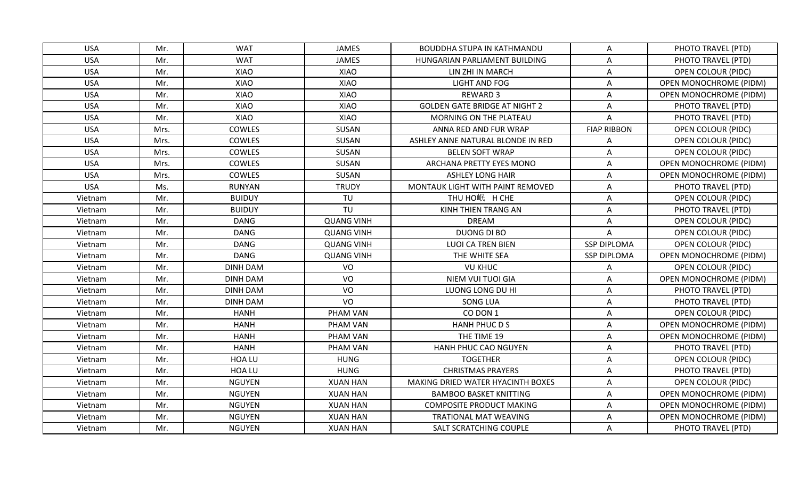| <b>USA</b> | Mr.  | <b>WAT</b>      | <b>JAMES</b>      | <b>BOUDDHA STUPA IN KATHMANDU</b>    | A                  | PHOTO TRAVEL (PTD)            |
|------------|------|-----------------|-------------------|--------------------------------------|--------------------|-------------------------------|
| <b>USA</b> | Mr.  | <b>WAT</b>      | <b>JAMES</b>      | HUNGARIAN PARLIAMENT BUILDING        | A                  | PHOTO TRAVEL (PTD)            |
| <b>USA</b> | Mr.  | XIAO            | XIAO              | LIN ZHI IN MARCH                     | A                  | <b>OPEN COLOUR (PIDC)</b>     |
| <b>USA</b> | Mr.  | XIAO            | XIAO              | <b>LIGHT AND FOG</b>                 | ${\sf A}$          | <b>OPEN MONOCHROME (PIDM)</b> |
| <b>USA</b> | Mr.  | XIAO            | XIAO              | <b>REWARD 3</b>                      | Α                  | <b>OPEN MONOCHROME (PIDM)</b> |
| <b>USA</b> | Mr.  | XIAO            | XIAO              | <b>GOLDEN GATE BRIDGE AT NIGHT 2</b> | Α                  | PHOTO TRAVEL (PTD)            |
| <b>USA</b> | Mr.  | XIAO            | <b>XIAO</b>       | MORNING ON THE PLATEAU               | A                  | PHOTO TRAVEL (PTD)            |
| <b>USA</b> | Mrs. | COWLES          | SUSAN             | ANNA RED AND FUR WRAP                | <b>FIAP RIBBON</b> | <b>OPEN COLOUR (PIDC)</b>     |
| <b>USA</b> | Mrs. | COWLES          | SUSAN             | ASHLEY ANNE NATURAL BLONDE IN RED    | A                  | OPEN COLOUR (PIDC)            |
| <b>USA</b> | Mrs. | COWLES          | SUSAN             | <b>BELEN SOFT WRAP</b>               | Α                  | <b>OPEN COLOUR (PIDC)</b>     |
| <b>USA</b> | Mrs. | COWLES          | SUSAN             | ARCHANA PRETTY EYES MONO             | Α                  | <b>OPEN MONOCHROME (PIDM)</b> |
| <b>USA</b> | Mrs. | COWLES          | SUSAN             | <b>ASHLEY LONG HAIR</b>              | A                  | <b>OPEN MONOCHROME (PIDM)</b> |
| <b>USA</b> | Ms.  | <b>RUNYAN</b>   | <b>TRUDY</b>      | MONTAUK LIGHT WITH PAINT REMOVED     | A                  | PHOTO TRAVEL (PTD)            |
| Vietnam    | Mr.  | <b>BUIDUY</b>   | TU                | THU HO岷 H CHE                        | A                  | <b>OPEN COLOUR (PIDC)</b>     |
| Vietnam    | Mr.  | <b>BUIDUY</b>   | TU                | KINH THIEN TRANG AN                  | Α                  | PHOTO TRAVEL (PTD)            |
| Vietnam    | Mr.  | <b>DANG</b>     | <b>QUANG VINH</b> | <b>DREAM</b>                         | A                  | <b>OPEN COLOUR (PIDC)</b>     |
| Vietnam    | Mr.  | <b>DANG</b>     | <b>QUANG VINH</b> | <b>DUONG DI BO</b>                   | A                  | <b>OPEN COLOUR (PIDC)</b>     |
| Vietnam    | Mr.  | <b>DANG</b>     | <b>QUANG VINH</b> | <b>LUOI CA TREN BIEN</b>             | <b>SSP DIPLOMA</b> | OPEN COLOUR (PIDC)            |
| Vietnam    | Mr.  | <b>DANG</b>     | <b>QUANG VINH</b> | THE WHITE SEA                        | <b>SSP DIPLOMA</b> | <b>OPEN MONOCHROME (PIDM)</b> |
| Vietnam    | Mr.  | <b>DINH DAM</b> | VO                | <b>VU KHUC</b>                       | Α                  | <b>OPEN COLOUR (PIDC)</b>     |
| Vietnam    | Mr.  | <b>DINH DAM</b> | VO                | NIEM VUI TUOI GIA                    | Α                  | <b>OPEN MONOCHROME (PIDM)</b> |
| Vietnam    | Mr.  | <b>DINH DAM</b> | VO                | LUONG LONG DU HI                     | A                  | PHOTO TRAVEL (PTD)            |
| Vietnam    | Mr.  | <b>DINH DAM</b> | VO                | <b>SONG LUA</b>                      | Α                  | PHOTO TRAVEL (PTD)            |
| Vietnam    | Mr.  | <b>HANH</b>     | PHAM VAN          | CO DON 1                             | Α                  | <b>OPEN COLOUR (PIDC)</b>     |
| Vietnam    | Mr.  | <b>HANH</b>     | PHAM VAN          | <b>HANH PHUC D S</b>                 | Α                  | <b>OPEN MONOCHROME (PIDM)</b> |
| Vietnam    | Mr.  | <b>HANH</b>     | PHAM VAN          | THE TIME 19                          | Α                  | <b>OPEN MONOCHROME (PIDM)</b> |
| Vietnam    | Mr.  | <b>HANH</b>     | PHAM VAN          | HANH PHUC CAO NGUYEN                 | A                  | PHOTO TRAVEL (PTD)            |
| Vietnam    | Mr.  | HOA LU          | <b>HUNG</b>       | <b>TOGETHER</b>                      | Α                  | <b>OPEN COLOUR (PIDC)</b>     |
| Vietnam    | Mr.  | HOA LU          | <b>HUNG</b>       | <b>CHRISTMAS PRAYERS</b>             | Α                  | PHOTO TRAVEL (PTD)            |
| Vietnam    | Mr.  | <b>NGUYEN</b>   | <b>XUAN HAN</b>   | MAKING DRIED WATER HYACINTH BOXES    | A                  | <b>OPEN COLOUR (PIDC)</b>     |
| Vietnam    | Mr.  | <b>NGUYEN</b>   | <b>XUAN HAN</b>   | <b>BAMBOO BASKET KNITTING</b>        | Α                  | <b>OPEN MONOCHROME (PIDM)</b> |
| Vietnam    | Mr.  | <b>NGUYEN</b>   | <b>XUAN HAN</b>   | <b>COMPOSITE PRODUCT MAKING</b>      | Α                  | OPEN MONOCHROME (PIDM)        |
| Vietnam    | Mr.  | <b>NGUYEN</b>   | <b>XUAN HAN</b>   | TRATIONAL MAT WEAVING                | A                  | OPEN MONOCHROME (PIDM)        |
| Vietnam    | Mr.  | <b>NGUYEN</b>   | <b>XUAN HAN</b>   | SALT SCRATCHING COUPLE               | Α                  | PHOTO TRAVEL (PTD)            |